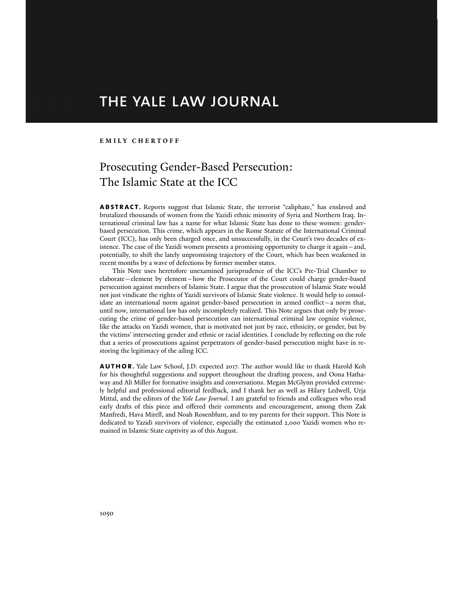# THE YALE LAW JOURNAL

### **EMILY CHERTOFF**

# Prosecuting Gender-Based Persecution: The Islamic State at the ICC

**ABSTRACT.** Reports suggest that Islamic State, the terrorist "caliphate," has enslaved and brutalized thousands of women from the Yazidi ethnic minority of Syria and Northern Iraq. International criminal law has a name for what Islamic State has done to these women: genderbased persecution. This crime, which appears in the Rome Statute of the International Criminal Court (ICC), has only been charged once, and unsuccessfully, in the Court's two decades of existence. The case of the Yazidi women presents a promising opportunity to charge it again—and, potentially, to shift the lately unpromising trajectory of the Court, which has been weakened in recent months by a wave of defections by former member states.

 This Note uses heretofore unexamined jurisprudence of the ICC's Pre-Trial Chamber to elaborate—element by element—how the Prosecutor of the Court could charge gender-based persecution against members of Islamic State. I argue that the prosecution of Islamic State would not just vindicate the rights of Yazidi survivors of Islamic State violence. It would help to consolidate an international norm against gender-based persecution in armed conflict—a norm that, until now, international law has only incompletely realized. This Note argues that only by prosecuting the crime of gender-based persecution can international criminal law cognize violence, like the attacks on Yazidi women, that is motivated not just by race, ethnicity, or gender, but by the victims' intersecting gender and ethnic or racial identities. I conclude by reflecting on the role that a series of prosecutions against perpetrators of gender-based persecution might have in restoring the legitimacy of the ailing ICC.

**author.** Yale Law School, J.D. expected 2017. The author would like to thank Harold Koh for his thoughtful suggestions and support throughout the drafting process, and Oona Hathaway and Ali Miller for formative insights and conversations. Megan McGlynn provided extremely helpful and professional editorial feedback, and I thank her as well as Hilary Ledwell, Urja Mittal, and the editors of the *Yale Law Journal*. I am grateful to friends and colleagues who read early drafts of this piece and offered their comments and encouragement, among them Zak Manfredi, Hava Mirell, and Noah Rosenblum, and to my parents for their support. This Note is dedicated to Yazidi survivors of violence, especially the estimated 2,000 Yazidi women who remained in Islamic State captivity as of this August.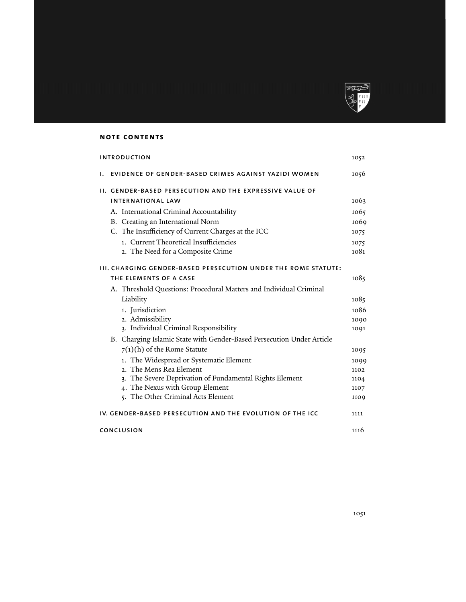

# **note contents**

| <b>INTRODUCTION</b>                                       |                                                                       | 1052 |
|-----------------------------------------------------------|-----------------------------------------------------------------------|------|
| Ι.                                                        | EVIDENCE OF GENDER-BASED CRIMES AGAINST YAZIDI WOMEN                  | 1056 |
|                                                           | <b>II. GENDER-BASED PERSECUTION AND THE EXPRESSIVE VALUE OF</b>       |      |
|                                                           | <b>INTERNATIONAL LAW</b>                                              | 1063 |
|                                                           | A. International Criminal Accountability                              | 1065 |
|                                                           | B. Creating an International Norm                                     | 1069 |
|                                                           | C. The Insufficiency of Current Charges at the ICC                    | 1075 |
|                                                           | 1. Current Theoretical Insufficiencies                                | 1075 |
|                                                           | 2. The Need for a Composite Crime                                     | 1081 |
|                                                           | <b>III. CHARGING GENDER-BASED PERSECUTION UNDER THE ROME STATUTE:</b> |      |
|                                                           | THE ELEMENTS OF A CASE                                                | 1085 |
|                                                           | A. Threshold Questions: Procedural Matters and Individual Criminal    |      |
|                                                           | Liability                                                             | 1085 |
|                                                           | 1. Jurisdiction                                                       | 1086 |
|                                                           | 2. Admissibility                                                      | 1090 |
|                                                           | 3. Individual Criminal Responsibility                                 | 1091 |
|                                                           | B. Charging Islamic State with Gender-Based Persecution Under Article |      |
|                                                           | $7(1)(h)$ of the Rome Statute                                         | 1095 |
|                                                           | 1. The Widespread or Systematic Element                               | 1099 |
|                                                           | 2. The Mens Rea Element                                               | 1102 |
|                                                           | 3. The Severe Deprivation of Fundamental Rights Element               | 1104 |
|                                                           | 4. The Nexus with Group Element                                       | 1107 |
|                                                           | 5. The Other Criminal Acts Element                                    | 1109 |
| IV. GENDER-BASED PERSECUTION AND THE EVOLUTION OF THE ICC |                                                                       | 1111 |
|                                                           | CONCLUSION                                                            | 1116 |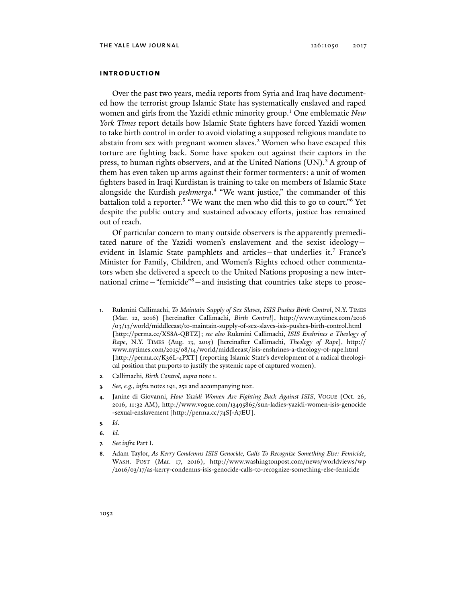#### **introduction**

Over the past two years, media reports from Syria and Iraq have documented how the terrorist group Islamic State has systematically enslaved and raped women and girls from the Yazidi ethnic minority group.1 One emblematic *New York Times* report details how Islamic State fighters have forced Yazidi women to take birth control in order to avoid violating a supposed religious mandate to abstain from sex with pregnant women slaves.2 Women who have escaped this torture are fighting back. Some have spoken out against their captors in the press, to human rights observers, and at the United Nations (UN).<sup>3</sup> A group of them has even taken up arms against their former tormenters: a unit of women fighters based in Iraqi Kurdistan is training to take on members of Islamic State alongside the Kurdish *peshmerga*. 4 "We want justice," the commander of this battalion told a reporter.<sup>5</sup> "We want the men who did this to go to court."<sup>6</sup> Yet despite the public outcry and sustained advocacy efforts, justice has remained out of reach.

Of particular concern to many outside observers is the apparently premeditated nature of the Yazidi women's enslavement and the sexist ideology evident in Islamic State pamphlets and articles—that underlies it.7 France's Minister for Family, Children, and Women's Rights echoed other commentators when she delivered a speech to the United Nations proposing a new international crime—"femicide"8 —and insisting that countries take steps to prose-

- **2***.* Callimachi, *Birth Control*, *supra* note 1.
- **3***. See, e.g.*, *infra* notes 191, 252 and accompanying text.

- **5***. Id*.
- **6***. Id.*
- **7***. See infra* Part I.

**<sup>1</sup>**. Rukmini Callimachi, *To Maintain Supply of Sex Slaves, ISIS Pushes Birth Control*, N.Y. TIMES (Mar. 12, 2016) [hereinafter Callimachi, *Birth Control*], http://www.nytimes.com/2016 /03/13/world/middleeast/to-maintain-supply-of-sex-slaves-isis-pushes-birth-control.html [http://perma.cc/XS8A-QBTZ]; *see also* Rukmini Callimachi, *ISIS Enshrines a Theology of Rape*, N.Y. TIMES (Aug. 13, 2015) [hereinafter Callimachi, *Theology of Rape*], http:// www.nytimes.com/2015/08/14/world/middleeast/isis-enshrines-a-theology-of-rape.html [http://perma.cc/K36L-4PXT] (reporting Islamic State's development of a radical theological position that purports to justify the systemic rape of captured women).

**<sup>4</sup>**. Janine di Giovanni, *How Yazidi Women Are Fighting Back Against ISIS*, VOGUE (Oct. 26, 2016, 11:32 AM), http://www.vogue.com/13495865/sun-ladies-yazidi-women-isis-genocide -sexual-enslavement [http://perma.cc/74SJ-A7EU].

**<sup>8</sup>**. Adam Taylor, *As Kerry Condemns ISIS Genocide, Calls To Recognize Something Else: Femicide*, WASH. POST (Mar. 17, 2016), http://www.washingtonpost.com/news/worldviews/wp /2016/03/17/as-kerry-condemns-isis-genocide-calls-to-recognize-something-else-femicide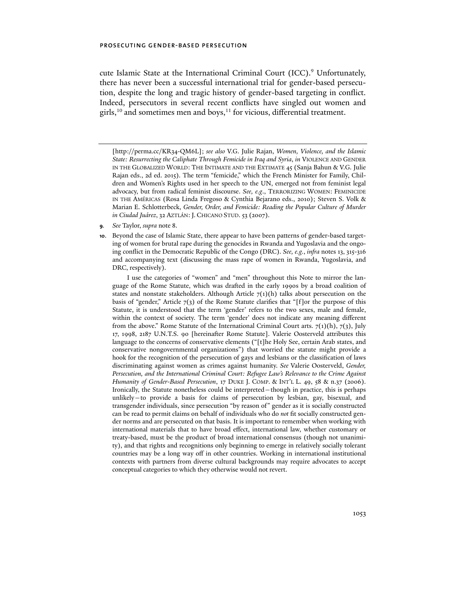cute Islamic State at the International Criminal Court (ICC).<sup>9</sup> Unfortunately, there has never been a successful international trial for gender-based persecution, despite the long and tragic history of gender-based targeting in conflict. Indeed, persecutors in several recent conflicts have singled out women and girls, $10$  and sometimes men and boys, $11$  for vicious, differential treatment.

- **9***. See* Taylor, *supra* note 8.
- **10**. Beyond the case of Islamic State, there appear to have been patterns of gender-based targeting of women for brutal rape during the genocides in Rwanda and Yugoslavia and the ongoing conflict in the Democratic Republic of the Congo (DRC). *See, e.g.*, *infra* notes 13, 315-316 and accompanying text (discussing the mass rape of women in Rwanda, Yugoslavia, and DRC, respectively).

 I use the categories of "women" and "men" throughout this Note to mirror the language of the Rome Statute, which was drafted in the early 1990s by a broad coalition of states and nonstate stakeholders. Although Article  $7(1)(h)$  talks about persecution on the basis of "gender," Article  $7(3)$  of the Rome Statute clarifies that "[f]or the purpose of this Statute, it is understood that the term 'gender' refers to the two sexes, male and female, within the context of society. The term 'gender' does not indicate any meaning different from the above." Rome Statute of the International Criminal Court arts.  $7(1)(h)$ ,  $7(3)$ , July 17, 1998, 2187 U.N.T.S. 90 [hereinafter Rome Statute]. Valerie Oosterveld attributes this language to the concerns of conservative elements ("[t]he Holy See, certain Arab states, and conservative nongovernmental organizations") that worried the statute might provide a hook for the recognition of the persecution of gays and lesbians or the classification of laws discriminating against women as crimes against humanity. *See* Valerie Oosterveld, *Gender, Persecution, and the International Criminal Court: Refugee Law's Relevance to the Crime Against Humanity of Gender-Based Persecution*, 17 DUKE J. COMP. & INT'L L. 49, 58 & n.37 (2006). Ironically, the Statute nonetheless could be interpreted—though in practice, this is perhaps unlikely—to provide a basis for claims of persecution by lesbian, gay, bisexual, and transgender individuals, since persecution "by reason of" gender as it is socially constructed can be read to permit claims on behalf of individuals who do *not* fit socially constructed gender norms and are persecuted on that basis. It is important to remember when working with international materials that to have broad effect, international law, whether customary or treaty-based, must be the product of broad international consensus (though not unanimity), and that rights and recognitions only beginning to emerge in relatively socially tolerant countries may be a long way off in other countries. Working in international institutional contexts with partners from diverse cultural backgrounds may require advocates to accept conceptual categories to which they otherwise would not revert.

<sup>[</sup>http://perma.cc/KR34-QM6L]; *see also* V.G. Julie Rajan, *Women, Violence, and the Islamic State: Resurrecting the Caliphate Through Femicide in Iraq and Syria*, *in* VIOLENCE AND GENDER IN THE GLOBALIZED WORLD: THE INTIMATE AND THE EXTIMATE 45 (Sanja Bahun & V.G. Julie Rajan eds., 2d ed. 2015). The term "femicide," which the French Minister for Family, Children and Women's Rights used in her speech to the UN, emerged not from feminist legal advocacy, but from radical feminist discourse. *See, e.g*., TERRORIZING WOMEN: FEMINICIDE IN THE AMÉRICAS (Rosa Linda Fregoso & Cynthia Bejarano eds., 2010); Steven S. Volk & Marian E. Schlotterbeck, *Gender, Order, and Femicide: Reading the Popular Culture of Murder in Ciudad Juárez*, 32 AZTLÁN:J. CHICANO STUD. 53 (2007).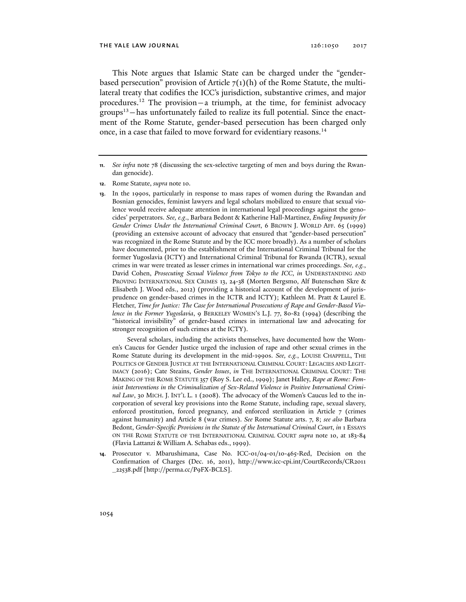#### THE YALE LAW JOURNAL 126:1050 2017

This Note argues that Islamic State can be charged under the "genderbased persecution" provision of Article  $7(1)(h)$  of the Rome Statute, the multilateral treaty that codifies the ICC's jurisdiction, substantive crimes, and major procedures.<sup>12</sup> The provision – a triumph, at the time, for feminist advocacy  $groups<sup>13</sup>$  – has unfortunately failed to realize its full potential. Since the enactment of the Rome Statute, gender-based persecution has been charged only once, in a case that failed to move forward for evidentiary reasons.<sup>14</sup>

 Several scholars, including the activists themselves, have documented how the Women's Caucus for Gender Justice urged the inclusion of rape and other sexual crimes in the Rome Statute during its development in the mid-1990s. *See, e.g.*, LOUISE CHAPPELL, THE POLITICS OF GENDER JUSTICE AT THE INTERNATIONAL CRIMINAL COURT: LEGACIES AND LEGIT-IMACY (2016); Cate Steains, *Gender Issues*, *in* THE INTERNATIONAL CRIMINAL COURT: THE MAKING OF THE ROME STATUTE 357 (Roy S. Lee ed., 1999); Janet Halley, *Rape at Rome: Feminist Interventions in the Criminalization of Sex-Related Violence in Positive International Criminal Law*, 30 MICH. J. INT'L L. 1 (2008). The advocacy of the Women's Caucus led to the incorporation of several key provisions into the Rome Statute, including rape, sexual slavery, enforced prostitution, forced pregnancy, and enforced sterilization in Article 7 (crimes against humanity) and Article 8 (war crimes). *See* Rome Statute arts. 7, 8; *see also* Barbara Bedont, *Gender-Specific Provisions in the Statute of the International Criminal Court*, *in* 1 ESSAYS ON THE ROME STATUTE OF THE INTERNATIONAL CRIMINAL COURT *supra* note 10, at 183-84 (Flavia Lattanzi & William A. Schabas eds., 1999).

**14**. Prosecutor v. Mbarushimana, Case No. ICC-01/04-01/10-465-Red, Decision on the Confirmation of Charges (Dec. 16, 2011), http://www.icc-cpi.int/CourtRecords/CR2011 \_22538.pdf [http://perma.cc/P9FX-BCLS].

**<sup>11</sup>***. See infra* note 78 (discussing the sex-selective targeting of men and boys during the Rwandan genocide).

**<sup>12</sup>**. Rome Statute, *supra* note 10.

**<sup>13</sup>**. In the 1990s, particularly in response to mass rapes of women during the Rwandan and Bosnian genocides, feminist lawyers and legal scholars mobilized to ensure that sexual violence would receive adequate attention in international legal proceedings against the genocides' perpetrators. *See, e.g*., Barbara Bedont & Katherine Hall-Martinez, *Ending Impunity for Gender Crimes Under the International Criminal Court*, 6 BROWN J. WORLD AFF. 65 (1999) (providing an extensive account of advocacy that ensured that "gender-based persecution" was recognized in the Rome Statute and by the ICC more broadly). As a number of scholars have documented, prior to the establishment of the International Criminal Tribunal for the former Yugoslavia (ICTY) and International Criminal Tribunal for Rwanda (ICTR), sexual crimes in war were treated as lesser crimes in international war crimes proceedings. *See, e.g.*, David Cohen, *Prosecuting Sexual Violence from Tokyo to the ICC*, *in* UNDERSTANDING AND PROVING INTERNATIONAL SEX CRIMES 13, 24-38 (Morten Bergsmo, Alf Butenschøn Skre & Elisabeth J. Wood eds., 2012) (providing a historical account of the development of jurisprudence on gender-based crimes in the ICTR and ICTY); Kathleen M. Pratt & Laurel E. Fletcher, *Time for Justice: The Case for International Prosecutions of Rape and Gender-Based Violence in the Former Yugoslavia*, 9 BERKELEY WOMEN'S L.J. 77, 80-82 (1994) (describing the "historical invisibility" of gender-based crimes in international law and advocating for stronger recognition of such crimes at the ICTY).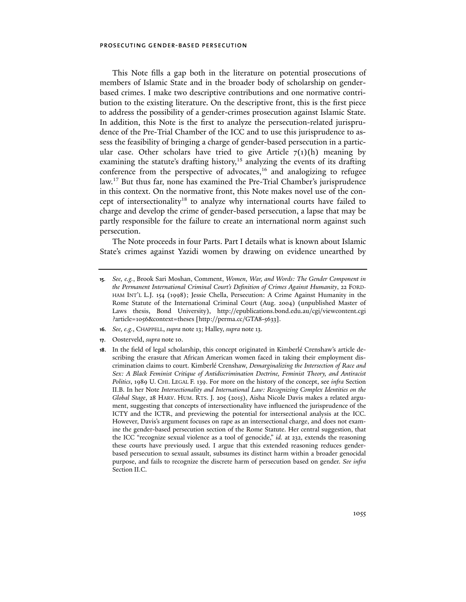This Note fills a gap both in the literature on potential prosecutions of members of Islamic State and in the broader body of scholarship on genderbased crimes. I make two descriptive contributions and one normative contribution to the existing literature. On the descriptive front, this is the first piece to address the possibility of a gender-crimes prosecution against Islamic State. In addition, this Note is the first to analyze the persecution-related jurisprudence of the Pre-Trial Chamber of the ICC and to use this jurisprudence to assess the feasibility of bringing a charge of gender-based persecution in a particular case. Other scholars have tried to give Article  $7(1)(h)$  meaning by examining the statute's drafting history, $15$  analyzing the events of its drafting conference from the perspective of advocates, $16$  and analogizing to refugee law.17 But thus far, none has examined the Pre-Trial Chamber's jurisprudence in this context. On the normative front, this Note makes novel use of the concept of intersectionality18 to analyze why international courts have failed to charge and develop the crime of gender-based persecution, a lapse that may be partly responsible for the failure to create an international norm against such persecution.

The Note proceeds in four Parts. Part I details what is known about Islamic State's crimes against Yazidi women by drawing on evidence unearthed by

- **16***. See, e.g.*, CHAPPELL, *supra* note 13; Halley, *supra* note 13.
- **17**. Oosterveld, *supra* note 10.
- **18**. In the field of legal scholarship, this concept originated in Kimberlé Crenshaw's article describing the erasure that African American women faced in taking their employment discrimination claims to court. Kimberlé Crenshaw, *Demarginalizing the Intersection of Race and Sex: A Black Feminist Critique of Antidiscrimination Doctrine, Feminist Theory, and Antiracist Politics*, 1989 U. CHI. LEGAL F. 139. For more on the history of the concept, see *infra* Section II.B. In her Note *Intersectionality and International Law: Recognizing Complex Identities on the Global Stage*, 28 HARV. HUM. RTS. J. 205 (2015), Aisha Nicole Davis makes a related argument, suggesting that concepts of intersectionality have influenced the jurisprudence of the ICTY and the ICTR, and previewing the potential for intersectional analysis at the ICC. However, Davis's argument focuses on rape as an intersectional charge, and does not examine the gender-based persecution section of the Rome Statute. Her central suggestion, that the ICC "recognize sexual violence as a tool of genocide," *id.* at 232, extends the reasoning these courts have previously used. I argue that this extended reasoning reduces genderbased persecution to sexual assault, subsumes its distinct harm within a broader genocidal purpose, and fails to recognize the discrete harm of persecution based on gender. *See infra*  Section II.C.

**<sup>15</sup>***. See, e.g.*, Brook Sari Moshan, Comment, *Women, War, and Words: The Gender Component in the Permanent International Criminal Court's Definition of Crimes Against Humanity*, 22 FORD-HAM INT'L L.J. 154 (1998); Jessie Chella, Persecution: A Crime Against Humanity in the Rome Statute of the International Criminal Court (Aug. 2004) (unpublished Master of Laws thesis, Bond University), http://epublications.bond.edu.au/cgi/viewcontent.cgi ?article=1056&context=theses [http://perma.cc/GTA8-5633].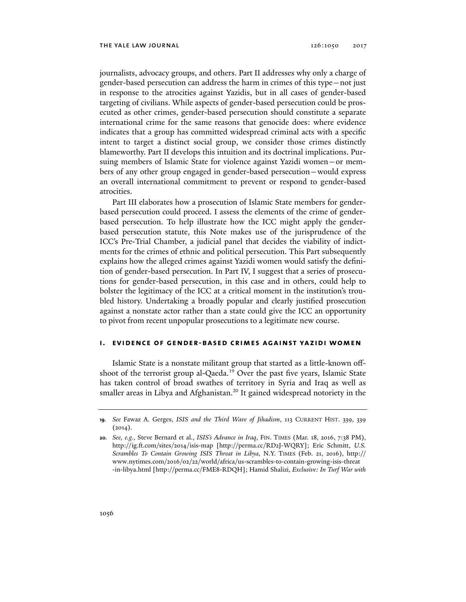journalists, advocacy groups, and others. Part II addresses why only a charge of gender-based persecution can address the harm in crimes of this type—not just in response to the atrocities against Yazidis, but in all cases of gender-based targeting of civilians. While aspects of gender-based persecution could be prosecuted as other crimes, gender-based persecution should constitute a separate international crime for the same reasons that genocide does: where evidence indicates that a group has committed widespread criminal acts with a specific intent to target a distinct social group, we consider those crimes distinctly blameworthy. Part II develops this intuition and its doctrinal implications. Pursuing members of Islamic State for violence against Yazidi women—or members of any other group engaged in gender-based persecution—would express an overall international commitment to prevent or respond to gender-based atrocities.

Part III elaborates how a prosecution of Islamic State members for genderbased persecution could proceed. I assess the elements of the crime of genderbased persecution. To help illustrate how the ICC might apply the genderbased persecution statute, this Note makes use of the jurisprudence of the ICC's Pre-Trial Chamber, a judicial panel that decides the viability of indictments for the crimes of ethnic and political persecution. This Part subsequently explains how the alleged crimes against Yazidi women would satisfy the definition of gender-based persecution. In Part IV, I suggest that a series of prosecutions for gender-based persecution, in this case and in others, could help to bolster the legitimacy of the ICC at a critical moment in the institution's troubled history. Undertaking a broadly popular and clearly justified prosecution against a nonstate actor rather than a state could give the ICC an opportunity to pivot from recent unpopular prosecutions to a legitimate new course.

## **i. evidence of gender-based crimes against yazidi women**

Islamic State is a nonstate militant group that started as a little-known offshoot of the terrorist group al-Qaeda.19 Over the past five years, Islamic State has taken control of broad swathes of territory in Syria and Iraq as well as smaller areas in Libya and Afghanistan.<sup>20</sup> It gained widespread notoriety in the

**<sup>19</sup>***. See* Fawaz A. Gerges, *ISIS and the Third Wave of Jihadism*, 113 CURRENT HIST. 339, 339  $(2014).$ 

**<sup>20</sup>***. See, e.g.*, Steve Bernard et al., *ISIS's Advance in Iraq*, FIN. TIMES (Mar. 18, 2016, 7:38 PM), http://ig.ft.com/sites/2014/isis-map [http://perma.cc/RD2J-WQRY]; Eric Schmitt, *U.S. Scrambles To Contain Growing ISIS Threat in Libya*, N.Y. TIMES (Feb. 21, 2016), http:// www.nytimes.com/2016/02/22/world/africa/us-scrambles-to-contain-growing-isis-threat -in-libya.html [http://perma.cc/FME8-RDQH]; Hamid Shalizi, *Exclusive: In Turf War with*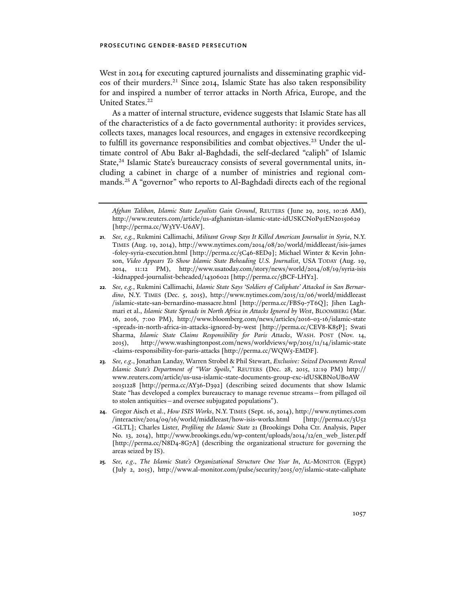West in 2014 for executing captured journalists and disseminating graphic videos of their murders.<sup>21</sup> Since 2014, Islamic State has also taken responsibility for and inspired a number of terror attacks in North Africa, Europe, and the United States.<sup>22</sup>

As a matter of internal structure, evidence suggests that Islamic State has all of the characteristics of a de facto governmental authority: it provides services, collects taxes, manages local resources, and engages in extensive recordkeeping to fulfill its governance responsibilities and combat objectives.23 Under the ultimate control of Abu Bakr al-Baghdadi, the self-declared "caliph" of Islamic State,<sup>24</sup> Islamic State's bureaucracy consists of several governmental units, including a cabinet in charge of a number of ministries and regional commands.<sup>25</sup> A "governor" who reports to Al-Baghdadi directs each of the regional

- **24**. Gregor Aisch et al., *How ISIS Works*, N.Y. TIMES (Sept. 16, 2014), http://www.nytimes.com /interactive/2014/09/16/world/middleeast/how-isis-works.html [http://perma.cc/3U52 -GLTL]; Charles Lister, *Profiling the Islamic State* 21 (Brookings Doha Ctr. Analysis, Paper No. 13, 2014), http://www.brookings.edu/wp-content/uploads/2014/12/en\_web\_lister.pdf [http://perma.cc/N8D4-8G7A] (describing the organizational structure for governing the areas seized by IS).
- **25***. See, e.g*., *The Islamic State's Organizational Structure One Year In*, AL-MONITOR (Egypt) (July 2, 2015), http://www.al-monitor.com/pulse/security/2015/07/islamic-state-caliphate

*Afghan Taliban, Islamic State Loyalists Gain Ground*, REUTERS (June 29, 2015, 10:26 AM), http://www.reuters.com/article/us-afghanistan-islamic-state-idUSKCN0P91EN20150629 [http://perma.cc/W3YV-U6AV].

**<sup>21</sup>***. See, e.g.*, Rukmini Callimachi, *Militant Group Says It Killed American Journalist in Syria*, N.Y. TIMES (Aug. 19, 2014), http://www.nytimes.com/2014/08/20/world/middleeast/isis-james -foley-syria-execution.html [http://perma.cc/5C46-8ED9]; Michael Winter & Kevin Johnson, *Video Appears To Show Islamic State Beheading U.S. Journalist*, USA TODAY (Aug. 19, 2014, 11:12 PM), http://www.usatoday.com/story/news/world/2014/08/19/syria-isis -kidnapped-journalist-beheaded/14306021 [http://perma.cc/5BCF-LHY2].

**<sup>22</sup>***. See, e.g.*, Rukmini Callimachi, *Islamic State Says 'Soldiers of Caliphate' Attacked in San Bernardino*, N.Y. TIMES (Dec. 5, 2015), http://www.nytimes.com/2015/12/06/world/middleeast /islamic-state-san-bernardino-massacre.html [http://perma.cc/FBS9-7T6Q]; Jihen Laghmari et al., *Islamic State Spreads in North Africa in Attacks Ignored by West*, BLOOMBERG (Mar. 16, 2016, 7:00 PM), http://www.bloomberg.com/news/articles/2016-03-16/islamic-state -spreads-in-north-africa-in-attacks-ignored-by-west [http://perma.cc/CEV8-K85P]; Swati Sharma, *Islamic State Claims Responsibility for Paris Attacks*, WASH. POST (Nov. 14, 2015), http:// www.washingtonpost.com/news/worldviews/wp/2015/11/14/islamic-state -claims-responsibility-for-paris-attacks [http://perma.cc/WQW5-EMDF].

**<sup>23</sup>***. See, e.g*., Jonathan Landay, Warren Strobel & Phil Stewart, *Exclusive: Seized Documents Reveal Islamic State's Department of "War Spoils*,*"* REUTERS (Dec. 28, 2015, 12:19 PM) http:// www.reuters.com/article/us-usa-islamic-state-documents-group-exc-idUSKBN0UB0AW 20151228 [http://perma.cc/AY36-D392] (describing seized documents that show Islamic State "has developed a complex bureaucracy to manage revenue streams—from pillaged oil to stolen antiquities—and oversee subjugated populations").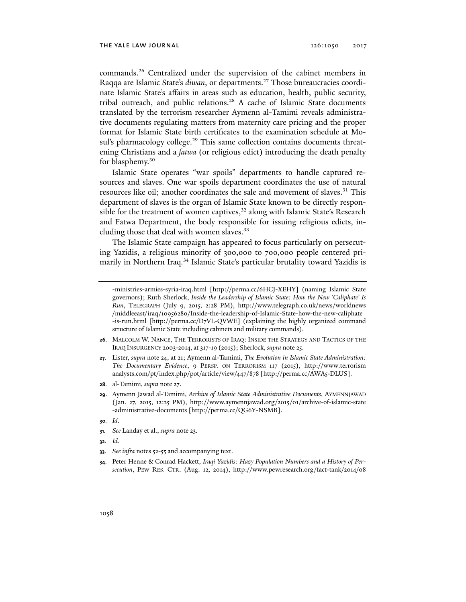commands.26 Centralized under the supervision of the cabinet members in Raqqa are Islamic State's *diwan*, or departments.<sup>27</sup> Those bureaucracies coordinate Islamic State's affairs in areas such as education, health, public security, tribal outreach, and public relations.<sup>28</sup> A cache of Islamic State documents translated by the terrorism researcher Aymenn al-Tamimi reveals administrative documents regulating matters from maternity care pricing and the proper format for Islamic State birth certificates to the examination schedule at Mosul's pharmacology college.<sup>29</sup> This same collection contains documents threatening Christians and a *fatwa* (or religious edict) introducing the death penalty for blasphemy.<sup>30</sup>

Islamic State operates "war spoils" departments to handle captured resources and slaves. One war spoils department coordinates the use of natural resources like oil; another coordinates the sale and movement of slaves.<sup>31</sup> This department of slaves is the organ of Islamic State known to be directly responsible for the treatment of women captives, $32$  along with Islamic State's Research and Fatwa Department, the body responsible for issuing religious edicts, including those that deal with women slaves.<sup>33</sup>

The Islamic State campaign has appeared to focus particularly on persecuting Yazidis, a religious minority of 300,000 to 700,000 people centered primarily in Northern Iraq.<sup>34</sup> Islamic State's particular brutality toward Yazidis is

- **26**. MALCOLM W. NANCE, THE TERRORISTS OF IRAQ: INSIDE THE STRATEGY AND TACTICS OF THE IRAQ INSURGENCY 2003-2014, at 317-19 (2015); Sherlock, *supra* note 25.
- **27**. Lister, *supra* note 24, at 21; Aymenn al-Tamimi, *The Evolution in Islamic State Administration: The Documentary Evidence*, 9 PERSP. ON TERRORISM 117 (2015), http://www.terrorism analysts.com/pt/index.php/pot/article/view/447/878 [http://perma.cc/AWA5-DLUS].
- **28**. al-Tamimi, *supra* note 27.
- **29**. Aymenn Jawad al-Tamimi, *Archive of Islamic State Administrative Documents*, AYMENNJAWAD (Jan. 27, 2015, 12:25 PM), http://www.aymennjawad.org/2015/01/archive-of-islamic-state -administrative-documents [http://perma.cc/QG6Y-NSMB].
- **30***. Id*.
- **31***. See* Landay et al., *supra* note 23.
- **32***. Id.*
- **33***. See infra* notes 52-55 and accompanying text.
- **34**. Peter Henne & Conrad Hackett, *Iraqi Yazidis: Hazy Population Numbers and a History of Persecution*, PEW RES. CTR. (Aug. 12, 2014), http://www.pewresearch.org/fact-tank/2014/08

<sup>-</sup>ministries-armies-syria-iraq.html [http://perma.cc/6HCJ-XEHY] (naming Islamic State governors); Ruth Sherlock, *Inside the Leadership of Islamic State: How the New 'Caliphate' Is Run*, TELEGRAPH (July 9, 2015, 2:28 PM), http://www.telegraph.co.uk/news/worldnews /middleeast/iraq/10956280/Inside-the-leadership-of-Islamic-State-how-the-new-caliphate -is-run.html [http://perma.cc/D7VL-QVWE] (explaining the highly organized command structure of Islamic State including cabinets and military commands).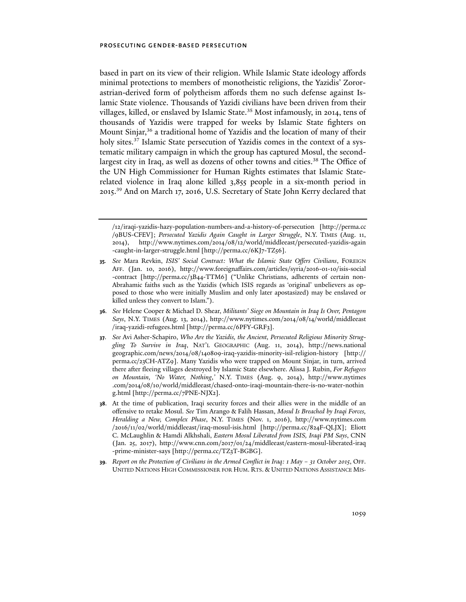based in part on its view of their religion. While Islamic State ideology affords minimal protections to members of monotheistic religions, the Yazidis' Zororastrian-derived form of polytheism affords them no such defense against Islamic State violence. Thousands of Yazidi civilians have been driven from their villages, killed, or enslaved by Islamic State.<sup>35</sup> Most infamously, in 2014, tens of thousands of Yazidis were trapped for weeks by Islamic State fighters on Mount Sinjar,<sup>36</sup> a traditional home of Yazidis and the location of many of their holy sites.<sup>37</sup> Islamic State persecution of Yazidis comes in the context of a systematic military campaign in which the group has captured Mosul, the secondlargest city in Iraq, as well as dozens of other towns and cities.<sup>38</sup> The Office of the UN High Commissioner for Human Rights estimates that Islamic Staterelated violence in Iraq alone killed 3,855 people in a six-month period in 2015.39 And on March 17, 2016, U.S. Secretary of State John Kerry declared that

- **36***. See* Helene Cooper & Michael D. Shear, *Militants' Siege on Mountain in Iraq Is Over, Pentagon Says*, N.Y. TIMES (Aug. 13, 2014), http://www.nytimes.com/2014/08/14/world/middleeast /iraq-yazidi-refugees.html [http://perma.cc/6PFY-GRF3].
- **37**. *See* Avi Asher-Schapiro, *Who Are the Yazidis, the Ancient, Persecuted Religious Minority Struggling To Survive in Iraq*, NAT'L GEOGRAPHIC (Aug. 11, 2014), http://news.national geographic.com/news/2014/08/140809-iraq-yazidis-minority-isil-religion-history [http:// perma.cc/23CH-ATZ9]. Many Yazidis who were trapped on Mount Sinjar, in turn, arrived there after fleeing villages destroyed by Islamic State elsewhere. Alissa J. Rubin, *For Refugees on Mountain, 'No Water, Nothing*,*'* N.Y. TIMES (Aug. 9, 2014), http://www.nytimes .com/2014/08/10/world/middleeast/chased-onto-iraqi-mountain-there-is-no-water-nothin g.html [http://perma.cc/7PNE-NJX2].
- **38**. At the time of publication, Iraqi security forces and their allies were in the middle of an offensive to retake Mosul. *See* Tim Arango & Falih Hassan, *Mosul Is Breached by Iraqi Forces, Heralding a New, Complex Phase*, N.Y. TIMES (Nov. 1, 2016), http://www.nytimes.com /2016 /11/02/world/middleeast/iraq-mosul-isis.html [http://perma.cc/824F-QLJX]; Eliott C. McLaughlin & Hamdi Alkhshali, *Eastern Mosul Liberated from ISIS, Iraqi PM Says*, CNN (Jan. 25, 2017), http://www.cnn.com/2017/01/24/middleeast/eastern-mosul-liberated-iraq -prime-minister-says [http://perma.cc/TZ3T-BGBG].
- **39***. Report on the Protection of Civilians in the Armed Conflict in Iraq: 1 May 31 October 2015*, OFF. UNITED NATIONS HIGH COMMISSIONER FOR HUM. RTS. & UNITED NATIONS ASSISTANCE MIS-

<sup>/12/</sup>iraqi-yazidis-hazy-population-numbers-and-a-history-of-persecution [http://perma.cc /9BUS-CFEV]; *Persecuted Yazidis Again Caught in Larger Struggle*, N.Y. TIMES (Aug. 11, 2014), http://www.nytimes.com/2014/08/12/world/middleeast/persecuted-yazidis-again -caught-in-larger-struggle.html [http://perma.cc/6KJ7-TZ56].

**<sup>35</sup>***. See* Mara Revkin, *ISIS' Social Contract: What the Islamic State Offers Civilians*, FOREIGN AFF. (Jan. 10, 2016), http://www.foreignaffairs.com/articles/syria/2016-01-10/isis-social -contract [http://perma.cc/3B44-TTM6] ("Unlike Christians, adherents of certain non-Abrahamic faiths such as the Yazidis (which ISIS regards as 'original' unbelievers as opposed to those who were initially Muslim and only later apostasized) may be enslaved or killed unless they convert to Islam.").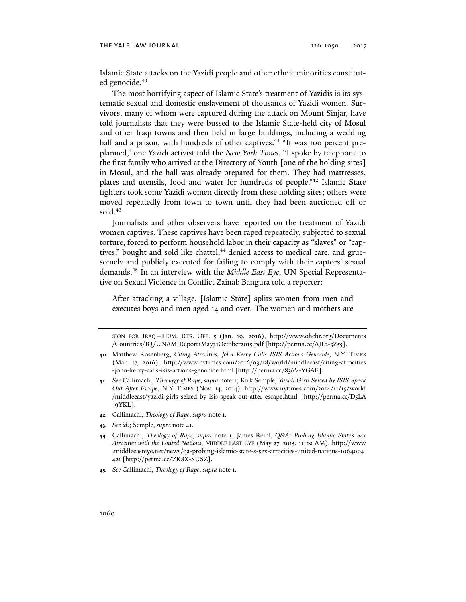#### THE YALE LAW JOURNAL 126:1050 2017

Islamic State attacks on the Yazidi people and other ethnic minorities constituted genocide.<sup>40</sup>

The most horrifying aspect of Islamic State's treatment of Yazidis is its systematic sexual and domestic enslavement of thousands of Yazidi women. Survivors, many of whom were captured during the attack on Mount Sinjar, have told journalists that they were bussed to the Islamic State-held city of Mosul and other Iraqi towns and then held in large buildings, including a wedding hall and a prison, with hundreds of other captives.<sup>41</sup> "It was 100 percent preplanned," one Yazidi activist told the *New York Times*. "I spoke by telephone to the first family who arrived at the Directory of Youth [one of the holding sites] in Mosul, and the hall was already prepared for them. They had mattresses, plates and utensils, food and water for hundreds of people."42 Islamic State fighters took some Yazidi women directly from these holding sites; others were moved repeatedly from town to town until they had been auctioned off or sold. $43$ 

Journalists and other observers have reported on the treatment of Yazidi women captives. These captives have been raped repeatedly, subjected to sexual torture, forced to perform household labor in their capacity as "slaves" or "captives," bought and sold like chattel,<sup>44</sup> denied access to medical care, and gruesomely and publicly executed for failing to comply with their captors' sexual demands.45 In an interview with the *Middle East Eye*, UN Special Representative on Sexual Violence in Conflict Zainab Bangura told a reporter:

After attacking a village, [Islamic State] splits women from men and executes boys and men aged 14 and over. The women and mothers are

- **41***. See* Callimachi, *Theology of Rape*, *supra* note 1; Kirk Semple, *Yazidi Girls Seized by ISIS Speak Out After Escape*, N.Y. TIMES (Nov. 14, 2014), http://www.nytimes.com/2014/11/15/world /middleeast/yazidi-girls-seized-by-isis-speak-out-after-escape.html [http://perma.cc/D5LA -9YKL].
- **42***.* Callimachi, *Theology of Rape*, *supra* note 1.
- **43***. See id*.; Semple, *supra* note 41.
- **44***.* Callimachi, *Theology of Rape*, *supra* note 1; James Reinl, *Q&A: Probing Islamic State's Sex Atrocities with the United Nations*, MIDDLE EAST EYE (May 27, 2015, 11:29 AM), http://www .middleeasteye.net/news/qa-probing-islamic-state-s-sex-atrocities-united-nations-1064004 421 [http://perma.cc/ZK8X-SUSZ].
- **45***. See* Callimachi, *Theology of Rape*, *supra* note 1.

SION FOR IRAQ—HUM. RTS. OFF. 5 (Jan. 19, 2016), http://www.ohchr.org/Documents /Countries/IQ/UNAMIReport1May31October2015.pdf [http://perma.cc/AJL2-3Z55].

**<sup>40</sup>**. Matthew Rosenberg, *Citing Atrocities, John Kerry Calls ISIS Actions Genocide*, N.Y. TIMES (Mar. 17, 2016), http://www.nytimes.com/2016/03/18/world/middleeast/citing-atrocities -john-kerry-calls-isis-actions-genocide.html [http://perma.cc/836V-YGAE].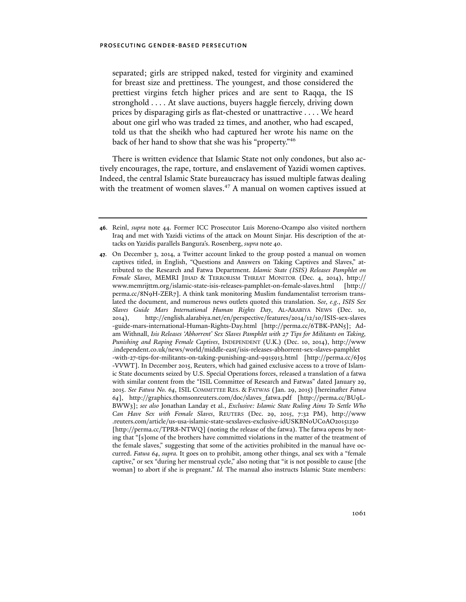separated; girls are stripped naked, tested for virginity and examined for breast size and prettiness. The youngest, and those considered the prettiest virgins fetch higher prices and are sent to Raqqa, the IS stronghold . . . . At slave auctions, buyers haggle fiercely, driving down prices by disparaging girls as flat-chested or unattractive . . . . We heard about one girl who was traded 22 times, and another, who had escaped, told us that the sheikh who had captured her wrote his name on the back of her hand to show that she was his "property."46

There is written evidence that Islamic State not only condones, but also actively encourages, the rape, torture, and enslavement of Yazidi women captives. Indeed, the central Islamic State bureaucracy has issued multiple fatwas dealing with the treatment of women slaves.<sup>47</sup> A manual on women captives issued at

**<sup>46</sup>**. Reinl, *supra* note 44. Former ICC Prosecutor Luis Moreno-Ocampo also visited northern Iraq and met with Yazidi victims of the attack on Mount Sinjar. His description of the attacks on Yazidis parallels Bangura's. Rosenberg, *supra* note 40.

**<sup>47</sup>**. On December 3, 2014, a Twitter account linked to the group posted a manual on women captives titled, in English, "Questions and Answers on Taking Captives and Slaves," attributed to the Research and Fatwa Department. *Islamic State (ISIS) Releases Pamphlet on Female Slaves*, MEMRI JIHAD & TERRORISM THREAT MONITOR (Dec. 4, 2014), http:// www.memrijttm.org/islamic-state-isis-releases-pamphlet-on-female-slaves.html [http:// perma.cc/8N9H-ZER7]. A think tank monitoring Muslim fundamentalist terrorism translated the document, and numerous news outlets quoted this translation. *See, e.g.*, *ISIS Sex Slaves Guide Mars International Human Rights Day*, AL-ARABIYA NEWS (Dec. 10, 2014), http://english.alarabiya.net/en/perspective/features/2014/12/10/ISIS-sex-slaves -guide-mars-international-Human-Rights-Day.html [http://perma.cc/6TBK-PAN5]; Adam Withnall, *Isis Releases 'Abhorrent' Sex Slaves Pamphlet with 27 Tips for Militants on Taking, Punishing and Raping Female Captives*, INDEPENDENT (U.K.) (Dec. 10, 2014), http://www .independent.co.uk/news/world/middle-east/isis-releases-abhorrent-sex-slaves-pamphlet -with-27-tips-for-militants-on-taking-punishing-and-9915913.html [http://perma.cc/6J95 -VVWT]. In December 2015, Reuters, which had gained exclusive access to a trove of Islamic State documents seized by U.S. Special Operations forces, released a translation of a fatwa with similar content from the "ISIL Committee of Research and Fatwas" dated January 29, 2015. *See Fatwa No. 64*, ISIL COMMITTEE RES. & FATWAS (Jan. 29, 2015) [hereinafter *Fatwa 64*], http://graphics.thomsonreuters.com/doc/slaves\_fatwa.pdf [http://perma.cc/BU9L-BWW3]; *see also* Jonathan Landay et al., *Exclusive: Islamic State Ruling Aims To Settle Who Can Have Sex with Female Slaves*, REUTERS (Dec. 29, 2015, 7:32 PM), http://www .reuters.com/article/us-usa-islamic-state-sexslaves-exclusive-idUSKBN0UC0AO20151230 [http://perma.cc/TPR8-NTWQ] (noting the release of the fatwa). The fatwa opens by noting that "[s]ome of the brothers have committed violations in the matter of the treatment of the female slaves," suggesting that some of the activities prohibited in the manual have occurred. *Fatwa 64*, *supra.* It goes on to prohibit, among other things, anal sex with a "female captive," or sex "during her menstrual cycle," also noting that "it is not possible to cause [the woman] to abort if she is pregnant." *Id.* The manual also instructs Islamic State members: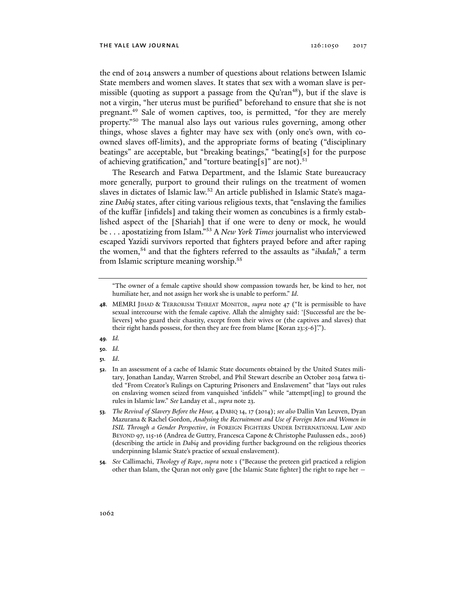the end of 2014 answers a number of questions about relations between Islamic State members and women slaves. It states that sex with a woman slave is permissible (quoting as support a passage from the  $Qu'ran<sup>48</sup>$ ), but if the slave is not a virgin, "her uterus must be purified" beforehand to ensure that she is not pregnant.<sup>49</sup> Sale of women captives, too, is permitted, "for they are merely property."50 The manual also lays out various rules governing, among other things, whose slaves a fighter may have sex with (only one's own, with coowned slaves off-limits), and the appropriate forms of beating ("disciplinary beatings" are acceptable, but "breaking beatings," "beating[s] for the purpose of achieving gratification," and "torture beating[s]" are not).<sup>51</sup>

The Research and Fatwa Department, and the Islamic State bureaucracy more generally, purport to ground their rulings on the treatment of women slaves in dictates of Islamic law.<sup>52</sup> An article published in Islamic State's magazine *Dabiq* states, after citing various religious texts, that "enslaving the families of the kuffār [infidels] and taking their women as concubines is a firmly established aspect of the [Shariah] that if one were to deny or mock, he would be . . . apostatizing from Islam."53 A *New York Times* journalist who interviewed escaped Yazidi survivors reported that fighters prayed before and after raping the women,54 and that the fighters referred to the assaults as "*ibadah*," a term from Islamic scripture meaning worship.55

- **49***. Id.*
- **50***. Id.*
- **51***. Id*.

<sup>&</sup>quot;The owner of a female captive should show compassion towards her, be kind to her, not humiliate her, and not assign her work she is unable to perform." *Id*.

**<sup>48</sup>**. MEMRI JIHAD & TERRORISM THREAT MONITOR, *supra* note 47 ("It is permissible to have sexual intercourse with the female captive. Allah the almighty said: '[Successful are the believers] who guard their chastity, except from their wives or (the captives and slaves) that their right hands possess, for then they are free from blame [Koran 23:5-6]'.").

**<sup>52</sup>**. In an assessment of a cache of Islamic State documents obtained by the United States military, Jonathan Landay, Warren Strobel, and Phil Stewart describe an October 2014 fatwa titled "From Creator's Rulings on Capturing Prisoners and Enslavement" that "lays out rules on enslaving women seized from vanquished 'infidels'" while "attempt[ing] to ground the rules in Islamic law." *See* Landay et al., *supra* note 23.

**<sup>53</sup>***. The Revival of Slavery Before the Hour,* 4 DABIQ 14, 17 (2014); *see also* Dallin Van Leuven, Dyan Mazurana & Rachel Gordon, *Analysing the Recruitment and Use of Foreign Men and Women in ISIL Through a Gender Perspective*, *in* FOREIGN FIGHTERS UNDER INTERNATIONAL LAW AND BEYOND 97, 115-16 (Andrea de Guttry, Francesca Capone & Christophe Paulussen eds., 2016) (describing the article in *Dabiq* and providing further background on the religious theories underpinning Islamic State's practice of sexual enslavement).

**<sup>54</sup>***. See* Callimachi, *Theology of Rape*, *supra* note 1 ("Because the preteen girl practiced a religion other than Islam, the Quran not only gave [the Islamic State fighter] the right to rape her —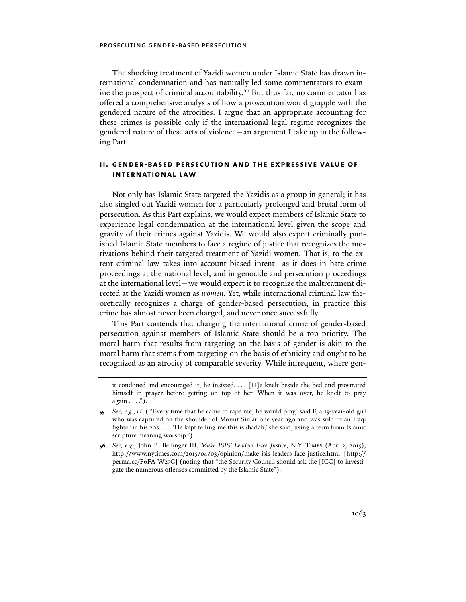The shocking treatment of Yazidi women under Islamic State has drawn international condemnation and has naturally led some commentators to examine the prospect of criminal accountability.56 But thus far, no commentator has offered a comprehensive analysis of how a prosecution would grapple with the gendered nature of the atrocities. I argue that an appropriate accounting for these crimes is possible only if the international legal regime recognizes the gendered nature of these acts of violence—an argument I take up in the following Part.

# **ii. gender-based persecution and the expressive value of international law**

Not only has Islamic State targeted the Yazidis as a group in general; it has also singled out Yazidi women for a particularly prolonged and brutal form of persecution. As this Part explains, we would expect members of Islamic State to experience legal condemnation at the international level given the scope and gravity of their crimes against Yazidis. We would also expect criminally punished Islamic State members to face a regime of justice that recognizes the motivations behind their targeted treatment of Yazidi women. That is, to the extent criminal law takes into account biased intent—as it does in hate-crime proceedings at the national level, and in genocide and persecution proceedings at the international level—we would expect it to recognize the maltreatment directed at the Yazidi women as *women.* Yet, while international criminal law theoretically recognizes a charge of gender-based persecution, in practice this crime has almost never been charged, and never once successfully.

This Part contends that charging the international crime of gender-based persecution against members of Islamic State should be a top priority. The moral harm that results from targeting on the basis of gender is akin to the moral harm that stems from targeting on the basis of ethnicity and ought to be recognized as an atrocity of comparable severity. While infrequent, where gen-

it condoned and encouraged it, he insisted. . . . [H]e knelt beside the bed and prostrated himself in prayer before getting on top of her. When it was over, he knelt to pray  $again \ldots$ .").

**<sup>55</sup>***. See, e.g.*, *id.* ("'Every time that he came to rape me, he would pray,' said F, a 15-year-old girl who was captured on the shoulder of Mount Sinjar one year ago and was sold to an Iraqi fighter in his 20s. . . . 'He kept telling me this is ibadah,' she said, using a term from Islamic scripture meaning worship.").

**<sup>56</sup>***. See, e.g.*, John B. Bellinger III, *Make ISIS' Leaders Face Justice*, N.Y. TIMES (Apr. 2, 2015), http://www.nytimes.com/2015/04/03/opinion/make-isis-leaders-face-justice.html [http:// perma.cc/F6FA-W27C] (noting that "the Security Council should ask the [ICC] to investigate the numerous offenses committed by the Islamic State").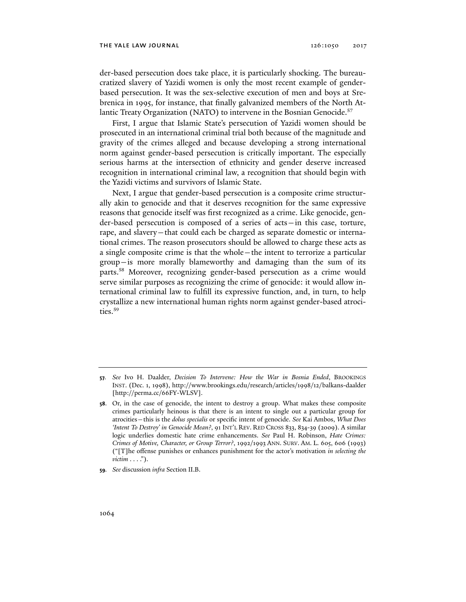der-based persecution does take place, it is particularly shocking. The bureaucratized slavery of Yazidi women is only the most recent example of genderbased persecution. It was the sex-selective execution of men and boys at Srebrenica in 1995, for instance, that finally galvanized members of the North Atlantic Treaty Organization (NATO) to intervene in the Bosnian Genocide.<sup>57</sup>

First, I argue that Islamic State's persecution of Yazidi women should be prosecuted in an international criminal trial both because of the magnitude and gravity of the crimes alleged and because developing a strong international norm against gender-based persecution is critically important. The especially serious harms at the intersection of ethnicity and gender deserve increased recognition in international criminal law, a recognition that should begin with the Yazidi victims and survivors of Islamic State.

Next, I argue that gender-based persecution is a composite crime structurally akin to genocide and that it deserves recognition for the same expressive reasons that genocide itself was first recognized as a crime. Like genocide, gender-based persecution is composed of a series of acts—in this case, torture, rape, and slavery—that could each be charged as separate domestic or international crimes. The reason prosecutors should be allowed to charge these acts as a single composite crime is that the whole—the intent to terrorize a particular group—is more morally blameworthy and damaging than the sum of its parts.58 Moreover, recognizing gender-based persecution as a crime would serve similar purposes as recognizing the crime of genocide: it would allow international criminal law to fulfill its expressive function, and, in turn, to help crystallize a new international human rights norm against gender-based atrocities.59

**59***. See* discussion *infra* Section II.B.

**<sup>57</sup>***. See* Ivo H. Daalder, *Decision To Intervene: How the War in Bosnia Ended*, BROOKINGS INST. (Dec. 1, 1998), http://www.brookings.edu/research/articles/1998/12/balkans-daalder [http://perma.cc/66FY-WLSV].

**<sup>58</sup>**. Or, in the case of genocide, the intent to destroy a group. What makes these composite crimes particularly heinous is that there is an intent to single out a particular group for atrocities—this is the *dolus specialis* or specific intent of genocide. *See* Kai Ambos, *What Does 'Intent To Destroy' in Genocide Mean?*, 91 INT'L REV. RED CROSS 833, 834-39 (2009). A similar logic underlies domestic hate crime enhancements. *See* Paul H. Robinson, *Hate Crimes: Crimes of Motive, Character, or Group Terror?*, 1992/1993 ANN. SURV. AM. L. 605, 606 (1993) ("[T]he offense punishes or enhances punishment for the actor's motivation *in selecting the victim* . . . .").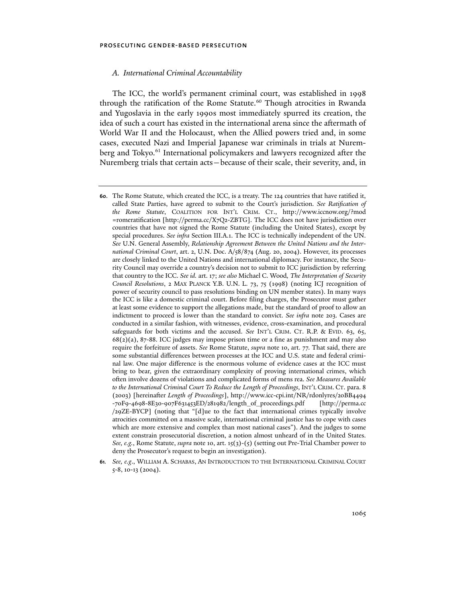## *A. International Criminal Accountability*

The ICC, the world's permanent criminal court, was established in 1998 through the ratification of the Rome Statute.<sup>60</sup> Though atrocities in Rwanda and Yugoslavia in the early 1990s most immediately spurred its creation, the idea of such a court has existed in the international arena since the aftermath of World War II and the Holocaust, when the Allied powers tried and, in some cases, executed Nazi and Imperial Japanese war criminals in trials at Nuremberg and Tokyo.<sup>61</sup> International policymakers and lawyers recognized after the Nuremberg trials that certain acts—because of their scale, their severity, and, in

**61***. See, e.g*., WILLIAM A. SCHABAS, AN INTRODUCTION TO THE INTERNATIONAL CRIMINAL COURT 5-8, 10-13 (2004).

**<sup>60</sup>**. The Rome Statute, which created the ICC, is a treaty. The 124 countries that have ratified it, called State Parties, have agreed to submit to the Court's jurisdiction. *See Ratification of the Rome Statute*, COALITION FOR INT'L CRIM. CT., http://www.iccnow.org/?mod =romeratification [http://perma.cc/X7Q2-ZBTG]. The ICC does not have jurisdiction over countries that have not signed the Rome Statute (including the United States), except by special procedures. *See infra* Section III.A.1. The ICC is technically independent of the UN. *See* U.N. General Assembly, *Relationship Agreement Between the United Nations and the International Criminal Court*, art. 2, U.N. Doc. A/58/874 (Aug. 20, 2004). However, its processes are closely linked to the United Nations and international diplomacy. For instance, the Security Council may override a country's decision not to submit to ICC jurisdiction by referring that country to the ICC. *See id.* art. 17; *see also* Michael C. Wood*, The Interpretation of Security Council Resolutions*, 2 MAX PLANCK Y.B. U.N. L. 73, 75 (1998) (noting ICJ recognition of power of security council to pass resolutions binding on UN member states). In many ways the ICC is like a domestic criminal court. Before filing charges, the Prosecutor must gather at least some evidence to support the allegations made, but the standard of proof to allow an indictment to proceed is lower than the standard to convict. *See infra* note 203. Cases are conducted in a similar fashion, with witnesses, evidence, cross-examination, and procedural safeguards for both victims and the accused. *See* INT'L CRIM. CT. R.P. & EVID. 63, 65,  $68(2)(a)$ , 87-88. ICC judges may impose prison time or a fine as punishment and may also require the forfeiture of assets. *See* Rome Statute, *supra* note 10, art. 77. That said, there are some substantial differences between processes at the ICC and U.S. state and federal criminal law. One major difference is the enormous volume of evidence cases at the ICC must bring to bear, given the extraordinary complexity of proving international crimes, which often involve dozens of violations and complicated forms of mens rea. *See Measures Available to the International Criminal Court To Reduce the Length of Proceedings*, INT'L CRIM. CT. para. 8 (2003) [hereinafter *Length of Proceedings*], http://www.icc-cpi.int/NR/rdonlyres/20BB4494 -70F9-4698-8E30-907F631453ED/281982/length\_of\_proceedings.pdf [http://perma.cc /29ZE-BYCP] (noting that "[d]ue to the fact that international crimes typically involve atrocities committed on a massive scale, international criminal justice has to cope with cases which are more extensive and complex than most national cases"). And the judges to some extent constrain prosecutorial discretion, a notion almost unheard of in the United States. *See, e.g.*, Rome Statute, *supra* note 10, art. 15(3)-(5) (setting out Pre-Trial Chamber power to deny the Prosecutor's request to begin an investigation).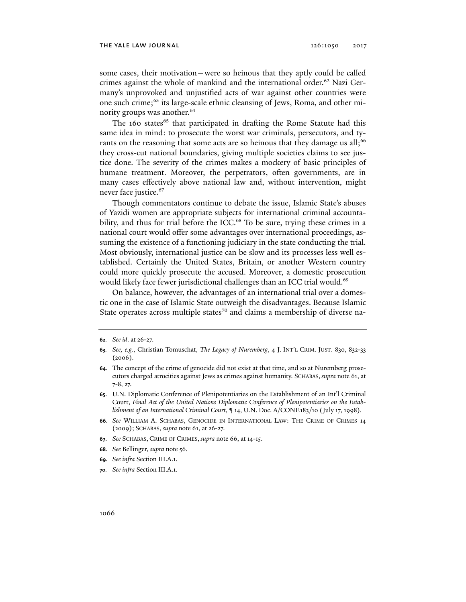some cases, their motivation—were so heinous that they aptly could be called crimes against the whole of mankind and the international order.<sup>62</sup> Nazi Germany's unprovoked and unjustified acts of war against other countries were one such crime;63 its large-scale ethnic cleansing of Jews, Roma, and other minority groups was another.<sup>64</sup>

The 160 states<sup>65</sup> that participated in drafting the Rome Statute had this same idea in mind: to prosecute the worst war criminals, persecutors, and tyrants on the reasoning that some acts are so heinous that they damage us all;<sup>66</sup> they cross-cut national boundaries, giving multiple societies claims to see justice done. The severity of the crimes makes a mockery of basic principles of humane treatment. Moreover, the perpetrators, often governments, are in many cases effectively above national law and, without intervention, might never face justice.<sup>67</sup>

Though commentators continue to debate the issue, Islamic State's abuses of Yazidi women are appropriate subjects for international criminal accountability, and thus for trial before the ICC.<sup>68</sup> To be sure, trying these crimes in a national court would offer some advantages over international proceedings, assuming the existence of a functioning judiciary in the state conducting the trial. Most obviously, international justice can be slow and its processes less well established. Certainly the United States, Britain, or another Western country could more quickly prosecute the accused. Moreover, a domestic prosecution would likely face fewer jurisdictional challenges than an ICC trial would.<sup>69</sup>

On balance, however, the advantages of an international trial over a domestic one in the case of Islamic State outweigh the disadvantages. Because Islamic State operates across multiple states<sup>70</sup> and claims a membership of diverse na-

- **67**. *See* SCHABAS, CRIME OF CRIMES, *supra* note 66, at 14-15.
- **68***. See* Bellinger, *supra* note 56.
- **69***. See infra* Section III.A.1.
- **70***. See infra* Section III.A.1.

**<sup>62</sup>***. See id*. at 26-27.

**<sup>63</sup>***. See, e.g.*, Christian Tomuschat, *The Legacy of Nuremberg*, 4 J. INT'L CRIM. JUST. 830, 832-33 (2006).

**<sup>64</sup>**. The concept of the crime of genocide did not exist at that time, and so at Nuremberg prosecutors charged atrocities against Jews as crimes against humanity. SCHABAS, *supra* note 61, at 7-8, 27.

**<sup>65</sup>**. U.N. Diplomatic Conference of Plenipotentiaries on the Establishment of an Int'l Criminal Court, *Final Act of the United Nations Diplomatic Conference of Plenipotentiaries on the Establishment of an International Criminal Court*, **¶** 14, U.N. Doc. A/CONF.183/10 (July 17, 1998).

**<sup>66</sup>**. *See* WILLIAM A. SCHABAS, GENOCIDE IN INTERNATIONAL LAW: THE CRIME OF CRIMES 14 (2009); SCHABAS, *supra* note 61, at 26-27.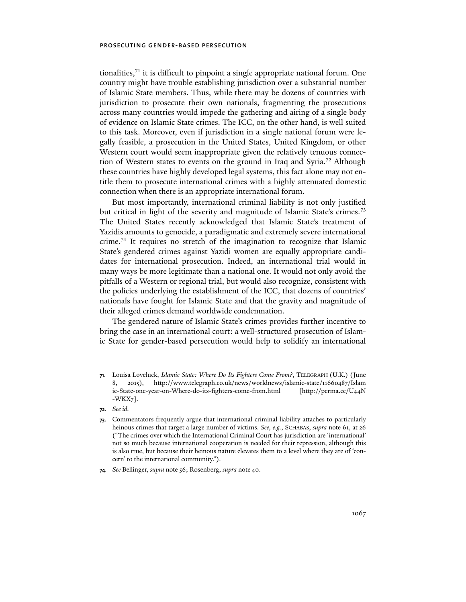tionalities, $71$  it is difficult to pinpoint a single appropriate national forum. One country might have trouble establishing jurisdiction over a substantial number of Islamic State members. Thus, while there may be dozens of countries with jurisdiction to prosecute their own nationals, fragmenting the prosecutions across many countries would impede the gathering and airing of a single body of evidence on Islamic State crimes. The ICC, on the other hand, is well suited to this task. Moreover, even if jurisdiction in a single national forum were legally feasible, a prosecution in the United States, United Kingdom, or other Western court would seem inappropriate given the relatively tenuous connection of Western states to events on the ground in Iraq and Syria.72 Although these countries have highly developed legal systems, this fact alone may not entitle them to prosecute international crimes with a highly attenuated domestic connection when there is an appropriate international forum.

But most importantly, international criminal liability is not only justified but critical in light of the severity and magnitude of Islamic State's crimes.<sup>73</sup> The United States recently acknowledged that Islamic State's treatment of Yazidis amounts to genocide, a paradigmatic and extremely severe international crime.74 It requires no stretch of the imagination to recognize that Islamic State's gendered crimes against Yazidi women are equally appropriate candidates for international prosecution. Indeed, an international trial would in many ways be more legitimate than a national one. It would not only avoid the pitfalls of a Western or regional trial, but would also recognize, consistent with the policies underlying the establishment of the ICC, that dozens of countries' nationals have fought for Islamic State and that the gravity and magnitude of their alleged crimes demand worldwide condemnation.

The gendered nature of Islamic State's crimes provides further incentive to bring the case in an international court: a well-structured prosecution of Islamic State for gender-based persecution would help to solidify an international

**<sup>71</sup>**. Louisa Loveluck, *Islamic State: Where Do Its Fighters Come From?*, TELEGRAPH (U.K.) (June 8, 2015), http://www.telegraph.co.uk/news/worldnews/islamic-state/11660487/Islam ic-State-one-year-on-Where-do-its-fighters-come-from.html [http://perma.cc/U44N -WKX7].

**<sup>72</sup>***. See id.*

**<sup>73</sup>**. Commentators frequently argue that international criminal liability attaches to particularly heinous crimes that target a large number of victims. *See, e.g.*, SCHABAS, *supra* note 61, at 26 ("The crimes over which the International Criminal Court has jurisdiction are 'international' not so much because international cooperation is needed for their repression, although this is also true, but because their heinous nature elevates them to a level where they are of 'concern' to the international community.").

**<sup>74</sup>***. See* Bellinger, *supra* note 56; Rosenberg, *supra* note 40.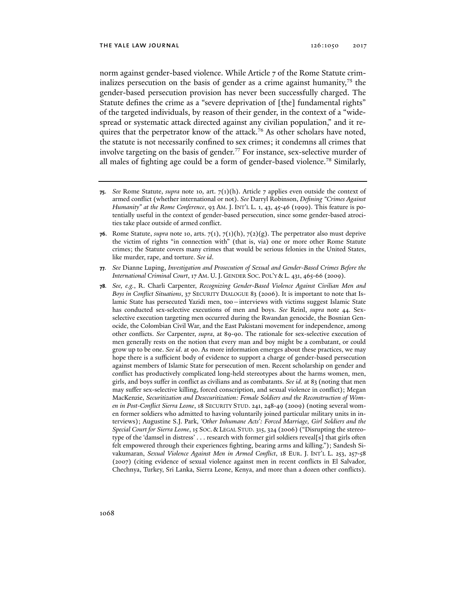norm against gender-based violence. While Article 7 of the Rome Statute criminalizes persecution on the basis of gender as a crime against humanity,  $75$  the gender-based persecution provision has never been successfully charged. The Statute defines the crime as a "severe deprivation of [the] fundamental rights" of the targeted individuals, by reason of their gender, in the context of a "widespread or systematic attack directed against any civilian population," and it requires that the perpetrator know of the attack.<sup>76</sup> As other scholars have noted, the statute is not necessarily confined to sex crimes; it condemns all crimes that involve targeting on the basis of gender.<sup>77</sup> For instance, sex-selective murder of all males of fighting age could be a form of gender-based violence.<sup>78</sup> Similarly,

**<sup>75</sup>**. *See* Rome Statute, *supra* note 10*,* art. 7(1)(h). Article 7 applies even outside the context of armed conflict (whether international or not). *See* Darryl Robinson, *Defining "Crimes Against Humanity" at the Rome Conference*, 93 AM. J. INT'L L. 1, 43, 45-46 (1999). This feature is potentially useful in the context of gender-based persecution, since some gender-based atrocities take place outside of armed conflict.

**<sup>76</sup>**. Rome Statute, *supra* note 10, arts.  $7(1)$ ,  $7(1)(h)$ ,  $7(2)(g)$ . The perpetrator also must deprive the victim of rights "in connection with" (that is, via) one or more other Rome Statute crimes; the Statute covers many crimes that would be serious felonies in the United States, like murder, rape, and torture. *See id*.

**<sup>77</sup>***. See* Dianne Luping, *Investigation and Prosecution of Sexual and Gender-Based Crimes Before the International Criminal Court*, 17 AM. U.J. GENDER SOC. POL'Y & L. 431, 465-66 (2009).

**<sup>78</sup>***. See, e.g.*, R. Charli Carpenter, *Recognizing Gender-Based Violence Against Civilian Men and Boys in Conflict Situations*, 37 SECURITY DIALOGUE 83 (2006). It is important to note that Islamic State has persecuted Yazidi men, too—interviews with victims suggest Islamic State has conducted sex-selective executions of men and boys. *See* Reinl, *supra* note 44. Sexselective execution targeting men occurred during the Rwandan genocide, the Bosnian Genocide, the Colombian Civil War, and the East Pakistani movement for independence, among other conflicts. *See* Carpenter, *supra*, at 89-90. The rationale for sex-selective execution of men generally rests on the notion that every man and boy might be a combatant, or could grow up to be one. *See id*. at 90. As more information emerges about these practices, we may hope there is a sufficient body of evidence to support a charge of gender-based persecution against members of Islamic State for persecution of men. Recent scholarship on gender and conflict has productively complicated long-held stereotypes about the harms women, men, girls, and boys suffer in conflict as civilians and as combatants. *See id.* at 83 (noting that men may suffer sex-selective killing, forced conscription, and sexual violence in conflict); Megan MacKenzie, *Securitization and Desecuritization: Female Soldiers and the Reconstruction of Women in Post-Conflict Sierra Leone*, 18 SECURITY STUD. 241, 248-49 (2009) (noting several women former soldiers who admitted to having voluntarily joined particular military units in interviews); Augustine S.J. Park, *'Other Inhumane Acts': Forced Marriage, Girl Soldiers and the Special Court for Sierra Leone*, 15 SOC. & LEGAL STUD. 315, 324 (2006) ("Disrupting the stereotype of the 'damsel in distress' . . . research with former girl soldiers reveal[s] that girls often felt empowered through their experiences fighting, bearing arms and killing."); Sandesh Sivakumaran, *Sexual Violence Against Men in Armed Conflict*, 18 EUR. J. INT'L L. 253, 257-58 (2007) (citing evidence of sexual violence against men in recent conflicts in El Salvador, Chechnya, Turkey, Sri Lanka, Sierra Leone, Kenya, and more than a dozen other conflicts).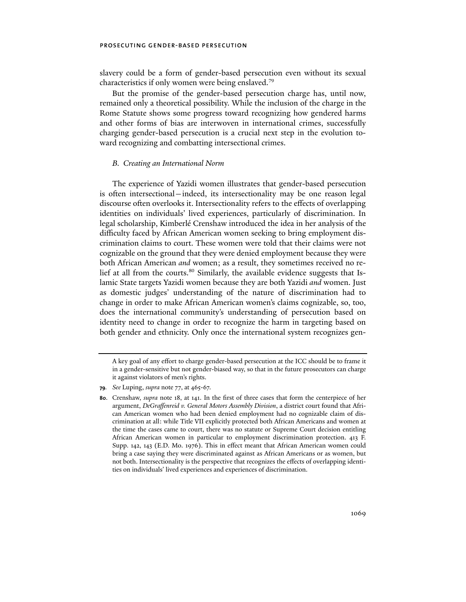slavery could be a form of gender-based persecution even without its sexual characteristics if only women were being enslaved.79

But the promise of the gender-based persecution charge has, until now, remained only a theoretical possibility. While the inclusion of the charge in the Rome Statute shows some progress toward recognizing how gendered harms and other forms of bias are interwoven in international crimes, successfully charging gender-based persecution is a crucial next step in the evolution toward recognizing and combatting intersectional crimes.

## *B. Creating an International Norm*

The experience of Yazidi women illustrates that gender-based persecution is often intersectional—indeed, its intersectionality may be one reason legal discourse often overlooks it. Intersectionality refers to the effects of overlapping identities on individuals' lived experiences, particularly of discrimination. In legal scholarship, Kimberlé Crenshaw introduced the idea in her analysis of the difficulty faced by African American women seeking to bring employment discrimination claims to court. These women were told that their claims were not cognizable on the ground that they were denied employment because they were both African American *and* women; as a result, they sometimes received no relief at all from the courts.<sup>80</sup> Similarly, the available evidence suggests that Islamic State targets Yazidi women because they are both Yazidi *and* women. Just as domestic judges' understanding of the nature of discrimination had to change in order to make African American women's claims cognizable, so, too, does the international community's understanding of persecution based on identity need to change in order to recognize the harm in targeting based on both gender and ethnicity. Only once the international system recognizes gen-

A key goal of any effort to charge gender-based persecution at the ICC should be to frame it in a gender-sensitive but not gender-biased way, so that in the future prosecutors can charge it against violators of men's rights.

**<sup>79</sup>***. See* Luping, *supra* note 77, at 465-67.

**<sup>80</sup>**. Crenshaw, *supra* note 18, at 141. In the first of three cases that form the centerpiece of her argument, *DeGraffenreid v. General Motors Assembly Division*, a district court found that African American women who had been denied employment had no cognizable claim of discrimination at all: while Title VII explicitly protected both African Americans and women at the time the cases came to court, there was no statute or Supreme Court decision entitling African American women in particular to employment discrimination protection. 413 F. Supp. 142, 143 (E.D. Mo. 1976). This in effect meant that African American women could bring a case saying they were discriminated against as African Americans or as women, but not both. Intersectionality is the perspective that recognizes the effects of overlapping identities on individuals' lived experiences and experiences of discrimination.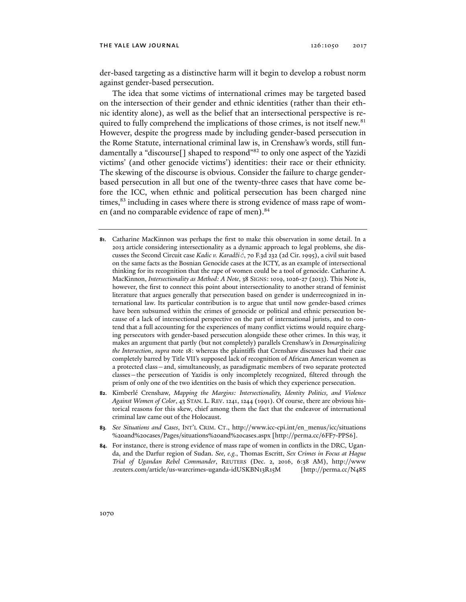der-based targeting as a distinctive harm will it begin to develop a robust norm against gender-based persecution.

The idea that some victims of international crimes may be targeted based on the intersection of their gender and ethnic identities (rather than their ethnic identity alone), as well as the belief that an intersectional perspective is required to fully comprehend the implications of those crimes, is not itself new.<sup>81</sup> However, despite the progress made by including gender-based persecution in the Rome Statute, international criminal law is, in Crenshaw's words, still fundamentally a "discourse<sup>[]</sup> shaped to respond"<sup>82</sup> to only one aspect of the Yazidi victims' (and other genocide victims') identities: their race or their ethnicity. The skewing of the discourse is obvious. Consider the failure to charge genderbased persecution in all but one of the twenty-three cases that have come before the ICC, when ethnic and political persecution has been charged nine times,<sup>83</sup> including in cases where there is strong evidence of mass rape of women (and no comparable evidence of rape of men).<sup>84</sup>

- **81**. Catharine MacKinnon was perhaps the first to make this observation in some detail. In a 2013 article considering intersectionality as a dynamic approach to legal problems, she discusses the Second Circuit case *Kadic v. Karadžić*, 70 F.3d 232 (2d Cir. 1995), a civil suit based on the same facts as the Bosnian Genocide cases at the ICTY, as an example of intersectional thinking for its recognition that the rape of women could be a tool of genocide. Catharine A. MacKinnon, *Intersectionality as Method: A Note*, 38 SIGNS: 1019, 1026-27 (2013). This Note is, however, the first to connect this point about intersectionality to another strand of feminist literature that argues generally that persecution based on gender is underrecognized in international law. Its particular contribution is to argue that until now gender-based crimes have been subsumed within the crimes of genocide or political and ethnic persecution because of a lack of intersectional perspective on the part of international jurists, and to contend that a full accounting for the experiences of many conflict victims would require charging persecutors with gender-based persecution alongside these other crimes. In this way, it makes an argument that partly (but not completely) parallels Crenshaw's in *Demarginalizing the Intersection*, *supra* note 18: whereas the plaintiffs that Crenshaw discusses had their case completely barred by Title VII's supposed lack of recognition of African American women as a protected class—and, simultaneously, as paradigmatic members of two separate protected classes—the persecution of Yazidis is only incompletely recognized, filtered through the prism of only one of the two identities on the basis of which they experience persecution.
- **82**. Kimberlé Crenshaw, *Mapping the Margins: Intersectionality, Identity Politics, and Violence Against Women of Color*, 43 STAN. L. REV. 1241, 1244 (1991). Of course, there are obvious historical reasons for this skew, chief among them the fact that the endeavor of international criminal law came out of the Holocaust.
- **83***. See Situations and Cases*, INT'L CRIM. CT., http://www.icc-cpi.int/en\_menus/icc /situations %20and%20cases/Pages/situations%20and%20cases.aspx [http://perma.cc/6FF7-PPS6].
- **84**. For instance, there is strong evidence of mass rape of women in conflicts in the DRC, Uganda, and the Darfur region of Sudan. *See, e.g.*, Thomas Escritt, *Sex Crimes in Focus at Hague Trial of Ugandan Rebel Commander*, REUTERS (Dec. 2, 2016, 6:38 AM), http://www .reuters.com/article/us-warcrimes-uganda-idUSKBN13R15M [http://perma.cc/N48S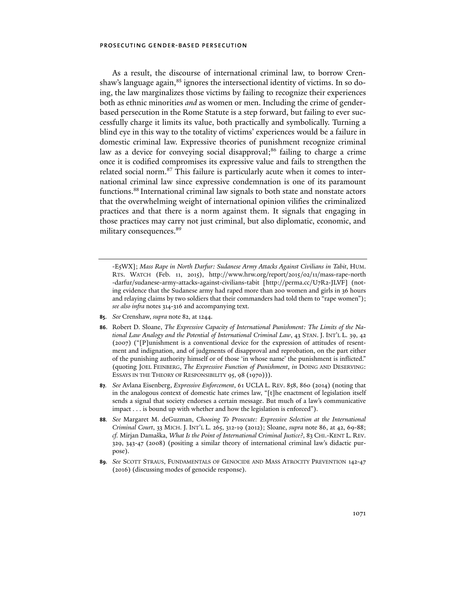As a result, the discourse of international criminal law, to borrow Crenshaw's language again,<sup>85</sup> ignores the intersectional identity of victims. In so doing, the law marginalizes those victims by failing to recognize their experiences both as ethnic minorities *and* as women or men. Including the crime of genderbased persecution in the Rome Statute is a step forward, but failing to ever successfully charge it limits its value, both practically and symbolically. Turning a blind eye in this way to the totality of victims' experiences would be a failure in domestic criminal law. Expressive theories of punishment recognize criminal law as a device for conveying social disapproval;<sup>86</sup> failing to charge a crime once it is codified compromises its expressive value and fails to strengthen the related social norm.<sup>87</sup> This failure is particularly acute when it comes to international criminal law since expressive condemnation is one of its paramount functions.88 International criminal law signals to both state and nonstate actors that the overwhelming weight of international opinion vilifies the criminalized practices and that there is a norm against them. It signals that engaging in those practices may carry not just criminal, but also diplomatic, economic, and military consequences.<sup>89</sup>

-E5WX]; *Mass Rape in North Darfur: Sudanese Army Attacks Against Civilians in Tabit*, HUM. RTS. WATCH (Feb. 11, 2015), http://www.hrw.org/report/2015/02/11/mass-rape-north -darfur/sudanese-army-attacks-against-civilians-tabit [http://perma.cc/U7R2-JLVF] (noting evidence that the Sudanese army had raped more than 200 women and girls in 36 hours and relaying claims by two soldiers that their commanders had told them to "rape women"); *see also infra* notes 314-316 and accompanying text.

- **85**. *See* Crenshaw, *supra* note 82, at 1244.
- **86**. Robert D. Sloane, *The Expressive Capacity of International Punishment: The Limits of the National Law Analogy and the Potential of International Criminal Law*, 43 STAN. J. INT'L L. 39, 42 (2007) ("[P]unishment is a conventional device for the expression of attitudes of resentment and indignation, and of judgments of disapproval and reprobation, on the part either of the punishing authority himself or of those 'in whose name' the punishment is inflicted." (quoting JOEL FEINBERG, *The Expressive Function of Punishment*, *in* DOING AND DESERVING: ESSAYS IN THE THEORY OF RESPONSIBILITY 95, 98 (1970))).
- **87***. See* Avlana Eisenberg, *Expressive Enforcement*, 61 UCLA L. REV. 858, 860 (2014) (noting that in the analogous context of domestic hate crimes law, "[t]he enactment of legislation itself sends a signal that society endorses a certain message. But much of a law's communicative impact . . . is bound up with whether and how the legislation is enforced").
- **88***. See* Margaret M. deGuzman, *Choosing To Prosecute: Expressive Selection at the International Criminal Court*, 33 MICH. J. INT'L L. 265, 312-19 (2012); Sloane, *supra* note 86, at 42, 69-88; *cf.* Mirjan Damaška, *What Is the Point of International Criminal Justice?*, 83 CHI.-KENT L. REV. 329, 343-47 (2008) (positing a similar theory of international criminal law's didactic purpose).
- **89***. See* SCOTT STRAUS, FUNDAMENTALS OF GENOCIDE AND MASS ATROCITY PREVENTION 142-47 (2016) (discussing modes of genocide response).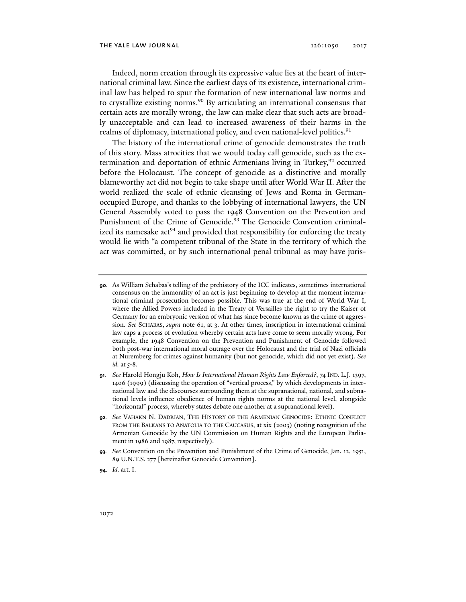Indeed, norm creation through its expressive value lies at the heart of international criminal law. Since the earliest days of its existence, international criminal law has helped to spur the formation of new international law norms and to crystallize existing norms.<sup>90</sup> By articulating an international consensus that certain acts are morally wrong, the law can make clear that such acts are broadly unacceptable and can lead to increased awareness of their harms in the realms of diplomacy, international policy, and even national-level politics.<sup>91</sup>

The history of the international crime of genocide demonstrates the truth of this story. Mass atrocities that we would today call genocide, such as the extermination and deportation of ethnic Armenians living in Turkey,<sup>92</sup> occurred before the Holocaust. The concept of genocide as a distinctive and morally blameworthy act did not begin to take shape until after World War II. After the world realized the scale of ethnic cleansing of Jews and Roma in Germanoccupied Europe, and thanks to the lobbying of international lawyers, the UN General Assembly voted to pass the 1948 Convention on the Prevention and Punishment of the Crime of Genocide.<sup>93</sup> The Genocide Convention criminalized its namesake  $act<sup>94</sup>$  and provided that responsibility for enforcing the treaty would lie with "a competent tribunal of the State in the territory of which the act was committed, or by such international penal tribunal as may have juris-

- **91***. See* Harold Hongju Koh, *How Is International Human Rights Law Enforced?*, 74 IND. L.J. 1397, 1406 (1999) (discussing the operation of "vertical process," by which developments in international law and the discourses surrounding them at the supranational, national, and subnational levels influence obedience of human rights norms at the national level, alongside "horizontal" process, whereby states debate one another at a supranational level).
- **92***. See* VAHAKN N. DADRIAN, THE HISTORY OF THE ARMENIAN GENOCIDE: ETHNIC CONFLICT FROM THE BALKANS TO ANATOLIA TO THE CAUCASUS, at xix (2003) (noting recognition of the Armenian Genocide by the UN Commission on Human Rights and the European Parliament in 1986 and 1987, respectively).

**<sup>90</sup>**. As William Schabas's telling of the prehistory of the ICC indicates, sometimes international consensus on the immorality of an act is just beginning to develop at the moment international criminal prosecution becomes possible. This was true at the end of World War I, where the Allied Powers included in the Treaty of Versailles the right to try the Kaiser of Germany for an embryonic version of what has since become known as the crime of aggression. *See* SCHABAS, *supra* note 61, at 3. At other times, inscription in international criminal law caps a process of evolution whereby certain acts have come to seem morally wrong. For example, the 1948 Convention on the Prevention and Punishment of Genocide followed both post-war international moral outrage over the Holocaust and the trial of Nazi officials at Nuremberg for crimes against humanity (but not genocide, which did not yet exist). *See id.* at 5-8.

**<sup>93</sup>***. See* Convention on the Prevention and Punishment of the Crime of Genocide, Jan. 12, 1951, 89 U.N.T.S. 277 [hereinafter Genocide Convention].

**<sup>94</sup>***. Id.* art. I.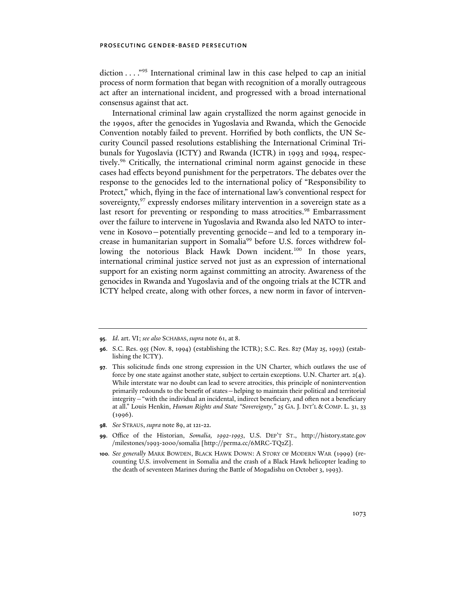diction . . . ."95 International criminal law in this case helped to cap an initial process of norm formation that began with recognition of a morally outrageous act after an international incident, and progressed with a broad international consensus against that act.

International criminal law again crystallized the norm against genocide in the 1990s, after the genocides in Yugoslavia and Rwanda, which the Genocide Convention notably failed to prevent. Horrified by both conflicts, the UN Security Council passed resolutions establishing the International Criminal Tribunals for Yugoslavia (ICTY) and Rwanda (ICTR) in 1993 and 1994, respectively.96 Critically, the international criminal norm against genocide in these cases had effects beyond punishment for the perpetrators. The debates over the response to the genocides led to the international policy of "Responsibility to Protect," which, flying in the face of international law's conventional respect for sovereignty,  $97$  expressly endorses military intervention in a sovereign state as a last resort for preventing or responding to mass atrocities.<sup>98</sup> Embarrassment over the failure to intervene in Yugoslavia and Rwanda also led NATO to intervene in Kosovo—potentially preventing genocide—and led to a temporary increase in humanitarian support in Somalia<sup>99</sup> before U.S. forces withdrew following the notorious Black Hawk Down incident.<sup>100</sup> In those years, international criminal justice served not just as an expression of international support for an existing norm against committing an atrocity. Awareness of the genocides in Rwanda and Yugoslavia and of the ongoing trials at the ICTR and ICTY helped create, along with other forces, a new norm in favor of interven-

- **98***. See* STRAUS, *supra* note 89, at 121-22.
- **99**. Office of the Historian, *Somalia, 1992-1993*, U.S. DEP'T ST., http://history.state.gov /milestones/1993-2000/somalia [http://perma.cc/6MRC-TQ2Z].

**<sup>95</sup>***. Id*. art. VI; *see also* SCHABAS, *supra* note 61, at 8.

**<sup>96</sup>**. S.C. Res. 955 (Nov. 8, 1994) (establishing the ICTR); S.C. Res. 827 (May 25, 1993) (establishing the ICTY).

**<sup>97</sup>**. This solicitude finds one strong expression in the UN Charter, which outlaws the use of force by one state against another state, subject to certain exceptions. U.N. Charter art.  $2(4)$ . While interstate war no doubt can lead to severe atrocities, this principle of nonintervention primarily redounds to the benefit of states—helping to maintain their political and territorial integrity—"with the individual an incidental, indirect beneficiary, and often not a beneficiary at all." Louis Henkin, *Human Rights and State "Sovereignty*,*"* 25 GA. J. INT'L & COMP. L. 31, 33 (1996).

**<sup>100</sup>***. See generally* MARK BOWDEN, BLACK HAWK DOWN: A STORY OF MODERN WAR (1999) (recounting U.S. involvement in Somalia and the crash of a Black Hawk helicopter leading to the death of seventeen Marines during the Battle of Mogadishu on October 3, 1993).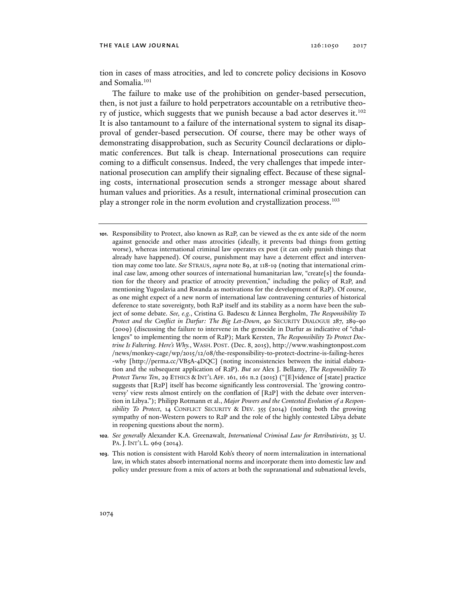#### THE YALE LAW JOURNAL 126:1050 2017

tion in cases of mass atrocities, and led to concrete policy decisions in Kosovo and Somalia.101

The failure to make use of the prohibition on gender-based persecution, then, is not just a failure to hold perpetrators accountable on a retributive theory of justice, which suggests that we punish because a bad actor deserves it.<sup>102</sup> It is also tantamount to a failure of the international system to signal its disapproval of gender-based persecution. Of course, there may be other ways of demonstrating disapprobation, such as Security Council declarations or diplomatic conferences. But talk is cheap. International prosecutions can require coming to a difficult consensus. Indeed, the very challenges that impede international prosecution can amplify their signaling effect. Because of these signaling costs, international prosecution sends a stronger message about shared human values and priorities. As a result, international criminal prosecution can play a stronger role in the norm evolution and crystallization process.103

- **101**. Responsibility to Protect, also known as R2P, can be viewed as the ex ante side of the norm against genocide and other mass atrocities (ideally, it prevents bad things from getting worse), whereas international criminal law operates ex post (it can only punish things that already have happened). Of course, punishment may have a deterrent effect and intervention may come too late. *See* STRAUS, *supra* note 89, at 118-19 (noting that international criminal case law, among other sources of international humanitarian law, "create[s] the foundation for the theory and practice of atrocity prevention," including the policy of R2P, and mentioning Yugoslavia and Rwanda as motivations for the development of R2P). Of course, as one might expect of a new norm of international law contravening centuries of historical deference to state sovereignty, both R2P itself and its stability as a norm have been the subject of some debate. *See, e.g.*, Cristina G. Badescu & Linnea Bergholm, *The Responsibility To Protect and the Conflict in Darfur: The Big Let-Down*, 40 SECURITY DIALOGUE 287, 289-90 (2009) (discussing the failure to intervene in the genocide in Darfur as indicative of "challenges" to implementing the norm of R2P); Mark Kersten, *The Responsibility To Protect Doctrine Is Faltering. Here's Why.*, WASH. POST. (Dec. 8, 2015), http://www.washingtonpost.com /news/monkey-cage/wp/2015/12/08/the-responsibility-to-protect-doctrine-is-failing-heres -why [http://perma.cc/VB5A-4DQC] (noting inconsistencies between the initial elaboration and the subsequent application of R2P). *But see* Alex J. Bellamy, *The Responsibility To Protect Turns Ten*, 29 ETHICS & INT'L AFF. 161, 161 n.2 (2015) ("[E]vidence of [state] practice suggests that [R2P] itself has become significantly less controversial. The 'growing controversy' view rests almost entirely on the conflation of [R2P] with the debate over intervention in Libya."); Philipp Rotmann et al., *Major Powers and the Contested Evolution of a Responsibility To Protect*, 14 CONFLICT SECURITY & DEV. 355 (2014) (noting both the growing sympathy of non-Western powers to R2P and the role of the highly contested Libya debate in reopening questions about the norm).
- **102***. See generally* Alexander K.A. Greenawalt, *International Criminal Law for Retributivists*, 35 U. PA. J. INT'L L. 969 (2014).
- **103**. This notion is consistent with Harold Koh's theory of norm internalization in international law, in which states absorb international norms and incorporate them into domestic law and policy under pressure from a mix of actors at both the supranational and subnational levels,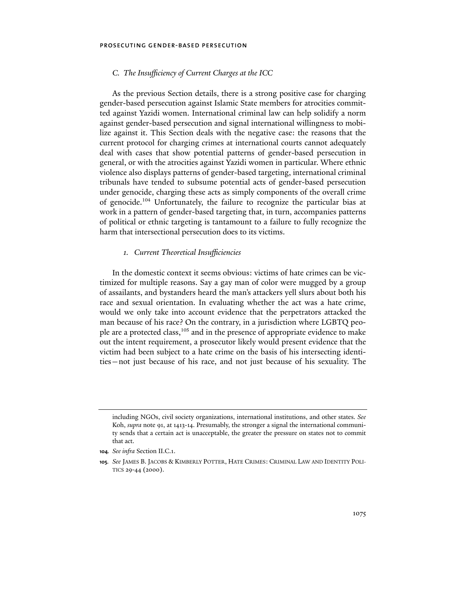# *C. The Insufficiency of Current Charges at the ICC*

As the previous Section details, there is a strong positive case for charging gender-based persecution against Islamic State members for atrocities committed against Yazidi women. International criminal law can help solidify a norm against gender-based persecution and signal international willingness to mobilize against it. This Section deals with the negative case: the reasons that the current protocol for charging crimes at international courts cannot adequately deal with cases that show potential patterns of gender-based persecution in general, or with the atrocities against Yazidi women in particular. Where ethnic violence also displays patterns of gender-based targeting, international criminal tribunals have tended to subsume potential acts of gender-based persecution under genocide, charging these acts as simply components of the overall crime of genocide.104 Unfortunately, the failure to recognize the particular bias at work in a pattern of gender-based targeting that, in turn, accompanies patterns of political or ethnic targeting is tantamount to a failure to fully recognize the harm that intersectional persecution does to its victims.

## *1. Current Theoretical Insufficiencies*

In the domestic context it seems obvious: victims of hate crimes can be victimized for multiple reasons. Say a gay man of color were mugged by a group of assailants, and bystanders heard the man's attackers yell slurs about both his race and sexual orientation. In evaluating whether the act was a hate crime, would we only take into account evidence that the perpetrators attacked the man because of his race? On the contrary, in a jurisdiction where LGBTQ people are a protected class,<sup>105</sup> and in the presence of appropriate evidence to make out the intent requirement, a prosecutor likely would present evidence that the victim had been subject to a hate crime on the basis of his intersecting identities—not just because of his race, and not just because of his sexuality. The

including NGOs, civil society organizations, international institutions, and other states. *See* Koh, *supra* note 91, at 1413-14. Presumably, the stronger a signal the international community sends that a certain act is unacceptable, the greater the pressure on states not to commit that act.

**<sup>104</sup>***. See infra* Section II.C.1.

**<sup>105</sup>***. See* JAMES B. JACOBS & KIMBERLY POTTER, HATE CRIMES: CRIMINAL LAW AND IDENTITY POLI-TICS 29-44 (2000).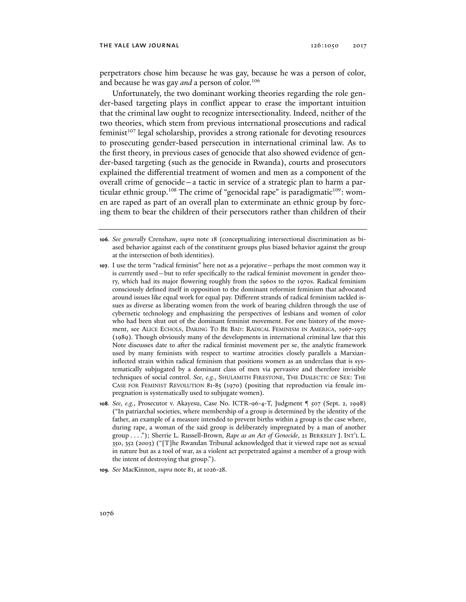perpetrators chose him because he was gay, because he was a person of color, and because he was gay *and* a person of color.<sup>106</sup>

Unfortunately, the two dominant working theories regarding the role gender-based targeting plays in conflict appear to erase the important intuition that the criminal law ought to recognize intersectionality. Indeed, neither of the two theories, which stem from previous international prosecutions and radical feminist<sup>107</sup> legal scholarship, provides a strong rationale for devoting resources to prosecuting gender-based persecution in international criminal law. As to the first theory, in previous cases of genocide that also showed evidence of gender-based targeting (such as the genocide in Rwanda), courts and prosecutors explained the differential treatment of women and men as a component of the overall crime of genocide—a tactic in service of a strategic plan to harm a particular ethnic group.<sup>108</sup> The crime of "genocidal rape" is paradigmatic<sup>109</sup>: women are raped as part of an overall plan to exterminate an ethnic group by forcing them to bear the children of their persecutors rather than children of their

- **108***. See, e.g.*, Prosecutor v. Akayesu, Case No. ICTR-96-4-T, Judgment ¶ 507 (Sept. 2, 1998) ("In patriarchal societies, where membership of a group is determined by the identity of the father, an example of a measure intended to prevent births within a group is the case where, during rape, a woman of the said group is deliberately impregnated by a man of another group . . . ."); Sherrie L. Russell-Brown, *Rape as an Act of Genocide*, 21 BERKELEY J. INT'L L. 350, 352 (2003) ("[T]he Rwandan Tribunal acknowledged that it viewed rape not as sexual in nature but as a tool of war, as a violent act perpetrated against a member of a group with the intent of destroying that group.").
- **109***. See* MacKinnon, *supra* note 81, at 1026-28.

**<sup>106</sup>***. See generally* Crenshaw, *supra* note 18 (conceptualizing intersectional discrimination as biased behavior against each of the constituent groups plus biased behavior against the group at the intersection of both identities).

**<sup>107</sup>**. I use the term "radical feminist" here not as a pejorative—perhaps the most common way it is currently used—but to refer specifically to the radical feminist movement in gender theory, which had its major flowering roughly from the 1960s to the 1970s. Radical feminism consciously defined itself in opposition to the dominant reformist feminism that advocated around issues like equal work for equal pay. Different strands of radical feminism tackled issues as diverse as liberating women from the work of bearing children through the use of cybernetic technology and emphasizing the perspectives of lesbians and women of color who had been shut out of the dominant feminist movement. For one history of the movement, see ALICE ECHOLS, DARING TO BE BAD: RADICAL FEMINISM IN AMERICA, 1967-1975 (1989). Though obviously many of the developments in international criminal law that this Note discusses date to after the radical feminist movement per se, the analytic framework used by many feminists with respect to wartime atrocities closely parallels a Marxianinflected strain within radical feminism that positions women as an underclass that is systematically subjugated by a dominant class of men via pervasive and therefore invisible techniques of social control. *See, e.g.*, SHULAMITH FIRESTONE, THE DIALECTIC OF SEX: THE CASE FOR FEMINIST REVOLUTION 81-85 (1970) (positing that reproduction via female impregnation is systematically used to subjugate women).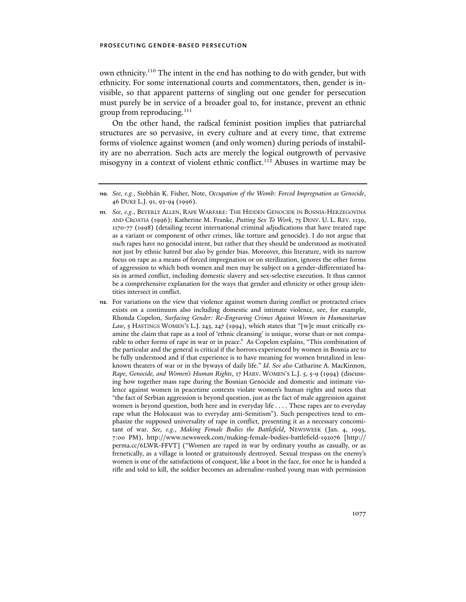own ethnicity.<sup>110</sup> The intent in the end has nothing to do with gender, but with ethnicity. For some international courts and commentators, then, gender is invisible, so that apparent patterns of singling out one gender for persecution must purely be in service of a broader goal to, for instance, prevent an ethnic group from reproducing.<sup>111</sup>

On the other hand, the radical feminist position implies that patriarchal structures are so pervasive, in every culture and at every time, that extreme forms of violence against women (and only women) during periods of instability are no aberration. Such acts are merely the logical outgrowth of pervasive misogyny in a context of violent ethnic conflict.<sup>112</sup> Abuses in wartime may be

**<sup>110</sup>***. See, e.g.*, Siobhán K. Fisher, Note, *Occupation of the Womb: Forced Impregnation as Genocide*, 46 DUKE L.J. 91, 92-94 (1996).

**<sup>111</sup>***. See, e.g.*, BEVERLY ALLEN, RAPE WARFARE: THE HIDDEN GENOCIDE IN BOSNIA-HERZEGOVINA AND CROATIA (1996); Katherine M. Franke, *Putting Sex To Work*, 75 DENV. U. L. REV. 1139, 1170-77 (1998) (detailing recent international criminal adjudications that have treated rape as a variant or component of other crimes, like torture and genocide). I do not argue that such rapes have no genocidal intent, but rather that they should be understood as motivated not just by ethnic hatred but also by gender bias. Moreover, this literature, with its narrow focus on rape as a means of forced impregnation or on sterilization, ignores the other forms of aggression to which both women and men may be subject on a gender-differentiated basis in armed conflict, including domestic slavery and sex-selective execution. It thus cannot be a comprehensive explanation for the ways that gender and ethnicity or other group identities intersect in conflict.

**<sup>112</sup>**. For variations on the view that violence against women during conflict or protracted crises exists on a continuum also including domestic and intimate violence, see, for example, Rhonda Copelon, *Surfacing Gender: Re-Engraving Crimes Against Women in Humanitarian Law*, 5 HASTINGS WOMEN'S L.J. 243, 247 (1994), which states that "[w]e must critically examine the claim that rape as a tool of 'ethnic cleansing' is unique, worse than or not comparable to other forms of rape in war or in peace." As Copelon explains, "This combination of the particular and the general is critical if the horrors experienced by women in Bosnia are to be fully understood and if that experience is to have meaning for women brutalized in lessknown theaters of war or in the byways of daily life." *Id*. *See also* Catharine A. MacKinnon, *Rape, Genocide, and Women's Human Rights*, 17 HARV. WOMEN'S L.J. 5, 5-9 (1994) (discussing how together mass rape during the Bosnian Genocide and domestic and intimate violence against women in peacetime contexts violate women's human rights and notes that "the fact of Serbian aggression is beyond question, just as the fact of male aggression against women is beyond question, both here and in everyday life . . . . These rapes are to everyday rape what the Holocaust was to everyday anti-Semitism"). Such perspectives tend to emphasize the supposed universality of rape in conflict, presenting it as a necessary concomitant of war. *See, e.g.*, *Making Female Bodies the Battlefield*, NEWSWEEK (Jan. 4, 1993, 7:00 PM), http://www.newsweek.com/making-female-bodies-battlefield-192076 [http:// perma.cc/6LWR-FFVT] ("Women are raped in war by ordinary youths as casually, or as frenetically, as a village is looted or gratuitously destroyed. Sexual trespass on the enemy's women is one of the satisfactions of conquest, like a boot in the face, for once he is handed a rifle and told to kill, the soldier becomes an adrenaline-rushed young man with permission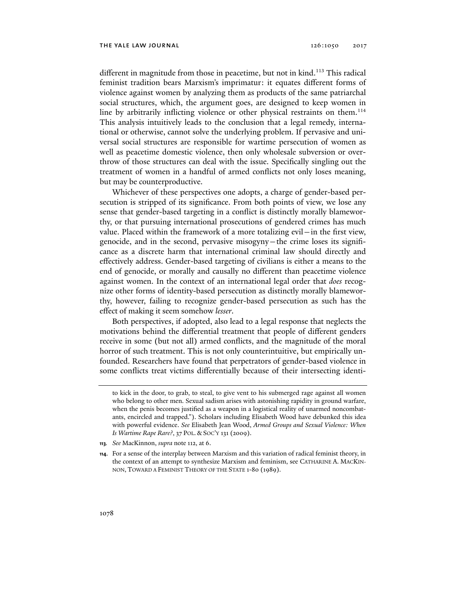different in magnitude from those in peacetime, but not in kind.<sup>113</sup> This radical feminist tradition bears Marxism's imprimatur: it equates different forms of violence against women by analyzing them as products of the same patriarchal social structures, which, the argument goes, are designed to keep women in line by arbitrarily inflicting violence or other physical restraints on them.<sup>114</sup> This analysis intuitively leads to the conclusion that a legal remedy, international or otherwise, cannot solve the underlying problem. If pervasive and universal social structures are responsible for wartime persecution of women as well as peacetime domestic violence, then only wholesale subversion or overthrow of those structures can deal with the issue. Specifically singling out the treatment of women in a handful of armed conflicts not only loses meaning, but may be counterproductive.

Whichever of these perspectives one adopts, a charge of gender-based persecution is stripped of its significance. From both points of view, we lose any sense that gender-based targeting in a conflict is distinctly morally blameworthy, or that pursuing international prosecutions of gendered crimes has much value. Placed within the framework of a more totalizing evil—in the first view, genocide, and in the second, pervasive misogyny—the crime loses its significance as a discrete harm that international criminal law should directly and effectively address. Gender-based targeting of civilians is either a means to the end of genocide, or morally and causally no different than peacetime violence against women. In the context of an international legal order that *does* recognize other forms of identity-based persecution as distinctly morally blameworthy, however, failing to recognize gender-based persecution as such has the effect of making it seem somehow *lesser*.

Both perspectives, if adopted, also lead to a legal response that neglects the motivations behind the differential treatment that people of different genders receive in some (but not all) armed conflicts, and the magnitude of the moral horror of such treatment. This is not only counterintuitive, but empirically unfounded. Researchers have found that perpetrators of gender-based violence in some conflicts treat victims differentially because of their intersecting identi-

to kick in the door, to grab, to steal, to give vent to his submerged rage against all women who belong to other men. Sexual sadism arises with astonishing rapidity in ground warfare, when the penis becomes justified as a weapon in a logistical reality of unarmed noncombatants, encircled and trapped."). Scholars including Elisabeth Wood have debunked this idea with powerful evidence. *See* Elisabeth Jean Wood, *Armed Groups and Sexual Violence: When Is Wartime Rape Rare?*, 37 POL. & SOC'Y 131 (2009).

**<sup>113</sup>***. See* MacKinnon, *supra* note 112, at 6.

**<sup>114</sup>**. For a sense of the interplay between Marxism and this variation of radical feminist theory, in the context of an attempt to synthesize Marxism and feminism, see CATHARINE A. MACKIN-NON, TOWARD A FEMINIST THEORY OF THE STATE 1-80 (1989).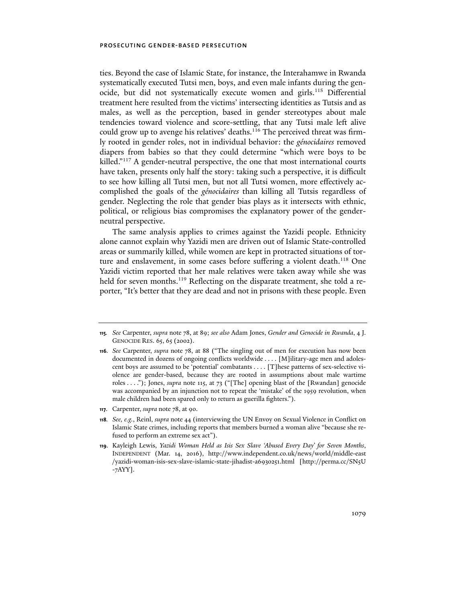ties. Beyond the case of Islamic State, for instance, the Interahamwe in Rwanda systematically executed Tutsi men, boys, and even male infants during the genocide, but did not systematically execute women and girls.115 Differential treatment here resulted from the victims' intersecting identities as Tutsis and as males, as well as the perception, based in gender stereotypes about male tendencies toward violence and score-settling, that any Tutsi male left alive could grow up to avenge his relatives' deaths.<sup>116</sup> The perceived threat was firmly rooted in gender roles, not in individual behavior: the *génocidaires* removed diapers from babies so that they could determine "which were boys to be killed."<sup>117</sup> A gender-neutral perspective, the one that most international courts have taken, presents only half the story: taking such a perspective, it is difficult to see how killing all Tutsi men, but not all Tutsi women, more effectively accomplished the goals of the *génocidaires* than killing all Tutsis regardless of gender. Neglecting the role that gender bias plays as it intersects with ethnic, political, or religious bias compromises the explanatory power of the genderneutral perspective.

The same analysis applies to crimes against the Yazidi people. Ethnicity alone cannot explain why Yazidi men are driven out of Islamic State-controlled areas or summarily killed, while women are kept in protracted situations of torture and enslavement, in some cases before suffering a violent death.<sup>118</sup> One Yazidi victim reported that her male relatives were taken away while she was held for seven months.<sup>119</sup> Reflecting on the disparate treatment, she told a reporter, "It's better that they are dead and not in prisons with these people. Even

**117**. Carpenter, *supra* note 78, at 90.

**<sup>115</sup>***. See* Carpenter, *supra* note 78, at 89; *see also* Adam Jones, *Gender and Genocide in Rwanda*, 4 J. GENOCIDE RES. 65, 65 (2002).

**<sup>116</sup>***. See* Carpenter, *supra* note 78, at 88 ("The singling out of men for execution has now been documented in dozens of ongoing conflicts worldwide . . . . [M]ilitary-age men and adolescent boys are assumed to be 'potential' combatants . . . . [T]hese patterns of sex-selective violence are gender-based, because they are rooted in assumptions about male wartime roles . . . ."); Jones, *supra* note 115, at 73 ("[The] opening blast of the [Rwandan] genocide was accompanied by an injunction not to repeat the 'mistake' of the 1959 revolution, when male children had been spared only to return as guerilla fighters.").

**<sup>118</sup>***. See, e.g.*, Reinl, *supra* note 44 (interviewing the UN Envoy on Sexual Violence in Conflict on Islamic State crimes, including reports that members burned a woman alive "because she refused to perform an extreme sex act").

**<sup>119</sup>**. Kayleigh Lewis, *Yazidi Woman Held as Isis Sex Slave 'Abused Every Day' for Seven Months*, INDEPENDENT (Mar. 14, 2016), http://www.independent.co.uk/news/world/middle-east /yazidi-woman-isis-sex-slave-islamic-state-jihadist-a6930251.html [http://perma.cc/SN5U -7AYY].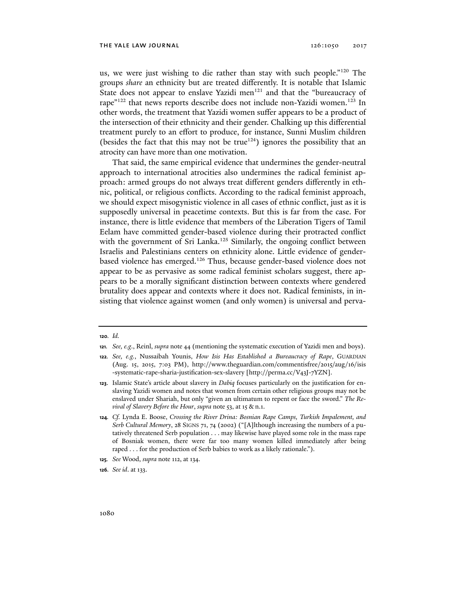us, we were just wishing to die rather than stay with such people."120 The groups *share* an ethnicity but are treated differently. It is notable that Islamic State does not appear to enslave Yazidi men<sup>121</sup> and that the "bureaucracy of rape"<sup>122</sup> that news reports describe does not include non-Yazidi women.<sup>123</sup> In other words, the treatment that Yazidi women suffer appears to be a product of the intersection of their ethnicity and their gender. Chalking up this differential treatment purely to an effort to produce, for instance, Sunni Muslim children (besides the fact that this may not be true<sup>124</sup>) ignores the possibility that an atrocity can have more than one motivation.

That said, the same empirical evidence that undermines the gender-neutral approach to international atrocities also undermines the radical feminist approach: armed groups do not always treat different genders differently in ethnic, political, or religious conflicts. According to the radical feminist approach, we should expect misogynistic violence in all cases of ethnic conflict, just as it is supposedly universal in peacetime contexts. But this is far from the case. For instance, there is little evidence that members of the Liberation Tigers of Tamil Eelam have committed gender-based violence during their protracted conflict with the government of Sri Lanka.<sup>125</sup> Similarly, the ongoing conflict between Israelis and Palestinians centers on ethnicity alone. Little evidence of genderbased violence has emerged.126 Thus, because gender-based violence does not appear to be as pervasive as some radical feminist scholars suggest, there appears to be a morally significant distinction between contexts where gendered brutality does appear and contexts where it does not. Radical feminists, in insisting that violence against women (and only women) is universal and perva-

- **125***. See* Wood, *supra* note 112, at 134.
- **126***. See id*. at 133.

**<sup>120</sup>***. Id.*

**<sup>121</sup>***. See, e.g*., Reinl, *supra* note 44 (mentioning the systematic execution of Yazidi men and boys).

**<sup>122</sup>***. See, e.g.*, Nussaibah Younis, *How Isis Has Established a Bureaucracy of Rape*, GUARDIAN (Aug. 15, 2015, 7:03 PM), http://www.theguardian.com/commentisfree/2015/aug/16/isis -systematic-rape-sharia-justification-sex-slavery [http://perma.cc/V43J-7YZN].

**<sup>123</sup>**. Islamic State's article about slavery in *Dabiq* focuses particularly on the justification for enslaving Yazidi women and notes that women from certain other religious groups may not be enslaved under Shariah, but only "given an ultimatum to repent or face the sword." *The Revival of Slavery Before the Hour*, *supra* note 53, at 15 & n.1.

**<sup>124</sup>***. Cf.* Lynda E. Boose, *Crossing the River Drina: Bosnian Rape Camps, Turkish Impalement, and Serb Cultural Memory*, 28 SIGNS 71, 74 (2002) ("[A]lthough increasing the numbers of a putatively threatened Serb population . . . may likewise have played some role in the mass rape of Bosniak women, there were far too many women killed immediately after being raped . . . for the production of Serb babies to work as a likely rationale.").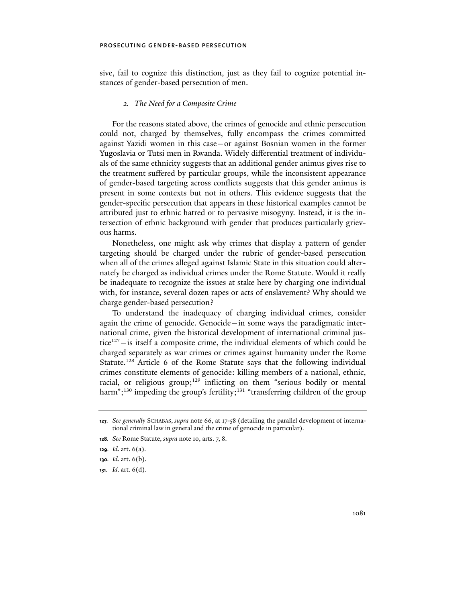sive, fail to cognize this distinction, just as they fail to cognize potential instances of gender-based persecution of men.

## *2. The Need for a Composite Crime*

For the reasons stated above, the crimes of genocide and ethnic persecution could not, charged by themselves, fully encompass the crimes committed against Yazidi women in this case—or against Bosnian women in the former Yugoslavia or Tutsi men in Rwanda. Widely differential treatment of individuals of the same ethnicity suggests that an additional gender animus gives rise to the treatment suffered by particular groups, while the inconsistent appearance of gender-based targeting across conflicts suggests that this gender animus is present in some contexts but not in others. This evidence suggests that the gender-specific persecution that appears in these historical examples cannot be attributed just to ethnic hatred or to pervasive misogyny. Instead, it is the intersection of ethnic background with gender that produces particularly grievous harms.

Nonetheless, one might ask why crimes that display a pattern of gender targeting should be charged under the rubric of gender-based persecution when all of the crimes alleged against Islamic State in this situation could alternately be charged as individual crimes under the Rome Statute. Would it really be inadequate to recognize the issues at stake here by charging one individual with, for instance, several dozen rapes or acts of enslavement? Why should we charge gender-based persecution?

To understand the inadequacy of charging individual crimes, consider again the crime of genocide. Genocide—in some ways the paradigmatic international crime, given the historical development of international criminal justice $127$  – is itself a composite crime, the individual elements of which could be charged separately as war crimes or crimes against humanity under the Rome Statute.<sup>128</sup> Article 6 of the Rome Statute says that the following individual crimes constitute elements of genocide: killing members of a national, ethnic, racial, or religious group;<sup>129</sup> inflicting on them "serious bodily or mental harm";<sup>130</sup> impeding the group's fertility;<sup>131</sup> "transferring children of the group

**131***. Id*. art. 6(d).

**<sup>127</sup>***. See generally* SCHABAS, *supra* note 66, at 17-58 (detailing the parallel development of international criminal law in general and the crime of genocide in particular).

**<sup>128</sup>***. See* Rome Statute, *supra* note 10, arts. 7, 8.

**<sup>129</sup>***. Id*. art. 6(a).

**<sup>130</sup>***. Id*. art. 6(b).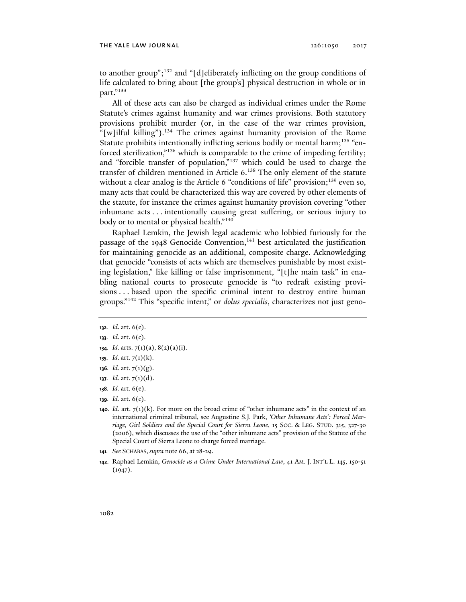to another group";132 and "[d]eliberately inflicting on the group conditions of life calculated to bring about [the group's] physical destruction in whole or in part."133

All of these acts can also be charged as individual crimes under the Rome Statute's crimes against humanity and war crimes provisions. Both statutory provisions prohibit murder (or, in the case of the war crimes provision, "[w]ilful killing").<sup>134</sup> The crimes against humanity provision of the Rome Statute prohibits intentionally inflicting serious bodily or mental harm;<sup>135</sup> "enforced sterilization,"136 which is comparable to the crime of impeding fertility; and "forcible transfer of population,"137 which could be used to charge the transfer of children mentioned in Article 6.138 The only element of the statute without a clear analog is the Article 6 "conditions of life" provision;<sup>139</sup> even so, many acts that could be characterized this way are covered by other elements of the statute, for instance the crimes against humanity provision covering "other inhumane acts . . . intentionally causing great suffering, or serious injury to body or to mental or physical health."<sup>140</sup>

Raphael Lemkin, the Jewish legal academic who lobbied furiously for the passage of the 1948 Genocide Convention, $141$  best articulated the justification for maintaining genocide as an additional, composite charge. Acknowledging that genocide "consists of acts which are themselves punishable by most existing legislation," like killing or false imprisonment, "[t]he main task" in enabling national courts to prosecute genocide is "to redraft existing provisions . . . based upon the specific criminal intent to destroy entire human groups."142 This "specific intent," or *dolus specialis*, characterizes not just geno-

- **134***. Id*. arts. 7(1)(a), 8(2)(a)(i).
- **135***. Id*. art. 7(1)(k).
- **136***. Id.* art. 7(1)(g).
- **137***. Id.* art. 7(1)(d).
- **138***. Id.* art. 6(e).
- **139***. Id.* art. 6(c).
- **140***. Id.* art. 7(1)(k). For more on the broad crime of "other inhumane acts" in the context of an international criminal tribunal, see Augustine S.J. Park, *'Other Inhumane Acts': Forced Marriage, Girl Soldiers and the Special Court for Sierra Leone*, 15 SOC. & LEG. STUD. 315, 327-30 (2006), which discusses the use of the "other inhumane acts" provision of the Statute of the Special Court of Sierra Leone to charge forced marriage.
- **141***. See* SCHABAS, *supra* note 66, at 28-29.
- **142**. Raphael Lemkin, *Genocide as a Crime Under International Law*, 41 AM. J. INT'L L. 145, 150-51  $(1947).$

**<sup>132</sup>***. Id*. art. 6(e).

**<sup>133</sup>***. Id*. art. 6(c).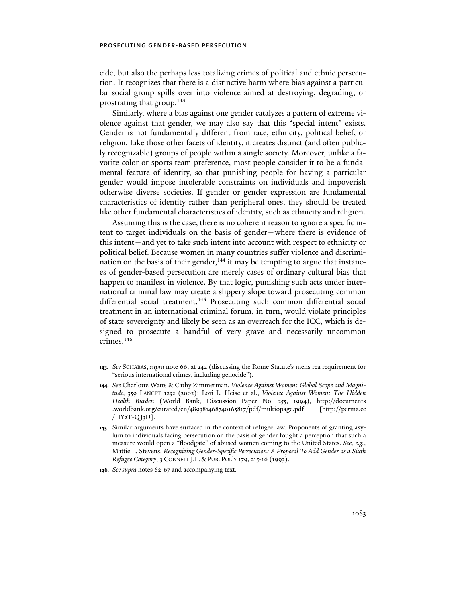cide, but also the perhaps less totalizing crimes of political and ethnic persecution. It recognizes that there is a distinctive harm where bias against a particular social group spills over into violence aimed at destroying, degrading, or prostrating that group.143

Similarly, where a bias against one gender catalyzes a pattern of extreme violence against that gender, we may also say that this "special intent" exists. Gender is not fundamentally different from race, ethnicity, political belief, or religion. Like those other facets of identity, it creates distinct (and often publicly recognizable) groups of people within a single society. Moreover, unlike a favorite color or sports team preference, most people consider it to be a fundamental feature of identity, so that punishing people for having a particular gender would impose intolerable constraints on individuals and impoverish otherwise diverse societies. If gender or gender expression are fundamental characteristics of identity rather than peripheral ones, they should be treated like other fundamental characteristics of identity, such as ethnicity and religion.

Assuming this is the case, there is no coherent reason to ignore a specific intent to target individuals on the basis of gender—where there is evidence of this intent—and yet to take such intent into account with respect to ethnicity or political belief. Because women in many countries suffer violence and discrimination on the basis of their gender,  $144$  it may be tempting to argue that instances of gender-based persecution are merely cases of ordinary cultural bias that happen to manifest in violence. By that logic, punishing such acts under international criminal law may create a slippery slope toward prosecuting common differential social treatment.<sup>145</sup> Prosecuting such common differential social treatment in an international criminal forum, in turn, would violate principles of state sovereignty and likely be seen as an overreach for the ICC, which is designed to prosecute a handful of very grave and necessarily uncommon crimes.146

**<sup>143</sup>***. See* SCHABAS, *supra* note 66, at 242 (discussing the Rome Statute's mens rea requirement for "serious international crimes, including genocide").

**<sup>144</sup>***. See* Charlotte Watts & Cathy Zimmerman, *Violence Against Women: Global Scope and Magnitude*, 359 LANCET 1232 (2002); Lori L. Heise et al., *Violence Against Women: The Hidden Health Burden* (World Bank, Discussion Paper No. 255, 1994), http://documents .worldbank.org/curated/en/489381468740165817/pdf/multi0page.pdf [http://perma.cc /HY2T-QJ3D].

**<sup>145</sup>**. Similar arguments have surfaced in the context of refugee law. Proponents of granting asylum to individuals facing persecution on the basis of gender fought a perception that such a measure would open a "floodgate" of abused women coming to the United States. *See, e.g.*, Mattie L. Stevens, *Recognizing Gender-Specific Persecution: A Proposal To Add Gender as a Sixth Refugee Category*, 3 CORNELL J.L. & PUB. POL'Y 179, 215-16 (1993).

**<sup>146</sup>***. See supra* notes 62-67 and accompanying text.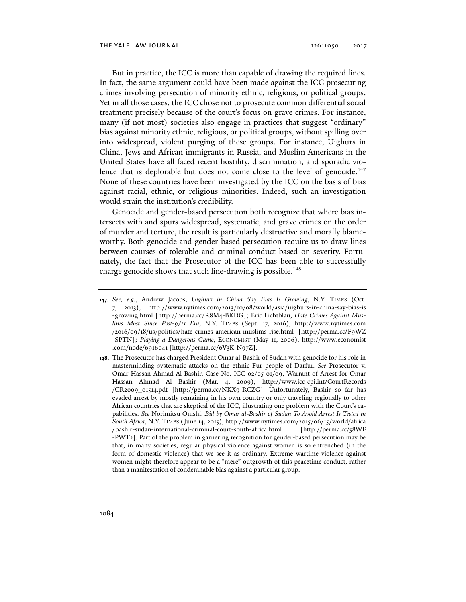But in practice, the ICC is more than capable of drawing the required lines. In fact, the same argument could have been made against the ICC prosecuting crimes involving persecution of minority ethnic, religious, or political groups. Yet in all those cases, the ICC chose not to prosecute common differential social treatment precisely because of the court's focus on grave crimes. For instance, many (if not most) societies also engage in practices that suggest "ordinary" bias against minority ethnic, religious, or political groups, without spilling over into widespread, violent purging of these groups. For instance, Uighurs in China, Jews and African immigrants in Russia, and Muslim Americans in the United States have all faced recent hostility, discrimination, and sporadic violence that is deplorable but does not come close to the level of genocide.<sup>147</sup> None of these countries have been investigated by the ICC on the basis of bias against racial, ethnic, or religious minorities. Indeed, such an investigation would strain the institution's credibility.

Genocide and gender-based persecution both recognize that where bias intersects with and spurs widespread, systematic, and grave crimes on the order of murder and torture, the result is particularly destructive and morally blameworthy. Both genocide and gender-based persecution require us to draw lines between courses of tolerable and criminal conduct based on severity. Fortunately, the fact that the Prosecutor of the ICC has been able to successfully charge genocide shows that such line-drawing is possible.<sup>148</sup>

**<sup>147</sup>***. See, e.g.*, Andrew Jacobs, *Uighurs in China Say Bias Is Growing*, N.Y. TIMES (Oct. 7, 2013), http://www.nytimes.com/2013/10/08/world/asia/uighurs-in-china-say-bias-is -growing.html [http://perma.cc/R8M4-BKDG]; Eric Lichtblau, *Hate Crimes Against Muslims Most Since Post-9/11 Era*, N.Y. TIMES (Sept. 17, 2016), http://www.nytimes.com /2016/09/18/us/politics/hate-crimes-american-muslims-rise.html [http://perma.cc/F9WZ -SPTN]; *Playing a Dangerous Game*, ECONOMIST (May 11, 2006), http://www.economist .com/node/6916041 [http://perma.cc/6V3K-N97Z].

**<sup>148</sup>**. The Prosecutor has charged President Omar al-Bashir of Sudan with genocide for his role in masterminding systematic attacks on the ethnic Fur people of Darfur. *See* Prosecutor v. Omar Hassan Ahmad Al Bashir, Case No. ICC-02/05-01/09, Warrant of Arrest for Omar Hassan Ahmad Al Bashir (Mar. 4, 2009), http://www.icc-cpi.int/CourtRecords /CR2009\_01514.pdf [http://perma.cc/NKX9-RCZG]. Unfortunately, Bashir so far has evaded arrest by mostly remaining in his own country or only traveling regionally to other African countries that are skeptical of the ICC, illustrating one problem with the Court's capabilities. *See* Norimitsu Onishi, *Bid by Omar al-Bashir of Sudan To Avoid Arrest Is Tested in South Africa*, N.Y. TIMES (June 14, 2015), http://www.nytimes.com/2015/06/15/world/africa /bashir-sudan-international-criminal-court-south-africa.html [http://perma.cc/58WF -PWT2]. Part of the problem in garnering recognition for gender-based persecution may be that, in many societies, regular physical violence against women is so entrenched (in the form of domestic violence) that we see it as ordinary. Extreme wartime violence against women might therefore appear to be a "mere" outgrowth of this peacetime conduct, rather than a manifestation of condemnable bias against a particular group.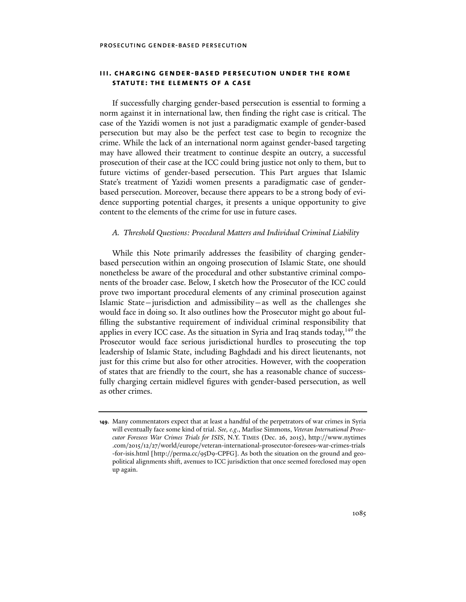# **iii. charging gender-based persecution under the rome statute: the elements of a case**

If successfully charging gender-based persecution is essential to forming a norm against it in international law, then finding the right case is critical. The case of the Yazidi women is not just a paradigmatic example of gender-based persecution but may also be the perfect test case to begin to recognize the crime. While the lack of an international norm against gender-based targeting may have allowed their treatment to continue despite an outcry, a successful prosecution of their case at the ICC could bring justice not only to them, but to future victims of gender-based persecution. This Part argues that Islamic State's treatment of Yazidi women presents a paradigmatic case of genderbased persecution. Moreover, because there appears to be a strong body of evidence supporting potential charges, it presents a unique opportunity to give content to the elements of the crime for use in future cases.

## *A. Threshold Questions: Procedural Matters and Individual Criminal Liability*

While this Note primarily addresses the feasibility of charging genderbased persecution within an ongoing prosecution of Islamic State, one should nonetheless be aware of the procedural and other substantive criminal components of the broader case. Below, I sketch how the Prosecutor of the ICC could prove two important procedural elements of any criminal prosecution against Islamic State—jurisdiction and admissibility—as well as the challenges she would face in doing so. It also outlines how the Prosecutor might go about fulfilling the substantive requirement of individual criminal responsibility that applies in every ICC case. As the situation in Syria and Iraq stands today, $149$  the Prosecutor would face serious jurisdictional hurdles to prosecuting the top leadership of Islamic State, including Baghdadi and his direct lieutenants, not just for this crime but also for other atrocities. However, with the cooperation of states that are friendly to the court, she has a reasonable chance of successfully charging certain midlevel figures with gender-based persecution, as well as other crimes.

**<sup>149</sup>**. Many commentators expect that at least a handful of the perpetrators of war crimes in Syria will eventually face some kind of trial. *See, e.g*., Marlise Simmons, *Veteran International Prosecutor Foresees War Crimes Trials for ISIS*, N.Y. TIMES (Dec. 26, 2015), http:// www .nytimes .com/2015/12/27/world/europe/veteran-international-prosecutor-foresees-war-crimes-trials -for-isis.html [http://perma.cc/95D9-CPFG]. As both the situation on the ground and geopolitical alignments shift, avenues to ICC jurisdiction that once seemed foreclosed may open up again.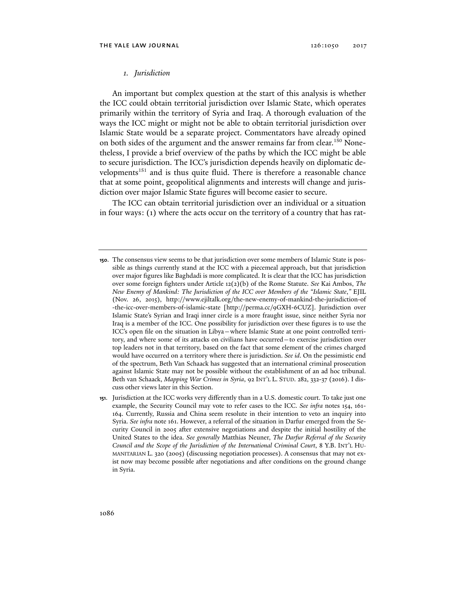## *1. Jurisdiction*

An important but complex question at the start of this analysis is whether the ICC could obtain territorial jurisdiction over Islamic State, which operates primarily within the territory of Syria and Iraq. A thorough evaluation of the ways the ICC might or might not be able to obtain territorial jurisdiction over Islamic State would be a separate project. Commentators have already opined on both sides of the argument and the answer remains far from clear.<sup>150</sup> Nonetheless, I provide a brief overview of the paths by which the ICC might be able to secure jurisdiction. The ICC's jurisdiction depends heavily on diplomatic developments<sup>151</sup> and is thus quite fluid. There is therefore a reasonable chance that at some point, geopolitical alignments and interests will change and jurisdiction over major Islamic State figures will become easier to secure.

The ICC can obtain territorial jurisdiction over an individual or a situation in four ways: (1) where the acts occur on the territory of a country that has rat-

**<sup>150</sup>**. The consensus view seems to be that jurisdiction over some members of Islamic State is possible as things currently stand at the ICC with a piecemeal approach, but that jurisdiction over major figures like Baghdadi is more complicated. It is clear that the ICC has jurisdiction over some foreign fighters under Article 12(2)(b) of the Rome Statute. *See* Kai Ambos, *The New Enemy of Mankind: The Jurisdiction of the ICC over Members of the "Islamic State*,*"* EJIL (Nov. 26, 2015), http://www.ejiltalk.org/the-new-enemy-of-mankind-the-jurisdiction-of -the-icc-over-members-of-islamic-state [http://perma.cc/9GXH-6CUZ]. Jurisdiction over Islamic State's Syrian and Iraqi inner circle is a more fraught issue, since neither Syria nor Iraq is a member of the ICC. One possibility for jurisdiction over these figures is to use the ICC's open file on the situation in Libya—where Islamic State at one point controlled territory, and where some of its attacks on civilians have occurred—to exercise jurisdiction over top leaders not in that territory, based on the fact that some element of the crimes charged would have occurred on a territory where there is jurisdiction. *See id*. On the pessimistic end of the spectrum, Beth Van Schaack has suggested that an international criminal prosecution against Islamic State may not be possible without the establishment of an ad hoc tribunal. Beth van Schaack, *Mapping War Crimes in Syria*, 92 INT'L L. STUD. 282, 332-37 (2016). I discuss other views later in this Section.

**<sup>151</sup>**. Jurisdiction at the ICC works very differently than in a U.S. domestic court. To take just one example, the Security Council may vote to refer cases to the ICC. *See infra* notes 154, 161- 164. Currently, Russia and China seem resolute in their intention to veto an inquiry into Syria. *See infra* note 161. However, a referral of the situation in Darfur emerged from the Security Council in 2005 after extensive negotiations and despite the initial hostility of the United States to the idea. *See generally* Matthias Neuner, *The Darfur Referral of the Security Council and the Scope of the Jurisdiction of the International Criminal Court*, 8 Y.B. INT'L HU-MANITARIAN L. 320 (2005) (discussing negotiation processes). A consensus that may not exist now may become possible after negotiations and after conditions on the ground change in Syria.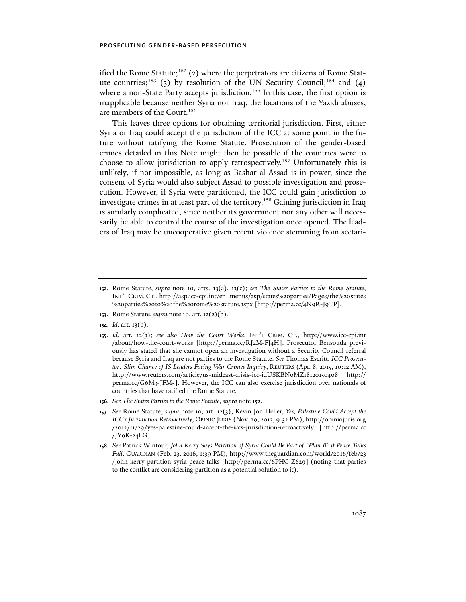ified the Rome Statute;<sup>152</sup> (2) where the perpetrators are citizens of Rome Statute countries;<sup>153</sup> (3) by resolution of the UN Security Council;<sup>154</sup> and (4) where a non-State Party accepts jurisdiction.<sup>155</sup> In this case, the first option is inapplicable because neither Syria nor Iraq, the locations of the Yazidi abuses, are members of the Court.<sup>156</sup>

This leaves three options for obtaining territorial jurisdiction. First, either Syria or Iraq could accept the jurisdiction of the ICC at some point in the future without ratifying the Rome Statute. Prosecution of the gender-based crimes detailed in this Note might then be possible if the countries were to choose to allow jurisdiction to apply retrospectively.157 Unfortunately this is unlikely, if not impossible, as long as Bashar al-Assad is in power, since the consent of Syria would also subject Assad to possible investigation and prosecution. However, if Syria were partitioned, the ICC could gain jurisdiction to investigate crimes in at least part of the territory.158 Gaining jurisdiction in Iraq is similarly complicated, since neither its government nor any other will necessarily be able to control the course of the investigation once opened. The leaders of Iraq may be uncooperative given recent violence stemming from sectari-

- **153**. Rome Statute, *supra* note 10, art. 12(2)(b).
- **154**. *Id.* art. 13(b).
- **155**. *Id.* art. 12(3); *see also How the Court Works*, INT'L CRIM. CT., http://www.icc-cpi.int /about/how-the-court-works [http://perma.cc/RJ2M-FJ4H]. Prosecutor Bensouda previously has stated that she cannot open an investigation without a Security Council referral because Syria and Iraq are not parties to the Rome Statute. *See* Thomas Escritt, *ICC Prosecutor: Slim Chance of IS Leaders Facing War Crimes Inquiry*, REUTERS (Apr. 8, 2015, 10:12 AM), http://www.reuters.com/article/us-mideast-crisis-icc-idUSKBN0MZ18120150408 [http:// perma.cc/G6M3-JFM5]. However, the ICC can also exercise jurisdiction over nationals of countries that have ratified the Rome Statute.
- **156***. See The States Parties to the Rome Statute*, *supra* note 152.
- **157***. See* Rome Statute, *supra* note 10, art. 12(3); Kevin Jon Heller, *Yes, Palestine Could Accept the ICC's Jurisdiction Retroactively*, OPINIO JURIS (Nov. 29, 2012, 9:32 PM), http://opiniojuris.org /2012/11/29/yes-palestine-could-accept-the-iccs-jurisdiction-retroactively [http://perma.cc /JY9K-24LG].
- **158***. See* Patrick Wintour, *John Kerry Says Partition of Syria Could Be Part of "Plan B" if Peace Talks Fail*, GUARDIAN (Feb. 23, 2016, 1:39 PM), http://www.theguardian.com/world/2016/feb/23 /john-kerry-partition-syria-peace-talks [http://perma.cc/6PHC-Z629] (noting that parties to the conflict are considering partition as a potential solution to it).

**<sup>152</sup>**. Rome Statute, *supra* note 10, arts. 13(a), 13(c); *see The States Parties to the Rome Statute*, INT'L CRIM. CT., http://asp.icc-cpi.int/en\_menus/asp/states%20parties/Pages/the%20states %20parties%20to%20the%20rome%20statute.aspx [http://perma.cc/4N9R-J9TP].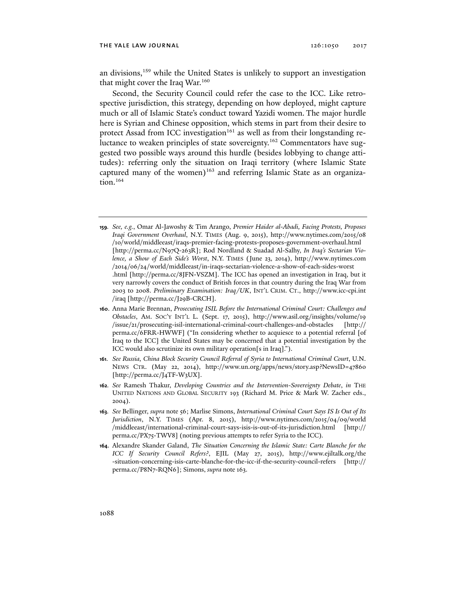an divisions,159 while the United States is unlikely to support an investigation that might cover the Iraq War.<sup>160</sup>

Second, the Security Council could refer the case to the ICC. Like retrospective jurisdiction, this strategy, depending on how deployed, might capture much or all of Islamic State's conduct toward Yazidi women. The major hurdle here is Syrian and Chinese opposition, which stems in part from their desire to protect Assad from ICC investigation<sup>161</sup> as well as from their longstanding reluctance to weaken principles of state sovereignty.<sup>162</sup> Commentators have suggested two possible ways around this hurdle (besides lobbying to change attitudes): referring only the situation on Iraqi territory (where Islamic State captured many of the women)<sup>163</sup> and referring Islamic State as an organization.<sup>164</sup>

- **159***. See, e.g.*, Omar Al-Jawoshy & Tim Arango, *Premier Haider al-Abadi, Facing Protests, Proposes Iraqi Government Overhaul*, N.Y. TIMES (Aug. 9, 2015), http://www.nytimes.com/2015/08 /10/world/middleeast/iraqs-premier-facing-protests-proposes-government-overhaul.html [http://perma.cc/N97Q-263R]; Rod Nordland & Suadad Al-Salhy, *In Iraq's Sectarian Violence, a Show of Each Side's Worst*, N.Y. TIMES (June 23, 2014), http://www .nytimes .com /2014/06/24/world/middleeast/in-iraqs-sectarian-violence-a-show-of-each-sides-worst .html [http://perma.cc/8JFN-VSZM]. The ICC has opened an investigation in Iraq, but it very narrowly covers the conduct of British forces in that country during the Iraq War from 2003 to 2008. *Preliminary Examination: Iraq/UK*, INT'L CRIM. CT., http://www.icc-cpi.int /iraq [http://perma.cc/J29B-CRCH].
- **160**. Anna Marie Brennan, *Prosecuting ISIL Before the International Criminal Court: Challenges and Obstacles*, AM. SOC'Y INT'L L. (Sept. 17, 2015), http://www.asil.org/insights/volume/19 /issue/21/prosecuting-isil-international-criminal-court-challenges-and-obstacles [http:// perma.cc/6FRR-HWWF] ("In considering whether to acquiesce to a potential referral [of Iraq to the ICC] the United States may be concerned that a potential investigation by the ICC would also scrutinize its own military operation[s in Iraq].").
- **161***. See Russia, China Block Security Council Referral of Syria to International Criminal Court*, U.N. NEWS CTR. (May 22, 2014), http://www.un.org/apps/news/story.asp?NewsID=47860 [http://perma.cc/J4TF-W3UX].
- **162***. See* Ramesh Thakur, *Developing Countries and the Intervention-Sovereignty Debate*, *in* THE UNITED NATIONS AND GLOBAL SECURITY 193 (Richard M. Price & Mark W. Zacher eds., 2004).
- **163***. See* Bellinger, *supra* note 56; Marlise Simons, *International Criminal Court Says IS Is Out of Its Jurisdiction*, N.Y. TIMES (Apr. 8, 2015), http://www.nytimes.com/2015/04/09/world /middleeast/international-criminal-court-says-isis-is-out-of-its-jurisdiction.html [http:// perma.cc/PX75-TWV8] (noting previous attempts to refer Syria to the ICC)*.*
- **164**. Alexandre Skander Galand, *The Situation Concerning the Islamic State: Carte Blanche for the ICC If Security Council Refers?*, EJIL (May 27, 2015), http://www.ejiltalk.org/the -situation-concerning-isis-carte-blanche-for-the-icc-if-the-security-council-refers [http:// perma.cc/P8N7-RQN6]; Simons, *supra* note 163.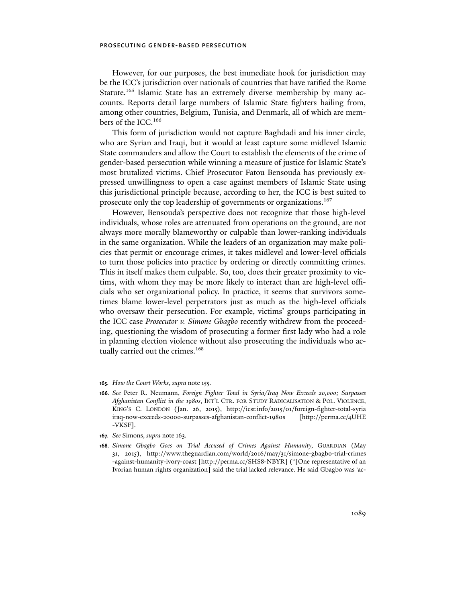However, for our purposes, the best immediate hook for jurisdiction may be the ICC's jurisdiction over nationals of countries that have ratified the Rome Statute.<sup>165</sup> Islamic State has an extremely diverse membership by many accounts. Reports detail large numbers of Islamic State fighters hailing from, among other countries, Belgium, Tunisia, and Denmark, all of which are members of the ICC.<sup>166</sup>

This form of jurisdiction would not capture Baghdadi and his inner circle, who are Syrian and Iraqi, but it would at least capture some midlevel Islamic State commanders and allow the Court to establish the elements of the crime of gender-based persecution while winning a measure of justice for Islamic State's most brutalized victims. Chief Prosecutor Fatou Bensouda has previously expressed unwillingness to open a case against members of Islamic State using this jurisdictional principle because, according to her, the ICC is best suited to prosecute only the top leadership of governments or organizations.<sup>167</sup>

However, Bensouda's perspective does not recognize that those high-level individuals, whose roles are attenuated from operations on the ground, are not always more morally blameworthy or culpable than lower-ranking individuals in the same organization. While the leaders of an organization may make policies that permit or encourage crimes, it takes midlevel and lower-level officials to turn those policies into practice by ordering or directly committing crimes. This in itself makes them culpable. So, too, does their greater proximity to victims, with whom they may be more likely to interact than are high-level officials who set organizational policy. In practice, it seems that survivors sometimes blame lower-level perpetrators just as much as the high-level officials who oversaw their persecution. For example, victims' groups participating in the ICC case *Prosecutor v. Simone Gbagbo* recently withdrew from the proceeding, questioning the wisdom of prosecuting a former first lady who had a role in planning election violence without also prosecuting the individuals who actually carried out the crimes.<sup>168</sup>

**167***. See* Simons, *supra* note 163.

**<sup>165</sup>***. How the Court Works*, *supra* note 155.

**<sup>166</sup>***. See* Peter R. Neumann, *Foreign Fighter Total in Syria/Iraq Now Exceeds 20,000; Surpasses Afghanistan Conflict in the 1980s*, INT'L CTR. FOR STUDY RADICALISATION & POL. VIOLENCE, KING'S C. LONDON (Jan. 26, 2015), http://icsr.info/2015/01/foreign-fighter-total-syria iraq-now-exceeds-20000-surpasses-afghanistan-conflict-1980s [http://perma.cc/4UHE -VKSF].

**<sup>168</sup>***. Simone Gbagbo Goes on Trial Accused of Crimes Against Humanity*, GUARDIAN (May 31, 2015), http://www.theguardian.com/world/2016/may/31/simone-gbagbo-trial-crimes -against-humanity-ivory-coast [http://perma.cc/SHS8-NBYR] ("[One representative of an Ivorian human rights organization] said the trial lacked relevance. He said Gbagbo was 'ac-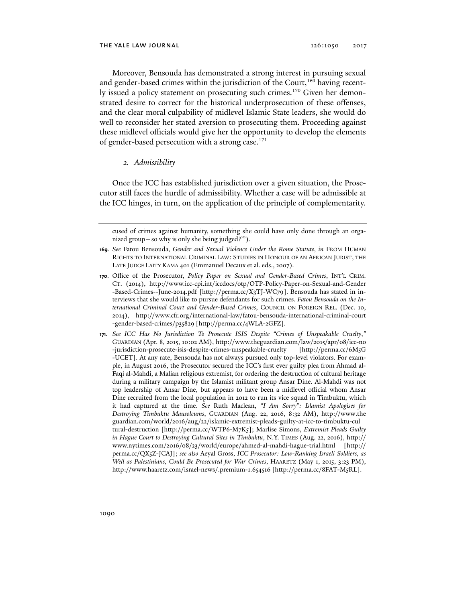Moreover, Bensouda has demonstrated a strong interest in pursuing sexual and gender-based crimes within the jurisdiction of the Court,<sup>169</sup> having recently issued a policy statement on prosecuting such crimes.<sup>170</sup> Given her demonstrated desire to correct for the historical underprosecution of these offenses, and the clear moral culpability of midlevel Islamic State leaders, she would do well to reconsider her stated aversion to prosecuting them. Proceeding against these midlevel officials would give her the opportunity to develop the elements of gender-based persecution with a strong case.<sup>171</sup>

## *2. Admissibility*

Once the ICC has established jurisdiction over a given situation, the Prosecutor still faces the hurdle of admissibility. Whether a case will be admissible at the ICC hinges, in turn, on the application of the principle of complementarity.

cused of crimes against humanity, something she could have only done through an organized group—so why is only she being judged?'").

**<sup>169</sup>***. See* Fatou Bensouda, *Gender and Sexual Violence Under the Rome Statute*, *in* FROM HUMAN RIGHTS TO INTERNATIONAL CRIMINAL LAW: STUDIES IN HONOUR OF AN AFRICAN JURIST, THE LATE JUDGE LAÏTY KAMA 401 (Emmanuel Decaux et al. eds., 2007).

**<sup>170</sup>**. Office of the Prosecutor, *Policy Paper on Sexual and Gender-Based Crimes*, INT'L CRIM. CT. (2014), http://www.icc-cpi.int/iccdocs/otp/OTP-Policy-Paper-on-Sexual-and-Gender -Based-Crimes--June-2014.pdf [http://perma.cc/X3TJ-WC79]. Bensouda has stated in interviews that she would like to pursue defendants for such crimes. *Fatou Bensouda on the International Criminal Court and Gender-Based Crimes*, COUNCIL ON FOREIGN REL. (Dec. 10, 2014), http://www.cfr.org/international-law/fatou-bensouda-international-criminal-court -gender-based-crimes/p35829 [http://perma.cc/4WLA-2GFZ].

**<sup>171</sup>***. See ICC Has No Jurisdiction To Prosecute ISIS Despite "Crimes of Unspeakable Cruelty*,*"* GUARDIAN (Apr. 8, 2015, 10:02 AM), http://www.theguardian.com/law/2015/apr/08/icc-no -jurisdiction-prosecute-isis-despite-crimes-unspeakable-cruelty [http://perma.cc/6M5G -UCET]. At any rate, Bensouda has not always pursued only top-level violators. For example, in August 2016, the Prosecutor secured the ICC's first ever guilty plea from Ahmad al-Faqi al-Mahdi, a Malian religious extremist, for ordering the destruction of cultural heritage during a military campaign by the Islamist militant group Ansar Dine. Al-Mahdi was not top leadership of Ansar Dine, but appears to have been a midlevel official whom Ansar Dine recruited from the local population in 2012 to run its vice squad in Timbuktu, which it had captured at the time. *See* Ruth Maclean, *"I Am Sorry": Islamist Apologises for Destroying Timbuktu Mausoleums*, GUARDIAN (Aug. 22, 2016, 8:32 AM), http:// www .the guardian .com/world/2016/aug/22/islamic-extremist-pleads-guilty-at-icc-to-timbuktu-cul tural-destruction [http://perma.cc/WTP6-M7K5]; Marlise Simons, *Extremist Pleads Guilty in Hague Court to Destroying Cultural Sites in Timbuktu*, N.Y. TIMES (Aug. 22, 2016), http:// www.nytimes.com/2016/08/23/world/europe/ahmed-al-mahdi-hague-trial.html [http:// perma.cc/QX5Z-JCAJ]; *see also* Aeyal Gross, *ICC Prosecutor: Low-Ranking Israeli Soldiers, as Well as Palestinians, Could Be Prosecuted for War Crimes*, HAARETZ (May 1, 2015, 3:23 PM), http://www.haaretz.com/israel-news/.premium-1.654516 [http://perma.cc/8FAT-M5RL].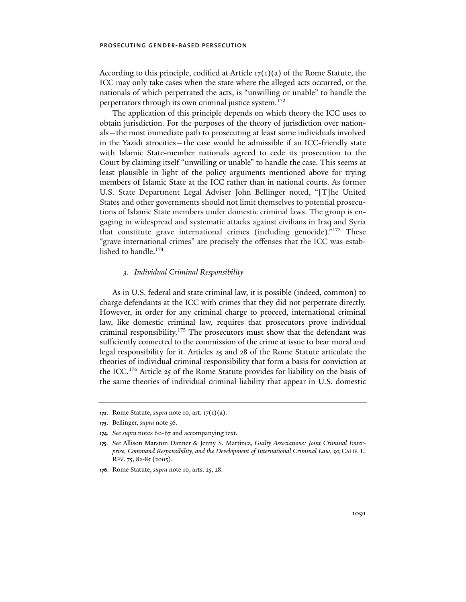According to this principle, codified at Article  $17(1)(a)$  of the Rome Statute, the ICC may only take cases when the state where the alleged acts occurred, or the nationals of which perpetrated the acts, is "unwilling or unable" to handle the perpetrators through its own criminal justice system.<sup>172</sup>

The application of this principle depends on which theory the ICC uses to obtain jurisdiction. For the purposes of the theory of jurisdiction over nationals—the most immediate path to prosecuting at least some individuals involved in the Yazidi atrocities—the case would be admissible if an ICC-friendly state with Islamic State-member nationals agreed to cede its prosecution to the Court by claiming itself "unwilling or unable" to handle the case. This seems at least plausible in light of the policy arguments mentioned above for trying members of Islamic State at the ICC rather than in national courts. As former U.S. State Department Legal Adviser John Bellinger noted, "[T]he United States and other governments should not limit themselves to potential prosecutions of Islamic State members under domestic criminal laws. The group is engaging in widespread and systematic attacks against civilians in Iraq and Syria that constitute grave international crimes (including genocide)."173 These "grave international crimes" are precisely the offenses that the ICC was established to handle.<sup>174</sup>

# *3. Individual Criminal Responsibility*

As in U.S. federal and state criminal law, it is possible (indeed, common) to charge defendants at the ICC with crimes that they did not perpetrate directly. However, in order for any criminal charge to proceed, international criminal law, like domestic criminal law, requires that prosecutors prove individual criminal responsibility.175 The prosecutors must show that the defendant was sufficiently connected to the commission of the crime at issue to bear moral and legal responsibility for it. Articles 25 and 28 of the Rome Statute articulate the theories of individual criminal responsibility that form a basis for conviction at the ICC.176 Article 25 of the Rome Statute provides for liability on the basis of the same theories of individual criminal liability that appear in U.S. domestic

**<sup>172</sup>**. Rome Statute, *supra* note 10, art. 17(1)(a).

**<sup>173</sup>**. Bellinger, *supra* note 56.

**<sup>174</sup>***. See supra* notes 60-67 and accompanying text.

**<sup>175</sup>***. See* Allison Marston Danner & Jenny S. Martinez, *Guilty Associations: Joint Criminal Enterprise, Command Responsibility, and the Development of International Criminal Law*, 93 CALIF. L. REV. 75, 82-85 (2005).

**<sup>176</sup>**. Rome Statute, *supra* note 10, arts. 25, 28.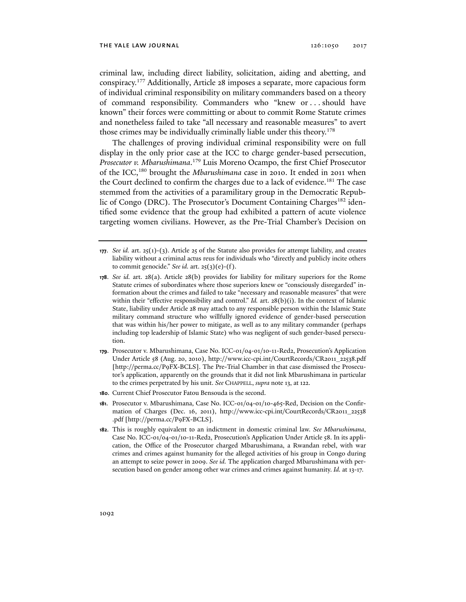criminal law, including direct liability, solicitation, aiding and abetting, and conspiracy.177 Additionally, Article 28 imposes a separate, more capacious form of individual criminal responsibility on military commanders based on a theory of command responsibility. Commanders who "knew or . . . should have known" their forces were committing or about to commit Rome Statute crimes and nonetheless failed to take "all necessary and reasonable measures" to avert those crimes may be individually criminally liable under this theory.<sup>178</sup>

The challenges of proving individual criminal responsibility were on full display in the only prior case at the ICC to charge gender-based persecution, *Prosecutor v. Mbarushimana*. 179 Luis Moreno Ocampo, the first Chief Prosecutor of the ICC,180 brought the *Mbarushimana* case in 2010. It ended in 2011 when the Court declined to confirm the charges due to a lack of evidence.<sup>181</sup> The case stemmed from the activities of a paramilitary group in the Democratic Republic of Congo (DRC). The Prosecutor's Document Containing Charges<sup>182</sup> identified some evidence that the group had exhibited a pattern of acute violence targeting women civilians. However, as the Pre-Trial Chamber's Decision on

- **179**. Prosecutor v. Mbarushimana, Case No. ICC-01/04-01/10-11-Red2, Prosecution's Application Under Article 58 (Aug. 20, 2010), http://www.icc-cpi.int/CourtRecords/CR2011\_22538.pdf [http://perma.cc/P9FX-BCLS]. The Pre-Trial Chamber in that case dismissed the Prosecutor's application, apparently on the grounds that it did not link Mbarushimana in particular to the crimes perpetrated by his unit. *See* CHAPPELL, *supra* note 13, at 122.
- **180**. Current Chief Prosecutor Fatou Bensouda is the second.
- **181**. Prosecutor v. Mbarushimana, Case No. ICC-01/04-01/10-465-Red, Decision on the Confirmation of Charges (Dec. 16, 2011), http://www.icc-cpi.int/CourtRecords/CR2011\_22538 .pdf [http://perma.cc/P9FX-BCLS].
- **182**. This is roughly equivalent to an indictment in domestic criminal law. *See Mbarushimana*, Case No. ICC-01/04-01/10-11-Red2, Prosecution's Application Under Article 58. In its application, the Office of the Prosecutor charged Mbarushimana, a Rwandan rebel, with war crimes and crimes against humanity for the alleged activities of his group in Congo during an attempt to seize power in 2009. *See id.* The application charged Mbarushimana with persecution based on gender among other war crimes and crimes against humanity. *Id.* at 13-17.

**<sup>177</sup>**. *See id.* art. 25(1)-(3). Article 25 of the Statute also provides for attempt liability, and creates liability without a criminal actus reus for individuals who "directly and publicly incite others to commit genocide." *See id.* art. 25(3)(e)-(f).

**<sup>178</sup>**. *See id.* art. 28(a). Article 28(b) provides for liability for military superiors for the Rome Statute crimes of subordinates where those superiors knew or "consciously disregarded" information about the crimes and failed to take "necessary and reasonable measures" that were within their "effective responsibility and control." *Id.* art. 28(b)(i). In the context of Islamic State, liability under Article 28 may attach to any responsible person within the Islamic State military command structure who willfully ignored evidence of gender-based persecution that was within his/her power to mitigate, as well as to any military commander (perhaps including top leadership of Islamic State) who was negligent of such gender-based persecution.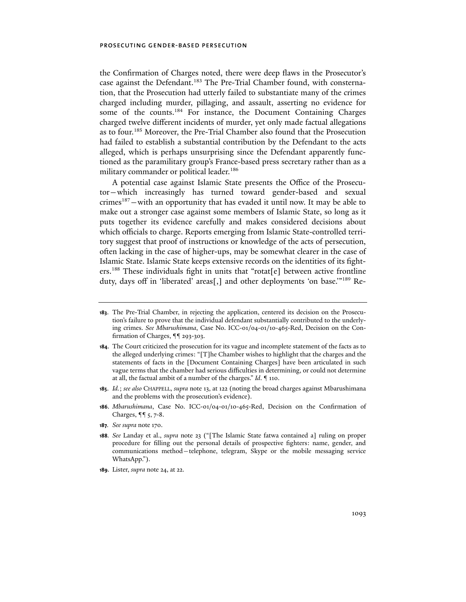the Confirmation of Charges noted, there were deep flaws in the Prosecutor's case against the Defendant.<sup>183</sup> The Pre-Trial Chamber found, with consternation, that the Prosecution had utterly failed to substantiate many of the crimes charged including murder, pillaging, and assault, asserting no evidence for some of the counts.<sup>184</sup> For instance, the Document Containing Charges charged twelve different incidents of murder, yet only made factual allegations as to four.185 Moreover, the Pre-Trial Chamber also found that the Prosecution had failed to establish a substantial contribution by the Defendant to the acts alleged, which is perhaps unsurprising since the Defendant apparently functioned as the paramilitary group's France-based press secretary rather than as a military commander or political leader.<sup>186</sup>

A potential case against Islamic State presents the Office of the Prosecutor—which increasingly has turned toward gender-based and sexual crimes<sup>187</sup> – with an opportunity that has evaded it until now. It may be able to make out a stronger case against some members of Islamic State, so long as it puts together its evidence carefully and makes considered decisions about which officials to charge. Reports emerging from Islamic State-controlled territory suggest that proof of instructions or knowledge of the acts of persecution, often lacking in the case of higher-ups, may be somewhat clearer in the case of Islamic State. Islamic State keeps extensive records on the identities of its fighters.<sup>188</sup> These individuals fight in units that "rotat[e] between active frontline duty, days off in 'liberated' areas[,] and other deployments 'on base.'"189 Re-

- **185**. *Id.*; *see also* CHAPPELL, *supra* note 13, at 122 (noting the broad charges against Mbarushimana and the problems with the prosecution's evidence).
- **186**. *Mbarushimana*, Case No. ICC-01/04-01/10-465-Red, Decision on the Confirmation of Charges, ¶¶ 5, 7-8.
- **187***. See supra* note 170.

**189**. Lister, *supra* note 24, at 22.

**<sup>183</sup>**. The Pre-Trial Chamber, in rejecting the application, centered its decision on the Prosecution's failure to prove that the individual defendant substantially contributed to the underlying crimes. *See Mbarushimana*, Case No. ICC-01/04-01/10-465-Red, Decision on the Confirmation of Charges, ¶¶ 293-303.

**<sup>184</sup>**. The Court criticized the prosecution for its vague and incomplete statement of the facts as to the alleged underlying crimes: "[T]he Chamber wishes to highlight that the charges and the statements of facts in the [Document Containing Charges] have been articulated in such vague terms that the chamber had serious difficulties in determining, or could not determine at all, the factual ambit of a number of the charges." *Id*. ¶ 110.

**<sup>188</sup>***. See* Landay et al., *supra* note 23 ("[The Islamic State fatwa contained a] ruling on proper procedure for filling out the personal details of prospective fighters: name, gender, and communications method—telephone, telegram, Skype or the mobile messaging service WhatsApp.").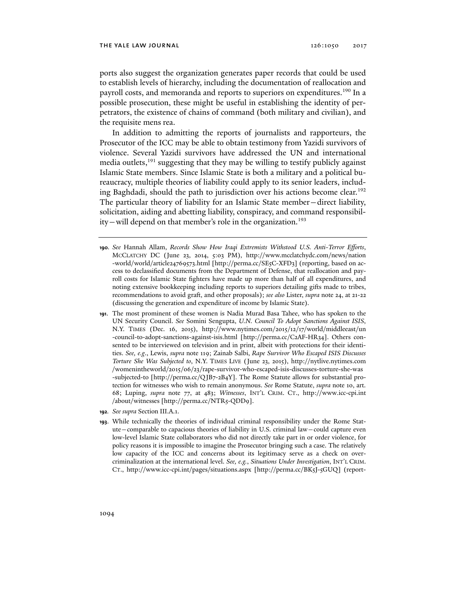ports also suggest the organization generates paper records that could be used to establish levels of hierarchy, including the documentation of reallocation and payroll costs, and memoranda and reports to superiors on expenditures.190 In a possible prosecution, these might be useful in establishing the identity of perpetrators, the existence of chains of command (both military and civilian), and the requisite mens rea.

In addition to admitting the reports of journalists and rapporteurs, the Prosecutor of the ICC may be able to obtain testimony from Yazidi survivors of violence. Several Yazidi survivors have addressed the UN and international media outlets,<sup>191</sup> suggesting that they may be willing to testify publicly against Islamic State members. Since Islamic State is both a military and a political bureaucracy, multiple theories of liability could apply to its senior leaders, including Baghdadi, should the path to jurisdiction over his actions become clear.<sup>192</sup> The particular theory of liability for an Islamic State member—direct liability, solicitation, aiding and abetting liability, conspiracy, and command responsibility-will depend on that member's role in the organization.<sup>193</sup>

- **190***. See* Hannah Allam, *Records Show How Iraqi Extremists Withstood U.S. Anti-Terror Efforts*, MCCLATCHY DC (June 23, 2014, 5:03 PM), http://www.mcclatchydc.com/news/nation -world/world/article24769573.html [http://perma.cc/SE5C-XFD3] (reporting, based on access to declassified documents from the Department of Defense, that reallocation and payroll costs for Islamic State fighters have made up more than half of all expenditures, and noting extensive bookkeeping including reports to superiors detailing gifts made to tribes, recommendations to avoid graft, and other proposals); *see also* Lister, *supra* note 24, at 21-22 (discussing the generation and expenditure of income by Islamic State).
- **191**. The most prominent of these women is Nadia Murad Basa Tahee, who has spoken to the UN Security Council. *See* Somini Sengupta, *U.N. Council To Adopt Sanctions Against ISIS*, N.Y. TIMES (Dec. 16, 2015), http://www.nytimes.com/2015/12/17/world/middleeast/un -council-to-adopt-sanctions-against-isis.html [http://perma.cc/C2AF-HR34]. Others consented to be interviewed on television and in print, albeit with protections for their identities. *See, e.g*., Lewis, *supra* note 119; Zainab Salbi, *Rape Survivor Who Escaped ISIS Discusses Torture She Was Subjected to*, N.Y. TIMES LIVE (June 23, 2015), http:// nytlive .nytimes .com /womenintheworld/2015/06/23/rape-survivor-who-escaped-isis-discusses-torture-she-was -subjected-to [http://perma.cc/QJB7-2B4Y]. The Rome Statute allows for substantial protection for witnesses who wish to remain anonymous. *See* Rome Statute, *supra* note 10, art. 68; Luping, *supra* note 77, at 483; *Witnesses*, INT'L CRIM. CT., http://www .icc-cpi.int /about/witnesses [http://perma.cc/NTR5-QDD9].
- **192***. See supra* Section III.A.1.
- **193**. While technically the theories of individual criminal responsibility under the Rome Statute—comparable to capacious theories of liability in U.S. criminal law—could capture even low-level Islamic State collaborators who did not directly take part in or order violence, for policy reasons it is impossible to imagine the Prosecutor bringing such a case. The relatively low capacity of the ICC and concerns about its legitimacy serve as a check on overcriminalization at the international level. *See, e.g.*, *Situations Under Investigation*, INT'L CRIM. CT., http://www.icc-cpi.int/pages/situations.aspx [http://perma.cc/BK5J-5GUQ] (report-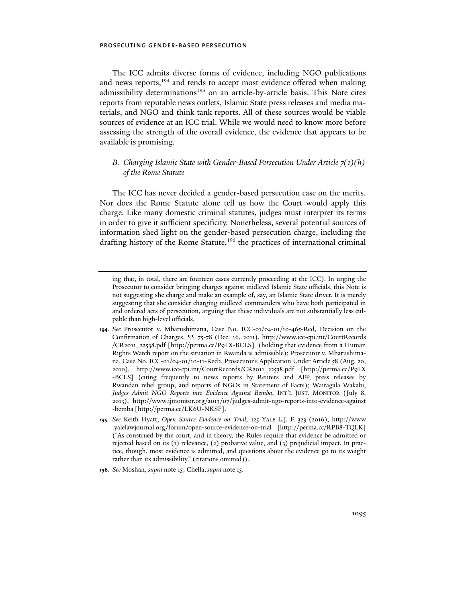The ICC admits diverse forms of evidence, including NGO publications and news reports,<sup>194</sup> and tends to accept most evidence offered when making admissibility determinations<sup>195</sup> on an article-by-article basis. This Note cites reports from reputable news outlets, Islamic State press releases and media materials, and NGO and think tank reports. All of these sources would be viable sources of evidence at an ICC trial. While we would need to know more before assessing the strength of the overall evidence, the evidence that appears to be available is promising.

# *B. Charging Islamic State with Gender-Based Persecution Under Article 7(1)(h) of the Rome Statute*

The ICC has never decided a gender-based persecution case on the merits. Nor does the Rome Statute alone tell us how the Court would apply this charge. Like many domestic criminal statutes, judges must interpret its terms in order to give it sufficient specificity. Nonetheless, several potential sources of information shed light on the gender-based persecution charge, including the drafting history of the Rome Statute,<sup>196</sup> the practices of international criminal

- **194***. See* Prosecutor v. Mbarushimana, Case No. ICC-01/04-01/10-465-Red, Decision on the Confirmation of Charges, ¶¶ 75-78 (Dec. 16, 2011), http://www.icc-cpi.int/CourtRecords /CR2011\_22538.pdf [http://perma.cc/P9FX-BCLS] (holding that evidence from a Human Rights Watch report on the situation in Rwanda is admissible); Prosecutor v. Mbarushimana, Case No. ICC-01/04-01/10-11-Red2, Prosecutor's Application Under Article 58 (Aug. 20, 2010), http://www.icc-cpi.int/CourtRecords/CR2011\_22538.pdf [http://perma.cc/P9FX -BCLS] (citing frequently to news reports by Reuters and AFP, press releases by Rwandan rebel group, and reports of NGOs in Statement of Facts); Wairagala Wakabi, *Judges Admit NGO Reports into Evidence Against Bemba*, INT'L JUST. MONITOR (July 8, 2013), http://www.ijmonitor.org/2013/07/judges-admit-ngo-reports-into-evidence-against -bemba [http://perma.cc/LK6U-NKSF].
- **195***. See* Keith Hyatt, *Open Source Evidence on Trial*, 125 YALE L.J. F. 323 (2016), http://www .yalelawjournal.org/forum/open-source-evidence-on-trial [http://perma.cc/RPB8-TQLK] ("As construed by the court, and in theory, the Rules require that evidence be admitted or rejected based on its (1) relevance, (2) probative value, and (3) prejudicial impact. In practice, though, most evidence is admitted, and questions about the evidence go to its weight rather than its admissibility." (citations omitted)).
- **196***. See* Moshan, *supra* note 15; Chella, *supra* note 15.

ing that, in total, there are fourteen cases currently proceeding at the ICC). In urging the Prosecutor to consider bringing charges against midlevel Islamic State officials, this Note is not suggesting she charge and make an example of, say, an Islamic State driver. It is merely suggesting that she consider charging midlevel commanders who have both participated in and ordered acts of persecution, arguing that these individuals are not substantially less culpable than high-level officials.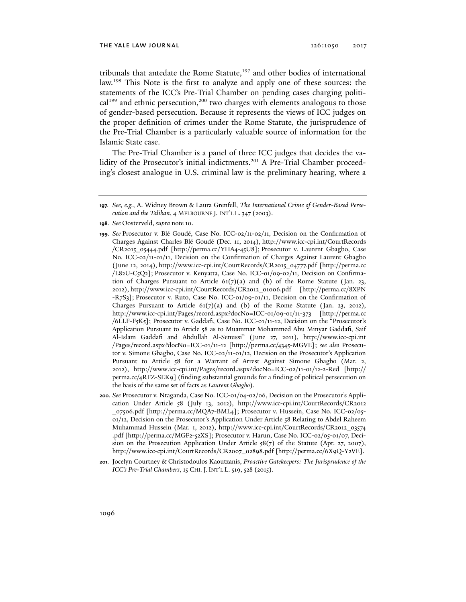tribunals that antedate the Rome Statute,<sup>197</sup> and other bodies of international law.198 This Note is the first to analyze and apply one of these sources: the statements of the ICC's Pre-Trial Chamber on pending cases charging politi $cal^{199}$  and ethnic persecution,<sup>200</sup> two charges with elements analogous to those of gender-based persecution. Because it represents the views of ICC judges on the proper definition of crimes under the Rome Statute, the jurisprudence of the Pre-Trial Chamber is a particularly valuable source of information for the Islamic State case.

The Pre-Trial Chamber is a panel of three ICC judges that decides the validity of the Prosecutor's initial indictments.<sup>201</sup> A Pre-Trial Chamber proceeding's closest analogue in U.S. criminal law is the preliminary hearing, where a

- **198***. See* Oosterveld, *supra* note 10.
- **199***. See* Prosecutor v. Blé Goudé, Case No. ICC-02/11-02/11, Decision on the Confirmation of Charges Against Charles Blé Goudé (Dec. 11, 2014), http://www.icc-cpi.int/CourtRecords /CR2015\_05444.pdf [http://perma.cc/YHA4-45U8]; Prosecutor v. Laurent Gbagbo, Case No. ICC-02/11-01/11, Decision on the Confirmation of Charges Against Laurent Gbagbo (June 12, 2014), http://www.icc-cpi.int/CourtRecords/CR2015\_04777.pdf [http://perma.cc /L82U-C5Q2]; Prosecutor v. Kenyatta, Case No. ICC-01/09-02/11, Decision on Confirmation of Charges Pursuant to Article  $61(7)(a)$  and (b) of the Rome Statute (Jan. 23, 2012), http://www.icc-cpi.int/CourtRecords/CR2012\_01006.pdf [http://perma.cc/8XPN -R7S3]; Prosecutor v. Ruto, Case No. ICC-01/09-01/11, Decision on the Confirmation of Charges Pursuant to Article  $61(7)(a)$  and (b) of the Rome Statute (Jan. 23, 2012), http://www.icc-cpi.int/Pages/record.aspx?docNo=ICC-01/09-01/11-373 [http://perma.cc /6LLF-F5K5]; Prosecutor v. Gaddafi, Case No. ICC-01/11-12, Decision on the "Prosecutor's Application Pursuant to Article 58 as to Muammar Mohammed Abu Minyar Gaddafi, Saif Al-Islam Gaddafi and Abdullah Al-Senussi" (June 27, 2011), http://www.icc-cpi.int /Pages/record.aspx?docNo=ICC-01/11-12 [http://perma.cc/4345-MGVE]; *see also* Prosecutor v. Simone Gbagbo, Case No. ICC-02/11-01/12, Decision on the Prosecutor's Application Pursuant to Article 58 for a Warrant of Arrest Against Simone Gbagbo (Mar. 2, 2012), http://www.icc-cpi.int/Pages/record.aspx?docNo=ICC-02/11-01/12-2-Red [http:// perma.cc/4RFZ-SEK9] (finding substantial grounds for a finding of political persecution on the basis of the same set of facts as *Laurent Gbagbo*).
- **200***. See* Prosecutor v. Ntaganda, Case No. ICC-01/04-02/06, Decision on the Prosecutor's Application Under Article 58 (July 13, 2012), http://www.icc-cpi.int/CourtRecords/CR2012 \_07506.pdf [http://perma.cc/MQA7-BML4]; Prosecutor v. Hussein, Case No. ICC-02/05- 01/12, Decision on the Prosecutor's Application Under Article 58 Relating to Abdel Raheem Muhammad Hussein (Mar. 1, 2012), http://www.icc-cpi.int/CourtRecords/CR2012\_03574 .pdf [http://perma.cc/MGF2-52XS]; Prosecutor v. Harun, Case No. ICC-02/05-01/07, Decision on the Prosecution Application Under Article  $58(7)$  of the Statute (Apr. 27, 2007), http://www.icc-cpi.int/CourtRecords/CR2007\_02898.pdf [http://perma.cc/6X9Q-Y2VE].
- **201**. Jocelyn Courtney & Christodoulos Kaoutzanis, *Proactive Gatekeepers: The Jurisprudence of the ICC's Pre-Trial Chambers*, 15 CHI. J. INT'L L. 519, 528 (2015).

**<sup>197</sup>***. See, e.g.*, A. Widney Brown & Laura Grenfell, *The International Crime of Gender-Based Persecution and the Taliban*, 4 MELBOURNE J. INT'L L. 347 (2003).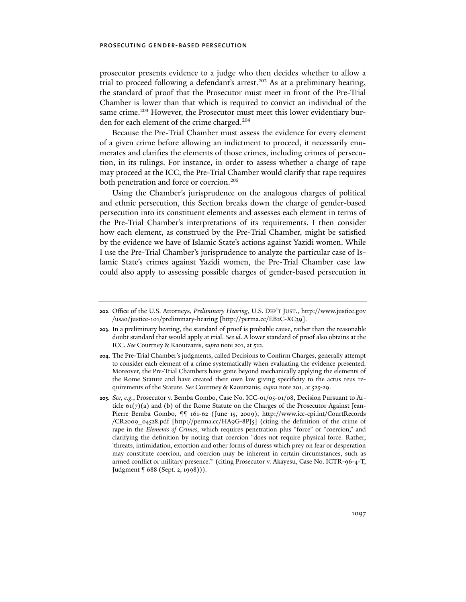prosecutor presents evidence to a judge who then decides whether to allow a trial to proceed following a defendant's arrest.<sup>202</sup> As at a preliminary hearing, the standard of proof that the Prosecutor must meet in front of the Pre-Trial Chamber is lower than that which is required to convict an individual of the same crime.<sup>203</sup> However, the Prosecutor must meet this lower evidentiary burden for each element of the crime charged.204

Because the Pre-Trial Chamber must assess the evidence for every element of a given crime before allowing an indictment to proceed, it necessarily enumerates and clarifies the elements of those crimes, including crimes of persecution, in its rulings. For instance, in order to assess whether a charge of rape may proceed at the ICC, the Pre-Trial Chamber would clarify that rape requires both penetration and force or coercion.<sup>205</sup>

Using the Chamber's jurisprudence on the analogous charges of political and ethnic persecution, this Section breaks down the charge of gender-based persecution into its constituent elements and assesses each element in terms of the Pre-Trial Chamber's interpretations of its requirements. I then consider how each element, as construed by the Pre-Trial Chamber, might be satisfied by the evidence we have of Islamic State's actions against Yazidi women. While I use the Pre-Trial Chamber's jurisprudence to analyze the particular case of Islamic State's crimes against Yazidi women, the Pre-Trial Chamber case law could also apply to assessing possible charges of gender-based persecution in

**<sup>202</sup>**. Office of the U.S. Attorneys, *Preliminary Hearing*, U.S. DEP'T JUST., http://www.justice.gov /usao/justice-101/preliminary-hearing [http://perma.cc/EB2C-XC39].

**<sup>203</sup>**. In a preliminary hearing, the standard of proof is probable cause, rather than the reasonable doubt standard that would apply at trial. *See id*. A lower standard of proof also obtains at the ICC. *See* Courtney & Kaoutzanis, *supra* note 201, at 522.

**<sup>204</sup>**. The Pre-Trial Chamber's judgments, called Decisions to Confirm Charges, generally attempt to consider each element of a crime systematically when evaluating the evidence presented. Moreover, the Pre-Trial Chambers have gone beyond mechanically applying the elements of the Rome Statute and have created their own law giving specificity to the actus reus requirements of the Statute. *See* Courtney & Kaoutzanis, *supra* note 201, at 525-29.

**<sup>205</sup>***. See, e.g.*, Prosecutor v. Bemba Gombo, Case No. ICC-01/05-01/08, Decision Pursuant to Article  $61(7)(a)$  and (b) of the Rome Statute on the Charges of the Prosecutor Against Jean-Pierre Bemba Gombo, ¶¶ 161-62 (June 15, 2009), http://www.icc-cpi.int/CourtRecords /CR2009\_04528.pdf [http://perma.cc/HA9G-8PJ5] (citing the definition of the crime of rape in the *Elements of Crimes*, which requires penetration plus "force" or "coercion," and clarifying the definition by noting that coercion "does not require physical force. Rather, 'threats, intimidation, extortion and other forms of duress which prey on fear or desperation may constitute coercion, and coercion may be inherent in certain circumstances, such as armed conflict or military presence.'" (citing Prosecutor v. Akayesu, Case No. ICTR-96-4-T, Judgment ¶ 688 (Sept. 2, 1998))).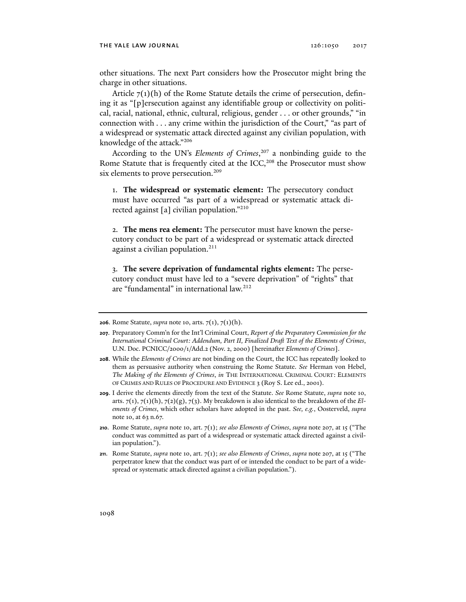other situations. The next Part considers how the Prosecutor might bring the charge in other situations.

Article  $7(1)(h)$  of the Rome Statute details the crime of persecution, defining it as "[p]ersecution against any identifiable group or collectivity on political, racial, national, ethnic, cultural, religious, gender . . . or other grounds," "in connection with . . . any crime within the jurisdiction of the Court," "as part of a widespread or systematic attack directed against any civilian population, with knowledge of the attack."206

According to the UN's *Elements of Crimes*, 207 a nonbinding guide to the Rome Statute that is frequently cited at the ICC,<sup>208</sup> the Prosecutor must show six elements to prove persecution.<sup>209</sup>

1. **The widespread or systematic element:** The persecutory conduct must have occurred "as part of a widespread or systematic attack directed against [a] civilian population."210

2. **The mens rea element:** The persecutor must have known the persecutory conduct to be part of a widespread or systematic attack directed against a civilian population.<sup>211</sup>

3. **The severe deprivation of fundamental rights element:** The persecutory conduct must have led to a "severe deprivation" of "rights" that are "fundamental" in international law.212

**<sup>206</sup>**. Rome Statute, *supra* note 10, arts. 7(1), 7(1)(h).

**<sup>207</sup>**. Preparatory Comm'n for the Int'l Criminal Court, *Report of the Preparatory Commission for the International Criminal Court: Addendum, Part II, Finalized Draft Text of the Elements of Crimes*, U.N. Doc. PCNICC/2000/1/Add.2 (Nov. 2, 2000) [hereinafter *Elements of Crimes*].

**<sup>208</sup>**. While the *Elements of Crimes* are not binding on the Court, the ICC has repeatedly looked to them as persuasive authority when construing the Rome Statute. *See* Herman von Hebel, *The Making of the Elements of Crimes*, *in* THE INTERNATIONAL CRIMINAL COURT: ELEMENTS OF CRIMES AND RULES OF PROCEDURE AND EVIDENCE 3 (Roy S. Lee ed., 2001).

**<sup>209</sup>**. I derive the elements directly from the text of the Statute. *See* Rome Statute, *supra* note 10, arts. 7(1), 7(1)(h), 7(2)(g), 7(3). My breakdown is also identical to the breakdown of the *Elements of Crimes*, which other scholars have adopted in the past. *See, e.g.*, Oosterveld, *supra*  note 10, at 63 n.67.

**<sup>210</sup>**. Rome Statute, *supra* note 10, art. 7(1); *see also Elements of Crimes*, *supra* note 207, at 15 ("The conduct was committed as part of a widespread or systematic attack directed against a civilian population.").

**<sup>211</sup>**. Rome Statute, *supra* note 10, art. 7(1); *see also Elements of Crimes*, *supra* note 207, at 15 ("The perpetrator knew that the conduct was part of or intended the conduct to be part of a widespread or systematic attack directed against a civilian population.").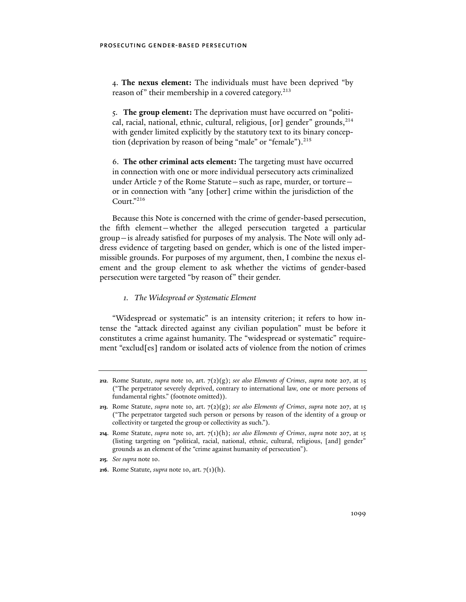4. **The nexus element:** The individuals must have been deprived "by reason of" their membership in a covered category.<sup>213</sup>

5. **The group element:** The deprivation must have occurred on "political, racial, national, ethnic, cultural, religious,  $\lceil$  or  $\rceil$  gender" grounds,  $^{214}$ with gender limited explicitly by the statutory text to its binary conception (deprivation by reason of being "male" or "female").<sup>215</sup>

6. **The other criminal acts element:** The targeting must have occurred in connection with one or more individual persecutory acts criminalized under Article 7 of the Rome Statute—such as rape, murder, or torture or in connection with "any [other] crime within the jurisdiction of the Court."216

Because this Note is concerned with the crime of gender-based persecution, the fifth element—whether the alleged persecution targeted a particular group—is already satisfied for purposes of my analysis. The Note will only address evidence of targeting based on gender, which is one of the listed impermissible grounds. For purposes of my argument, then, I combine the nexus element and the group element to ask whether the victims of gender-based persecution were targeted "by reason of" their gender.

## *1. The Widespread or Systematic Element*

"Widespread or systematic" is an intensity criterion; it refers to how intense the "attack directed against any civilian population" must be before it constitutes a crime against humanity. The "widespread or systematic" requirement "exclud[es] random or isolated acts of violence from the notion of crimes

**<sup>212</sup>**. Rome Statute, *supra* note 10, art. 7(2)(g); *see also Elements of Crimes*, *supra* note 207, at 15 ("The perpetrator severely deprived, contrary to international law, one or more persons of fundamental rights." (footnote omitted)).

**<sup>213</sup>**. Rome Statute, *supra* note 10, art.  $7(2)(g)$ ; *see also Elements of Crimes*, *supra* note 207, at 15 ("The perpetrator targeted such person or persons by reason of the identity of a group or collectivity or targeted the group or collectivity as such.").

**<sup>214</sup>**. Rome Statute, *supra* note 10, art. 7(1)(h); *see also Elements of Crimes*, *supra* note 207, at 15 (listing targeting on "political, racial, national, ethnic, cultural, religious, [and] gender" grounds as an element of the "crime against humanity of persecution").

**<sup>215</sup>***. See supra* note 10.

**<sup>216</sup>**. Rome Statute*, supra* note 10, art. 7(1)(h).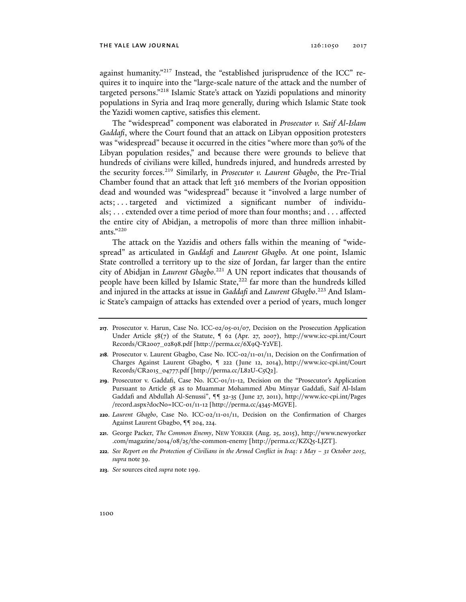against humanity."217 Instead, the "established jurisprudence of the ICC" requires it to inquire into the "large-scale nature of the attack and the number of targeted persons."218 Islamic State's attack on Yazidi populations and minority populations in Syria and Iraq more generally, during which Islamic State took the Yazidi women captive, satisfies this element.

The "widespread" component was elaborated in *Prosecutor v. Saif Al-Islam Gaddafi*, where the Court found that an attack on Libyan opposition protesters was "widespread" because it occurred in the cities "where more than 50% of the Libyan population resides," and because there were grounds to believe that hundreds of civilians were killed, hundreds injured, and hundreds arrested by the security forces.219 Similarly, in *Prosecutor v. Laurent Gbagbo*, the Pre-Trial Chamber found that an attack that left 316 members of the Ivorian opposition dead and wounded was "widespread" because it "involved a large number of acts; . . . targeted and victimized a significant number of individuals; . . . extended over a time period of more than four months; and . . . affected the entire city of Abidjan, a metropolis of more than three million inhabitants."220

The attack on the Yazidis and others falls within the meaning of "widespread" as articulated in *Gaddafi* and *Laurent Gbagbo.* At one point, Islamic State controlled a territory up to the size of Jordan, far larger than the entire city of Abidjan in *Laurent Gbagbo*. 221 A UN report indicates that thousands of people have been killed by Islamic State,<sup>222</sup> far more than the hundreds killed and injured in the attacks at issue in *Gaddafi* and *Laurent Gbagbo*. 223 And Islamic State's campaign of attacks has extended over a period of years, much longer

- **220**. *Laurent Gbagbo*, Case No. ICC-02/11-01/11, Decision on the Confirmation of Charges Against Laurent Gbagbo, ¶¶ 204, 224.
- **221**. George Packer, *The Common Enemy*, NEW YORKER (Aug. 25, 2015), http://www.newyorker .com/magazine/2014/08/25/the-common-enemy [http://perma.cc/KZQ5-LJZT].
- **222***. See Report on the Protection of Civilians in the Armed Conflict in Iraq: 1 May 31 October 2015*, *supra* note 39.
- **223***. See* sources cited *supra* note 199.

**<sup>217</sup>**. Prosecutor v. Harun, Case No. ICC-02/05-01/07, Decision on the Prosecution Application Under Article  $58(7)$  of the Statute,  $\frac{62}{2}$  (Apr. 27, 2007), http://www.icc-cpi.int/Court Records/CR2007\_02898.pdf [http://perma.cc/6X9Q-Y2VE].

**<sup>218</sup>***.* Prosecutor v. Laurent Gbagbo, Case No. ICC-02/11-01/11, Decision on the Confirmation of Charges Against Laurent Gbagbo, ¶ 222 (June 12, 2014), http://www.icc-cpi.int/Court Records/CR2015\_04777.pdf [http://perma.cc/L82U-C5Q2].

**<sup>219</sup>**. Prosecutor v. Gaddafi, Case No. ICC-01/11-12, Decision on the "Prosecutor's Application Pursuant to Article 58 as to Muammar Mohammed Abu Minyar Gaddafi, Saif Al-Islam Gaddafi and Abdullah Al-Senussi", ¶¶ 32-35 (June 27, 2011), http://www.icc-cpi.int/Pages /record.aspx?docNo=ICC-01/11-12 [http://perma.cc/4345-MGVE].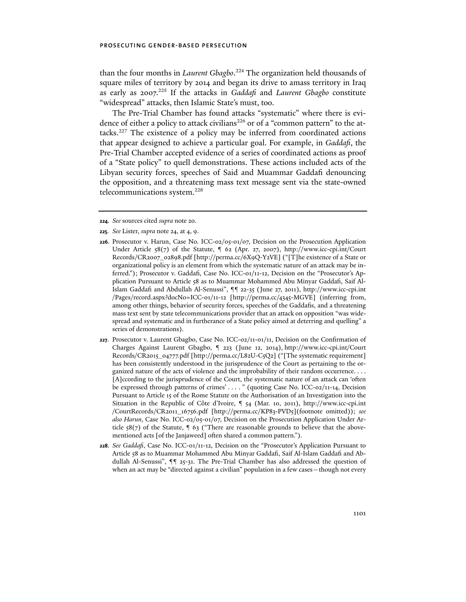than the four months in *Laurent Gbagbo*. 224 The organization held thousands of square miles of territory by 2014 and began its drive to amass territory in Iraq as early as 2007.225 If the attacks in *Gaddafi* and *Laurent Gbagbo* constitute "widespread" attacks, then Islamic State's must, too.

The Pre-Trial Chamber has found attacks "systematic" where there is evidence of either a policy to attack civilians<sup>226</sup> or of a "common pattern" to the attacks.227 The existence of a policy may be inferred from coordinated actions that appear designed to achieve a particular goal. For example, in *Gaddafi*, the Pre-Trial Chamber accepted evidence of a series of coordinated actions as proof of a "State policy" to quell demonstrations. These actions included acts of the Libyan security forces, speeches of Said and Muammar Gaddafi denouncing the opposition, and a threatening mass text message sent via the state-owned telecommunications system.<sup>228</sup>

- **224***. See* sources cited *supra* note 20*.*
- **225***. See* Lister, *supra* note 24, at 4, 9.
- **226**. Prosecutor v. Harun, Case No. ICC-02/05-01/07, Decision on the Prosecution Application Under Article 58(7) of the Statute, ¶ 62 (Apr. 27, 2007), http://www.icc-cpi.int/Court Records/CR2007\_02898.pdf [http://perma.cc/6X9Q-Y2VE] ("[T]he existence of a State or organizational policy is an element from which the systematic nature of an attack may be inferred."); Prosecutor v. Gaddafi, Case No. ICC-01/11-12, Decision on the "Prosecutor's Application Pursuant to Article 58 as to Muammar Mohammed Abu Minyar Gaddafi, Saif Al-Islam Gaddafi and Abdullah Al-Senussi", ¶¶ 22-35 (June 27, 2011), http://www.icc-cpi.int /Pages/record.aspx?docNo=ICC-01/11-12 [http://perma.cc/4345-MGVE] (inferring from, among other things, behavior of security forces, speeches of the Gaddafis, and a threatening mass text sent by state telecommunications provider that an attack on opposition "was widespread and systematic and in furtherance of a State policy aimed at deterring and quelling" a series of demonstrations).
- **227**. Prosecutor v. Laurent Gbagbo, Case No. ICC-02/11-01/11, Decision on the Confirmation of Charges Against Laurent Gbagbo, ¶ 223 (June 12, 2014), http://www.icc-cpi.int/Court Records/CR2015\_04777.pdf [http://perma.cc/L82U-C5Q2] ("[The systematic requirement] has been consistently understood in the jurisprudence of the Court as pertaining to the organized nature of the acts of violence and the improbability of their random occurrence. . . . [A]ccording to the jurisprudence of the Court, the systematic nature of an attack can 'often be expressed through patterns of crimes' . . . . " (quoting Case No. ICC-02/11-14, Decision Pursuant to Article 15 of the Rome Statute on the Authorisation of an Investigation into the Situation in the Republic of Côte d'Ivoire, ¶ 54 (Mar. 10, 2011), http://www.icc-cpi.int /CourtRecords/CR2011\_16756.pdf [http://perma.cc/KP83-PVD5](footnote omitted)); *see also Harun*, Case No. ICC-02/05-01/07, Decision on the Prosecution Application Under Article  $58(7)$  of the Statute,  $\frac{63}{7}$  ("There are reasonable grounds to believe that the abovementioned acts [of the Janjaweed] often shared a common pattern.").
- **228***. See Gaddafi*, Case No. ICC-01/11-12, Decision on the "Prosecutor's Application Pursuant to Article 58 as to Muammar Mohammed Abu Minyar Gaddafi, Saif Al-Islam Gaddafi and Abdullah Al-Senussi", ¶¶ 25-31. The Pre-Trial Chamber has also addressed the question of when an act may be "directed against a civilian" population in a few cases – though not every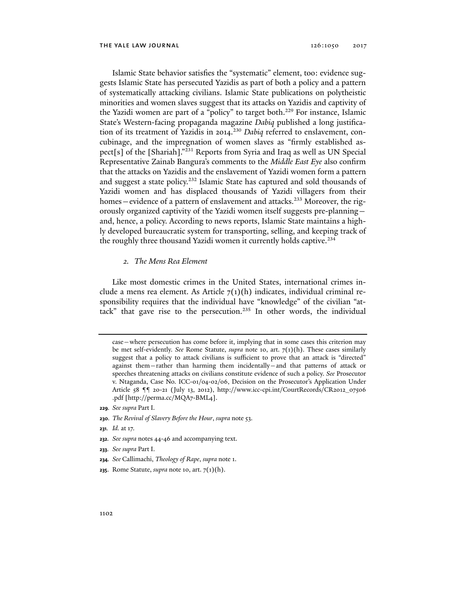Islamic State behavior satisfies the "systematic" element, too: evidence suggests Islamic State has persecuted Yazidis as part of both a policy and a pattern of systematically attacking civilians. Islamic State publications on polytheistic minorities and women slaves suggest that its attacks on Yazidis and captivity of the Yazidi women are part of a "policy" to target both.<sup>229</sup> For instance, Islamic State's Western-facing propaganda magazine *Dabiq* published a long justification of its treatment of Yazidis in 2014.<sup>230</sup> *Dabiq* referred to enslavement, concubinage, and the impregnation of women slaves as "firmly established aspect[s] of the [Shariah]."231 Reports from Syria and Iraq as well as UN Special Representative Zainab Bangura's comments to the *Middle East Eye* also confirm that the attacks on Yazidis and the enslavement of Yazidi women form a pattern and suggest a state policy.<sup>232</sup> Islamic State has captured and sold thousands of Yazidi women and has displaced thousands of Yazidi villagers from their homes—evidence of a pattern of enslavement and attacks.<sup>233</sup> Moreover, the rigorously organized captivity of the Yazidi women itself suggests pre-planning and, hence, a policy. According to news reports, Islamic State maintains a highly developed bureaucratic system for transporting, selling, and keeping track of the roughly three thousand Yazidi women it currently holds captive.<sup>234</sup>

## *2. The Mens Rea Element*

Like most domestic crimes in the United States, international crimes include a mens rea element. As Article  $7(1)(h)$  indicates, individual criminal responsibility requires that the individual have "knowledge" of the civilian "attack" that gave rise to the persecution.<sup>235</sup> In other words, the individual

- **230***. The Revival of Slavery Before the Hour*, *supra* note 53.
- **231***. Id.* at 17.
- **232***. See supra* notes 44-46 and accompanying text.
- **233***. See supra* Part I.
- **234***. See* Callimachi, *Theology of Rape*, *supra* note 1.
- **235**. Rome Statute, *supra* note 10, art. 7(1)(h).

case—where persecution has come before it, implying that in some cases this criterion may be met self-evidently. *See* Rome Statute, *supra* note 10, art. 7(1)(h). These cases similarly suggest that a policy to attack civilians is sufficient to prove that an attack is "directed" against them—rather than harming them incidentally—and that patterns of attack or speeches threatening attacks on civilians constitute evidence of such a policy. *See* Prosecutor v. Ntaganda, Case No. ICC-01/04-02/06, Decision on the Prosecutor's Application Under Article 58 ¶¶ 20-21 (July 13, 2012), http://www.icc-cpi.int/CourtRecords/CR2012\_07506 .pdf [http://perma.cc/MQA7-BML4].

**<sup>229</sup>***. See supra* Part I.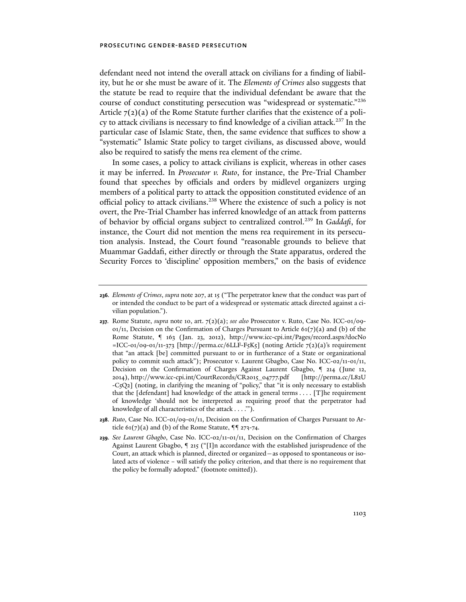defendant need not intend the overall attack on civilians for a finding of liability, but he or she must be aware of it. The *Elements of Crimes* also suggests that the statute be read to require that the individual defendant be aware that the course of conduct constituting persecution was "widespread or systematic."236 Article  $7(2)(a)$  of the Rome Statute further clarifies that the existence of a policy to attack civilians is necessary to find knowledge of a civilian attack.<sup>237</sup> In the particular case of Islamic State, then, the same evidence that suffices to show a "systematic" Islamic State policy to target civilians, as discussed above, would also be required to satisfy the mens rea element of the crime.

In some cases, a policy to attack civilians is explicit, whereas in other cases it may be inferred. In *Prosecutor v. Ruto*, for instance, the Pre-Trial Chamber found that speeches by officials and orders by midlevel organizers urging members of a political party to attack the opposition constituted evidence of an official policy to attack civilians.238 Where the existence of such a policy is not overt, the Pre-Trial Chamber has inferred knowledge of an attack from patterns of behavior by official organs subject to centralized control.239 In *Gaddafi*, for instance, the Court did not mention the mens rea requirement in its persecution analysis. Instead, the Court found "reasonable grounds to believe that Muammar Gaddafi, either directly or through the State apparatus, ordered the Security Forces to 'discipline' opposition members," on the basis of evidence

- **237***.* Rome Statute, *supra* note 10, art. 7(2)(a); *see also* Prosecutor v. Ruto, Case No. ICC-01/09-  $01/11$ , Decision on the Confirmation of Charges Pursuant to Article  $61(7)(a)$  and (b) of the Rome Statute, ¶ 163 (Jan. 23, 2012), http://www.icc-cpi.int/Pages/record.aspx?docNo  $=$ ICC-01/09-01/11-373 [http://perma.cc/6LLF-F5K5] (noting Article 7(2)(a)'s requirement that "an attack [be] committed pursuant to or in furtherance of a State or organizational policy to commit such attack"); Prosecutor v. Laurent Gbagbo, Case No. ICC-02/11-01/11, Decision on the Confirmation of Charges Against Laurent Gbagbo, ¶ 214 (June 12, 2014), http://www.icc-cpi.int/CourtRecords/CR2015\_04777.pdf [http://perma.cc/L82U -C5Q2] (noting, in clarifying the meaning of "policy," that "it is only necessary to establish that the [defendant] had knowledge of the attack in general terms . . . . [T]he requirement of knowledge 'should not be interpreted as requiring proof that the perpetrator had knowledge of all characteristics of the attack . . . .'").
- **238***. Ruto*, Case No. ICC-01/09-01/11, Decision on the Confirmation of Charges Pursuant to Article  $61(7)(a)$  and (b) of the Rome Statute,  $\P$ <sup>q</sup> 273-74.
- **239***. See Laurent Gbagbo*, Case No. ICC-02/11-01/11, Decision on the Confirmation of Charges Against Laurent Gbagbo, ¶ 215 ("[I]n accordance with the established jurisprudence of the Court, an attack which is planned, directed or organized—as opposed to spontaneous or isolated acts of violence – will satisfy the policy criterion, and that there is no requirement that the policy be formally adopted." (footnote omitted)).

**<sup>236</sup>***. Elements of Crimes*, *supra* note 207, at 15 ("The perpetrator knew that the conduct was part of or intended the conduct to be part of a widespread or systematic attack directed against a civilian population.").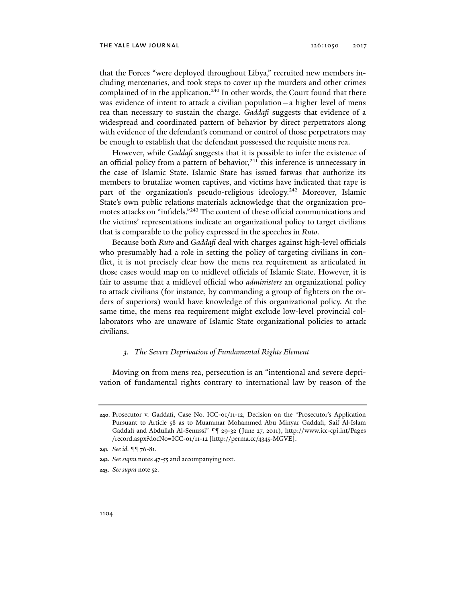that the Forces "were deployed throughout Libya," recruited new members including mercenaries, and took steps to cover up the murders and other crimes complained of in the application.<sup>240</sup> In other words, the Court found that there was evidence of intent to attack a civilian population—a higher level of mens rea than necessary to sustain the charge. *Gaddafi* suggests that evidence of a widespread and coordinated pattern of behavior by direct perpetrators along with evidence of the defendant's command or control of those perpetrators may be enough to establish that the defendant possessed the requisite mens rea.

However, while *Gaddafi* suggests that it is possible to infer the existence of an official policy from a pattern of behavior, $241$  this inference is unnecessary in the case of Islamic State. Islamic State has issued fatwas that authorize its members to brutalize women captives, and victims have indicated that rape is part of the organization's pseudo-religious ideology.<sup>242</sup> Moreover, Islamic State's own public relations materials acknowledge that the organization promotes attacks on "infidels."243 The content of these official communications and the victims' representations indicate an organizational policy to target civilians that is comparable to the policy expressed in the speeches in *Ruto*.

Because both *Ruto* and *Gaddafi* deal with charges against high-level officials who presumably had a role in setting the policy of targeting civilians in conflict, it is not precisely clear how the mens rea requirement as articulated in those cases would map on to midlevel officials of Islamic State. However, it is fair to assume that a midlevel official who *administers* an organizational policy to attack civilians (for instance, by commanding a group of fighters on the orders of superiors) would have knowledge of this organizational policy. At the same time, the mens rea requirement might exclude low-level provincial collaborators who are unaware of Islamic State organizational policies to attack civilians.

#### *3. The Severe Deprivation of Fundamental Rights Element*

Moving on from mens rea, persecution is an "intentional and severe deprivation of fundamental rights contrary to international law by reason of the

**243***. See supra* note 52.

**<sup>240</sup>***.* Prosecutor v. Gaddafi, Case No. ICC-01/11-12, Decision on the "Prosecutor's Application Pursuant to Article 58 as to Muammar Mohammed Abu Minyar Gaddafi, Saif Al-Islam Gaddafi and Abdullah Al-Senussi" ¶¶ 29-32 (June 27, 2011), http://www.icc-cpi.int/Pages /record.aspx?docNo=ICC-01/11-12 [http://perma.cc/4345-MGVE].

**<sup>241</sup>***. See id.* ¶¶ 76-81.

**<sup>242</sup>***. See supra* notes 47-55 and accompanying text.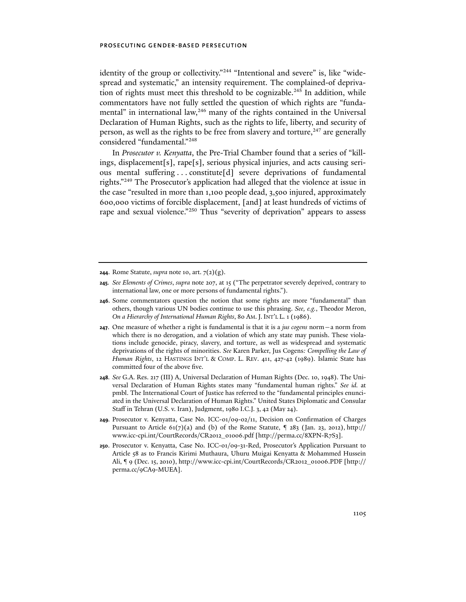identity of the group or collectivity."<sup>244</sup> "Intentional and severe" is, like "widespread and systematic," an intensity requirement. The complained-of deprivation of rights must meet this threshold to be cognizable.<sup>245</sup> In addition, while commentators have not fully settled the question of which rights are "fundamental" in international law,<sup>246</sup> many of the rights contained in the Universal Declaration of Human Rights, such as the rights to life, liberty, and security of person, as well as the rights to be free from slavery and torture,  $247$  are generally considered "fundamental."248

In *Prosecutor v. Kenyatta*, the Pre-Trial Chamber found that a series of "killings, displacement[s], rape[s], serious physical injuries, and acts causing serious mental suffering . . . constitute[d] severe deprivations of fundamental rights."249 The Prosecutor's application had alleged that the violence at issue in the case "resulted in more than 1,100 people dead, 3,500 injured, approximately 600,000 victims of forcible displacement, [and] at least hundreds of victims of rape and sexual violence."<sup>250</sup> Thus "severity of deprivation" appears to assess

- **245***. See Elements of Crimes*, *supra* note 207, at 15 ("The perpetrator severely deprived, contrary to international law, one or more persons of fundamental rights.").
- **246**. Some commentators question the notion that some rights are more "fundamental" than others, though various UN bodies continue to use this phrasing. *See, e.g.*, Theodor Meron, *On a Hierarchy of International Human Rights*, 80 AM.J. INT'L L. 1 (1986).
- **247**. One measure of whether a right is fundamental is that it is a *jus cogens* norm—a norm from which there is no derogation, and a violation of which any state may punish. These violations include genocide, piracy, slavery, and torture, as well as widespread and systematic deprivations of the rights of minorities. *See* Karen Parker, Jus Cogens*: Compelling the Law of Human Rights*, 12 HASTINGS INT'L & COMP. L. REV. 411, 427-42 (1989). Islamic State has committed four of the above five.
- **248***. See* G.A. Res. 217 (III) A, Universal Declaration of Human Rights (Dec. 10, 1948). The Universal Declaration of Human Rights states many "fundamental human rights." *See id.* at pmbl. The International Court of Justice has referred to the "fundamental principles enunciated in the Universal Declaration of Human Rights." United States Diplomatic and Consular Staff in Tehran (U.S. v. Iran), Judgment, 1980 I.C.J. 3, 42 (May 24).
- **249***.* Prosecutor v. Kenyatta, Case No. ICC-01/09-02/11, Decision on Confirmation of Charges Pursuant to Article 61(7)(a) and (b) of the Rome Statute,  $\frac{9}{283}$  (Jan. 23, 2012), http:// www.icc-cpi.int/CourtRecords/CR2012\_01006.pdf [http://perma.cc/8XPN-R7S3].
- **250**. Prosecutor v. Kenyatta, Case No. ICC-01/09-31-Red, Prosecutor's Application Pursuant to Article 58 as to Francis Kirimi Muthaura, Uhuru Muigai Kenyatta & Mohammed Hussein Ali, ¶ 9 (Dec. 15, 2010), http://www.icc-cpi.int/CourtRecords/CR2012\_01006.PDF [http:// perma.cc/9CA9-MUEA].

**<sup>244</sup>**. Rome Statute, *supra* note 10, art. 7(2)(g).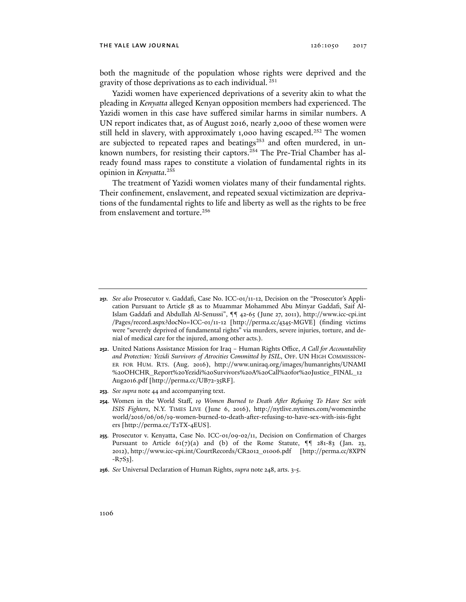both the magnitude of the population whose rights were deprived and the gravity of those deprivations as to each individual. 251

Yazidi women have experienced deprivations of a severity akin to what the pleading in *Kenyatta* alleged Kenyan opposition members had experienced. The Yazidi women in this case have suffered similar harms in similar numbers. A UN report indicates that, as of August 2016, nearly 2,000 of these women were still held in slavery, with approximately 1,000 having escaped.<sup>252</sup> The women are subjected to repeated rapes and beatings<sup>253</sup> and often murdered, in unknown numbers, for resisting their captors.<sup>254</sup> The Pre-Trial Chamber has already found mass rapes to constitute a violation of fundamental rights in its opinion in *Kenyatta*. 255

The treatment of Yazidi women violates many of their fundamental rights. Their confinement, enslavement, and repeated sexual victimization are deprivations of the fundamental rights to life and liberty as well as the rights to be free from enslavement and torture.<sup>256</sup>

- **252**. United Nations Assistance Mission for Iraq Human Rights Office, *A Call for Accountability and Protection: Yezidi Survivors of Atrocities Committed by ISIL*, OFF. UN HIGH COMMISSION-ER FOR HUM. RTS. (Aug. 2016), http://www.uniraq.org/images/humanrights/UNAMI %20OHCHR\_Report%20Yezidi%20Survivors%20A%20Call%20for%20Justice\_FINAL\_12 Aug2016.pdf [http://perma.cc/UB72-35RF].
- **253***. See supra* note 44 and accompanying text.
- **254**. Women in the World Staff, *19 Women Burned to Death After Refusing To Have Sex with ISIS Fighters*, N.Y. TIMES LIVE (June 6, 2016), http://nytlive.nytimes.com/womeninthe world/2016/06/06/19-women-burned-to-death-after-refusing-to-have-sex-with-isis-fight ers [http://perma.cc/T2TX-4EUS].
- **255***.* Prosecutor v. Kenyatta, Case No. ICC-01/09-02/11, Decision on Confirmation of Charges Pursuant to Article  $61(7)(a)$  and (b) of the Rome Statute,  $\P$  $9$  281-83 (Jan. 23, 2012), http://www.icc-cpi.int/CourtRecords/CR2012\_01006.pdf [http://perma.cc/8XPN  $-R_{7}S_{3}$ ].
- **256**. *See* Universal Declaration of Human Rights, *supra* note 248, arts. 3-5.

**<sup>251</sup>***. See also* Prosecutor v. Gaddafi, Case No. ICC-01/11-12, Decision on the "Prosecutor's Application Pursuant to Article 58 as to Muammar Mohammed Abu Minyar Gaddafi, Saif Al-Islam Gaddafi and Abdullah Al-Senussi", ¶¶ 42-65 (June 27, 2011), http://www.icc-cpi.int /Pages/record.aspx?docNo=ICC-01/11-12 [http://perma.cc/4345-MGVE] (finding victims were "severely deprived of fundamental rights" via murders, severe injuries, torture, and denial of medical care for the injured, among other acts.).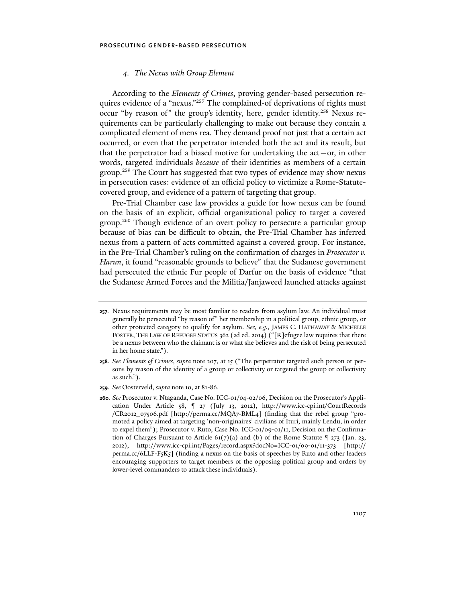# *4. The Nexus with Group Element*

According to the *Elements of Crimes*, proving gender-based persecution requires evidence of a "nexus."<sup>257</sup> The complained-of deprivations of rights must occur "by reason of" the group's identity, here, gender identity.<sup>258</sup> Nexus requirements can be particularly challenging to make out because they contain a complicated element of mens rea. They demand proof not just that a certain act occurred, or even that the perpetrator intended both the act and its result, but that the perpetrator had a biased motive for undertaking the  $act-or$ , in other words, targeted individuals *because* of their identities as members of a certain group.<sup>259</sup> The Court has suggested that two types of evidence may show nexus in persecution cases: evidence of an official policy to victimize a Rome-Statutecovered group, and evidence of a pattern of targeting that group.

Pre-Trial Chamber case law provides a guide for how nexus can be found on the basis of an explicit, official organizational policy to target a covered group.260 Though evidence of an overt policy to persecute a particular group because of bias can be difficult to obtain, the Pre-Trial Chamber has inferred nexus from a pattern of acts committed against a covered group. For instance, in the Pre-Trial Chamber's ruling on the confirmation of charges in *Prosecutor v. Harun*, it found "reasonable grounds to believe" that the Sudanese government had persecuted the ethnic Fur people of Darfur on the basis of evidence "that the Sudanese Armed Forces and the Militia/Janjaweed launched attacks against

**259***. See* Oosterveld, *supra* note 10, at 81-86.

**<sup>257</sup>**. Nexus requirements may be most familiar to readers from asylum law. An individual must generally be persecuted "by reason of" her membership in a political group, ethnic group, or other protected category to qualify for asylum. *See, e.g.*, JAMES C. HATHAWAY & MICHELLE FOSTER, THE LAW OF REFUGEE STATUS 362 (2d ed. 2014) ("[R]efugee law requires that there be a nexus between who the claimant is or what she believes and the risk of being persecuted in her home state.").

**<sup>258</sup>***. See Elements of Crimes*, *supra* note 207, at 15 ("The perpetrator targeted such person or persons by reason of the identity of a group or collectivity or targeted the group or collectivity as such.").

**<sup>260</sup>***. See* Prosecutor v. Ntaganda, Case No. ICC-01/04-02/06, Decision on the Prosecutor's Application Under Article 58, ¶ 27 (July 13, 2012), http://www.icc-cpi.int/CourtRecords /CR2012\_07506.pdf [http://perma.cc/MQA7-BML4] (finding that the rebel group "promoted a policy aimed at targeting 'non-originaires' civilians of Ituri, mainly Lendu, in order to expel them"); Prosecutor v. Ruto, Case No. ICC-01/09-01/11, Decision on the Confirmation of Charges Pursuant to Article 61(7)(a) and (b) of the Rome Statute  $\frac{9}{273}$  (Jan. 23, 2012), http://www.icc-cpi.int/Pages/record.aspx?docNo=ICC-01/09-01/11-373 [http:// perma.cc/6LLF-F5K5] (finding a nexus on the basis of speeches by Ruto and other leaders encouraging supporters to target members of the opposing political group and orders by lower-level commanders to attack these individuals).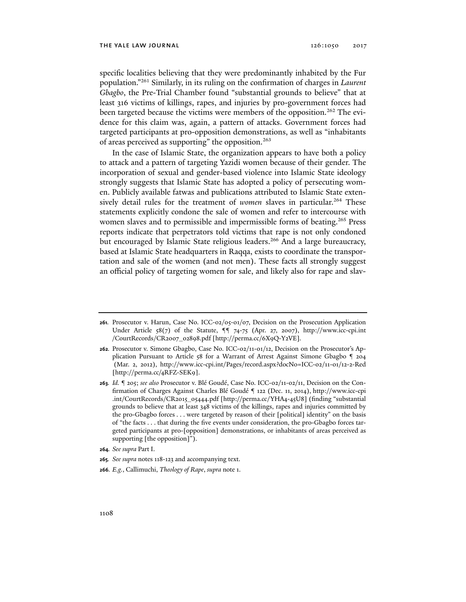specific localities believing that they were predominantly inhabited by the Fur population."261 Similarly, in its ruling on the confirmation of charges in *Laurent Gbagbo*, the Pre-Trial Chamber found "substantial grounds to believe" that at least 316 victims of killings, rapes, and injuries by pro-government forces had been targeted because the victims were members of the opposition.<sup>262</sup> The evidence for this claim was, again, a pattern of attacks. Government forces had targeted participants at pro-opposition demonstrations, as well as "inhabitants of areas perceived as supporting" the opposition.<sup>263</sup>

In the case of Islamic State, the organization appears to have both a policy to attack and a pattern of targeting Yazidi women because of their gender. The incorporation of sexual and gender-based violence into Islamic State ideology strongly suggests that Islamic State has adopted a policy of persecuting women. Publicly available fatwas and publications attributed to Islamic State extensively detail rules for the treatment of *women* slaves in particular.<sup>264</sup> These statements explicitly condone the sale of women and refer to intercourse with women slaves and to permissible and impermissible forms of beating.<sup>265</sup> Press reports indicate that perpetrators told victims that rape is not only condoned but encouraged by Islamic State religious leaders.<sup>266</sup> And a large bureaucracy, based at Islamic State headquarters in Raqqa, exists to coordinate the transportation and sale of the women (and not men). These facts all strongly suggest an official policy of targeting women for sale, and likely also for rape and slav-

- **264***. See supra* Part I.
- **265***. See supra* notes 118-123 and accompanying text.
- **266***. E.g.*, Callimuchi, *Theology of Rape*, *supra* note 1.

**<sup>261</sup>***.* Prosecutor v. Harun, Case No. ICC-02/05-01/07, Decision on the Prosecution Application Under Article  $58(7)$  of the Statute,  $9974-75$  (Apr. 27, 2007), http://www.icc-cpi.int /CourtRecords/CR2007\_02898.pdf [http://perma.cc/6X9Q-Y2VE]*.*

**<sup>262</sup>***.* Prosecutor v. Simone Gbagbo, Case No. ICC-02/11-01/12, Decision on the Prosecutor's Application Pursuant to Article 58 for a Warrant of Arrest Against Simone Gbagbo ¶ 204 (Mar. 2, 2012), http://www.icc-cpi.int/Pages/record.aspx?docNo=ICC-02/11-01/12-2-Red [http://perma.cc/4RFZ-SEK9].

**<sup>263</sup>***. Id.* ¶ 205; *see also* Prosecutor v. Blé Goudé, Case No. ICC-02/11-02/11, Decision on the Confirmation of Charges Against Charles Blé Goudé ¶ 122 (Dec. 11, 2014), http://www.icc-cpi .int/CourtRecords/CR2015\_05444.pdf [http://perma.cc/YHA4-45U8] (finding "substantial grounds to believe that at least 348 victims of the killings, rapes and injuries committed by the pro-Gbagbo forces . . . were targeted by reason of their [political] identity" on the basis of "the facts . . . that during the five events under consideration, the pro-Gbagbo forces targeted participants at pro-[opposition] demonstrations, or inhabitants of areas perceived as supporting [the opposition]").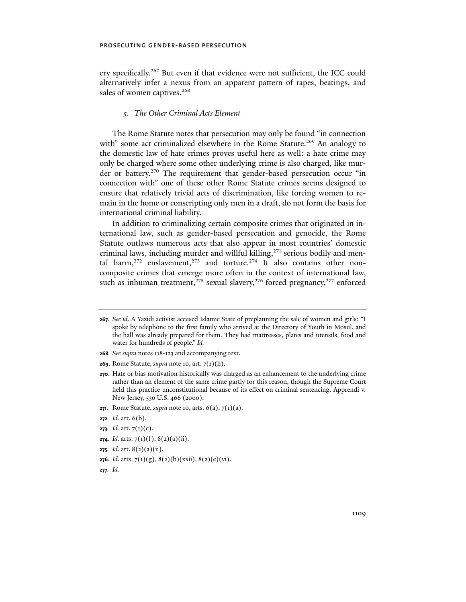ery specifically.267 But even if that evidence were not sufficient, the ICC could alternatively infer a nexus from an apparent pattern of rapes, beatings, and sales of women captives.<sup>268</sup>

# *5. The Other Criminal Acts Element*

The Rome Statute notes that persecution may only be found "in connection with" some act criminalized elsewhere in the Rome Statute.<sup>269</sup> An analogy to the domestic law of hate crimes proves useful here as well: a hate crime may only be charged where some other underlying crime is also charged, like murder or battery.<sup>270</sup> The requirement that gender-based persecution occur "in connection with" one of these other Rome Statute crimes seems designed to ensure that relatively trivial acts of discrimination, like forcing women to remain in the home or conscripting only men in a draft, do not form the basis for international criminal liability.

In addition to criminalizing certain composite crimes that originated in international law, such as gender-based persecution and genocide, the Rome Statute outlaws numerous acts that also appear in most countries' domestic criminal laws, including murder and willful killing,<sup>271</sup> serious bodily and mental harm,<sup>272</sup> enslavement,<sup>273</sup> and torture.<sup>274</sup> It also contains other noncomposite crimes that emerge more often in the context of international law, such as inhuman treatment, $275$  sexual slavery,  $276$  forced pregnancy,  $277$  enforced

- **268***. See supra* notes 118-123 and accompanying text.
- **269**. Rome Statute, *supra* note 10, art. 7(1)(h).
- **270**. Hate or bias motivation historically was charged as an enhancement to the underlying crime rather than an element of the same crime partly for this reason, though the Supreme Court held this practice unconstitutional because of its effect on criminal sentencing. Apprendi v. New Jersey, 530 U.S. 466 (2000).
- **271**. Rome Statute, *supra* note 10, arts. 6(a), 7(1)(a).
- **272***. Id.* art. 6(b).
- **273***. Id.* art. 7(1)(c).
- **274***. Id.* arts. 7(1)(f), 8(2)(a)(ii).
- **275***. Id.* art. 8(2)(a)(ii).
- **276***. Id.* arts. 7(1)(g), 8(2)(b)(xxii), 8(2)(e)(vi).
- **277***. Id.*

**<sup>267</sup>***. See id.* A Yazidi activist accused Islamic State of preplanning the sale of women and girls: "I spoke by telephone to the first family who arrived at the Directory of Youth in Mosul, and the hall was already prepared for them. They had mattresses, plates and utensils, food and water for hundreds of people." *Id.*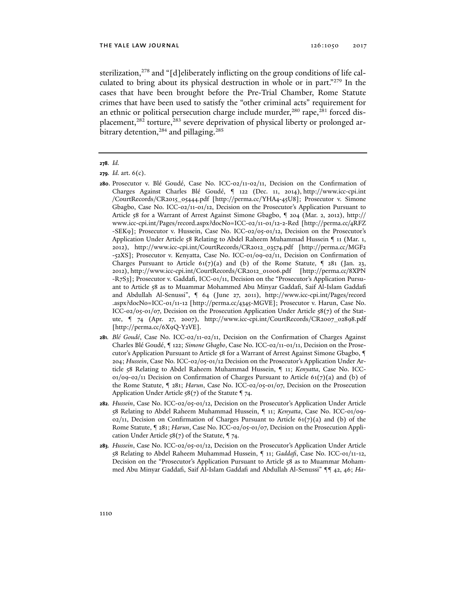sterilization,<sup>278</sup> and "[d]eliberately inflicting on the group conditions of life calculated to bring about its physical destruction in whole or in part."279 In the cases that have been brought before the Pre-Trial Chamber, Rome Statute crimes that have been used to satisfy the "other criminal acts" requirement for an ethnic or political persecution charge include murder,<sup>280</sup> rape,<sup>281</sup> forced displacement,<sup>282</sup> torture,<sup>283</sup> severe deprivation of physical liberty or prolonged arbitrary detention,<sup>284</sup> and pillaging.<sup>285</sup>

- **281***. Blé Goudé*, Case No. ICC-02/11-02/11, Decision on the Confirmation of Charges Against Charles Blé Goudé, ¶ 122; *Simone Gbagbo*, Case No. ICC-02/11-01/11, Decision on the Prosecutor's Application Pursuant to Article 58 for a Warrant of Arrest Against Simone Gbagbo, ¶ 204; *Hussein*, Case No. ICC-02/05-01/12 Decision on the Prosecutor's Application Under Article 58 Relating to Abdel Raheem Muhammad Hussein, ¶ 11; *Kenyatta*, Case No. ICC- $01/09-02/11$  Decision on Confirmation of Charges Pursuant to Article 61(7)(a) and (b) of the Rome Statute, ¶ 281; *Harun*, Case No. ICC-02/05-01/07, Decision on the Prosecution Application Under Article  $58(7)$  of the Statute  $\P$  74.
- **282***. Hussein*, Case No. ICC-02/05-01/12, Decision on the Prosecutor's Application Under Article 58 Relating to Abdel Raheem Muhammad Hussein, ¶ 11; *Kenyatta*, Case No. ICC-01/09-  $0.2/11$ , Decision on Confirmation of Charges Pursuant to Article  $61(7)(a)$  and (b) of the Rome Statute, ¶ 281; *Harun*, Case No. ICC-02/05-01/07, Decision on the Prosecution Application Under Article  $58(7)$  of the Statute,  $974$ .
- **283***. Hussein*, Case No. ICC-02/05-01/12, Decision on the Prosecutor's Application Under Article 58 Relating to Abdel Raheem Muhammad Hussein, ¶ 11; *Gaddafi*, Case No. ICC-01/11-12, Decision on the "Prosecutor's Application Pursuant to Article 58 as to Muammar Mohammed Abu Minyar Gaddafi, Saif Al-Islam Gaddafi and Abdullah Al-Senussi" ¶¶ 42, 46; *Ha-*

**<sup>278</sup>***. Id.*

**<sup>279</sup>***. Id.* art. 6(c).

**<sup>280</sup>**. Prosecutor v. Blé Goudé, Case No. ICC-02/11-02/11, Decision on the Confirmation of Charges Against Charles Blé Goudé, ¶ 122 (Dec. 11, 2014), http://www.icc-cpi.int /CourtRecords/CR2015\_05444.pdf [http://perma.cc/YHA4-45U8]; Prosecutor v. Simone Gbagbo, Case No. ICC-02/11-01/12, Decision on the Prosecutor's Application Pursuant to Article 58 for a Warrant of Arrest Against Simone Gbagbo, ¶ 204 (Mar. 2, 2012), http:// www.icc-cpi.int/Pages/record.aspx?docNo=ICC-02/11-01/12-2-Red [http://perma.cc/4RFZ -SEK9]; Prosecutor v. Hussein, Case No. ICC-02/05-01/12, Decision on the Prosecutor's Application Under Article 58 Relating to Abdel Raheem Muhammad Hussein ¶ 11 (Mar. 1, 2012), http://www.icc-cpi.int/CourtRecords/CR2012\_03574.pdf [http://perma.cc/MGF2 -52XS]; Prosecutor v. Kenyatta, Case No. ICC-01/09-02/11, Decision on Confirmation of Charges Pursuant to Article  $61(7)(a)$  and (b) of the Rome Statute,  $\frac{9}{281}$  (Jan. 23, 2012), http://www.icc-cpi.int/CourtRecords/CR2012\_01006.pdf [http://perma.cc/8XPN -R7S3]; Prosecutor v. Gaddafi, ICC-01/11, Decision on the "Prosecutor's Application Pursuant to Article 58 as to Muammar Mohammed Abu Minyar Gaddafi, Saif Al-Islam Gaddafi and Abdullah Al-Senussi", ¶ 64 (June 27, 2011), http://www.icc-cpi.int/Pages/record .aspx?docNo=ICC-01/11-12 [http://perma.cc/4345-MGVE]; Prosecutor v. Harun, Case No. ICC-02/05-01/07, Decision on the Prosecution Application Under Article 58(7) of the Statute, ¶ 74 (Apr. 27, 2007), http://www.icc-cpi.int/CourtRecords/CR2007\_02898.pdf [http://perma.cc/6X9Q-Y2VE].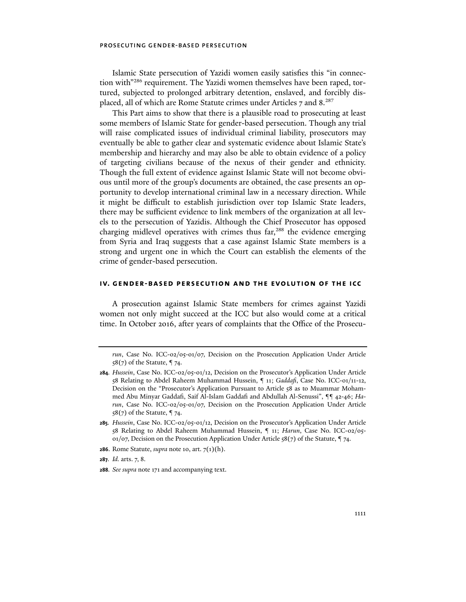Islamic State persecution of Yazidi women easily satisfies this "in connection with"<sup>286</sup> requirement. The Yazidi women themselves have been raped, tortured, subjected to prolonged arbitrary detention, enslaved, and forcibly displaced, all of which are Rome Statute crimes under Articles 7 and 8.287

This Part aims to show that there is a plausible road to prosecuting at least some members of Islamic State for gender-based persecution. Though any trial will raise complicated issues of individual criminal liability, prosecutors may eventually be able to gather clear and systematic evidence about Islamic State's membership and hierarchy and may also be able to obtain evidence of a policy of targeting civilians because of the nexus of their gender and ethnicity. Though the full extent of evidence against Islamic State will not become obvious until more of the group's documents are obtained, the case presents an opportunity to develop international criminal law in a necessary direction. While it might be difficult to establish jurisdiction over top Islamic State leaders, there may be sufficient evidence to link members of the organization at all levels to the persecution of Yazidis. Although the Chief Prosecutor has opposed charging midlevel operatives with crimes thus far,<sup>288</sup> the evidence emerging from Syria and Iraq suggests that a case against Islamic State members is a strong and urgent one in which the Court can establish the elements of the crime of gender-based persecution.

# **iv. gender-based persecution and the evolution of the icc**

A prosecution against Islamic State members for crimes against Yazidi women not only might succeed at the ICC but also would come at a critical time. In October 2016, after years of complaints that the Office of the Prosecu-

- **286**. Rome Statute, *supra* note 10, art. 7(1)(h).
- **287***. Id.* arts. 7, 8.
- **288***. See supra* note 171 and accompanying text.

*run*, Case No. ICC-02/05-01/07, Decision on the Prosecution Application Under Article  $58(7)$  of the Statute,  $974$ .

**<sup>284</sup>***. Hussein*, Case No. ICC-02/05-01/12, Decision on the Prosecutor's Application Under Article 58 Relating to Abdel Raheem Muhammad Hussein, ¶ 11; *Gaddafi*, Case No. ICC-01/11-12, Decision on the "Prosecutor's Application Pursuant to Article 58 as to Muammar Mohammed Abu Minyar Gaddafi, Saif Al-Islam Gaddafi and Abdullah Al-Senussi", ¶¶ 42-46; *Harun*, Case No. ICC-02/05-01/07, Decision on the Prosecution Application Under Article  $58(7)$  of the Statute,  $974$ .

**<sup>285</sup>***. Hussein*, Case No. ICC-02/05-01/12, Decision on the Prosecutor's Application Under Article 58 Relating to Abdel Raheem Muhammad Hussein, ¶ 11; *Harun*, Case No. ICC-02/05- 01/07, Decision on the Prosecution Application Under Article  $58(7)$  of the Statute,  $974$ .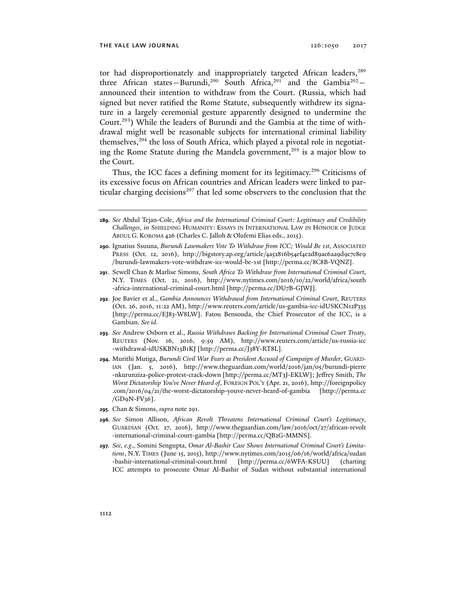tor had disproportionately and inappropriately targeted African leaders,<sup>289</sup> three African states-Burundi,<sup>290</sup> South Africa,<sup>291</sup> and the Gambia<sup>292</sup>announced their intention to withdraw from the Court. (Russia, which had signed but never ratified the Rome Statute, subsequently withdrew its signature in a largely ceremonial gesture apparently designed to undermine the Court.293) While the leaders of Burundi and the Gambia at the time of withdrawal might well be reasonable subjects for international criminal liability themselves,<sup>294</sup> the loss of South Africa, which played a pivotal role in negotiating the Rome Statute during the Mandela government,<sup>295</sup> is a major blow to the Court.

Thus, the ICC faces a defining moment for its legitimacy.<sup>296</sup> Criticisms of its excessive focus on African countries and African leaders were linked to particular charging decisions<sup>297</sup> that led some observers to the conclusion that the

- **289***. See* Abdul Tejan-Cole, *Africa and the International Criminal Court: Legitimacy and Credibility Challenges*, *in* SHIELDING HUMANITY: ESSAYS IN INTERNATIONAL LAW IN HONOUR OF JUDGE ABDUL G. KOROMA 426 (Charles C. Jalloh & Olufemi Elias eds., 2015).
- **290**. Ignatius Ssuuna, *Burundi Lawmakers Vote To Withdraw from ICC; Would Be 1st*, ASSOCIATED PRESS (Oct. 12, 2016), http://bigstory.ap.org/article/4a52816b54ef4e2d89ac6aa9d9c7c8e9 /burundi-lawmakers-vote-withdraw-icc-would-be-1st [http://perma.cc/8C8B-VQNZ].
- **291**. Sewell Chan & Marlise Simons, *South Africa To Withdraw from International Criminal Court*, N.Y. TIMES (Oct. 21, 2016), http://www.nytimes.com/2016/10/22/world/africa/south -africa-international-criminal-court.html [http://perma.cc/DU7B-GJWJ].
- **292**. Joe Bavier et al., *Gambia Announces Withdrawal from International Criminal Court*, REUTERS (Oct. 26, 2016, 11:22 AM), http://www.reuters.com/article/us-gambia-icc-idUSKCN12P335 [http://perma.cc/EJ83-W8LW]. Fatou Bensouda, the Chief Prosecutor of the ICC, is a Gambian. *See id*.
- **293***. See* Andrew Osborn et al., *Russia Withdraws Backing for International Criminal Court Treaty*, REUTERS (Nov. 16, 2016, 9:59 AM), http://www.reuters.com/article/us-russia-icc -withdrawal-idUSKBN13B1KJ [http://perma.cc/J38Y-RT8L].
- **294**. Murithi Mutiga, *Burundi Civil War Fears as President Accused of Campaign of Murder*, GUARD-IAN (Jan. 5, 2016), http://www.theguardian.com/world/2016/jan/05/burundi-pierre -nkurunziza-police-protest-crack-down [http://perma.cc/MT3J-EKLW]; Jeffrey Smith, *The Worst Dictatorship You've Never Heard of*, FOREIGN POL'Y (Apr. 21, 2016), http://foreignpolicy .com/2016/04/21/the-worst-dictatorship-youve-never-heard-of-gambia [http://perma.cc /GD9N-FV36].
- **295**. Chan & Simons, *supra* note 291.
- **296***. See* Simon Allison, *African Revolt Threatens International Criminal Court's Legitimacy*, GUARDIAN (Oct. 27, 2016), http://www.theguardian.com/law/2016/oct/27/african-revolt -international-criminal-court-gambia [http://perma.cc/QB2G-MMNS].
- **297***. See, e.g*., Somini Sengupta, *Omar Al-Bashir Case Shows International Criminal Court's Limitations*, N.Y. TIMES (June 15, 2015), http://www.nytimes.com/2015/06/16/world/africa/sudan -bashir-international-criminal-court.html [http://perma.cc/6WFA-KSUU] (charting ICC attempts to prosecute Omar Al-Bashir of Sudan without substantial international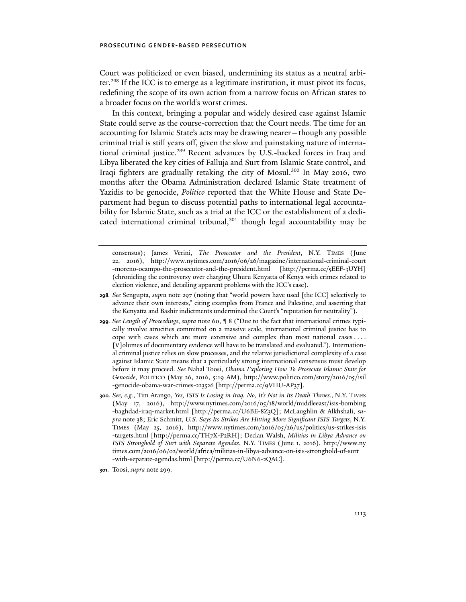Court was politicized or even biased, undermining its status as a neutral arbiter.298 If the ICC is to emerge as a legitimate institution, it must pivot its focus, redefining the scope of its own action from a narrow focus on African states to a broader focus on the world's worst crimes.

In this context, bringing a popular and widely desired case against Islamic State could serve as the course-correction that the Court needs. The time for an accounting for Islamic State's acts may be drawing nearer—though any possible criminal trial is still years off, given the slow and painstaking nature of international criminal justice.<sup>299</sup> Recent advances by U.S.-backed forces in Iraq and Libya liberated the key cities of Falluja and Surt from Islamic State control, and Iraqi fighters are gradually retaking the city of Mosul.300 In May 2016, two months after the Obama Administration declared Islamic State treatment of Yazidis to be genocide, *Politico* reported that the White House and State Department had begun to discuss potential paths to international legal accountability for Islamic State, such as a trial at the ICC or the establishment of a dedicated international criminal tribunal,<sup>301</sup> though legal accountability may be

- **298***. See* Sengupta, *supra* note 297 (noting that "world powers have used [the ICC] selectively to advance their own interests," citing examples from France and Palestine, and asserting that the Kenyatta and Bashir indictments undermined the Court's "reputation for neutrality").
- **299***. See Length of Proceedings*, *supra* note 60, ¶ 8 ("Due to the fact that international crimes typically involve atrocities committed on a massive scale, international criminal justice has to cope with cases which are more extensive and complex than most national cases . . . . [V]olumes of documentary evidence will have to be translated and evaluated."). International criminal justice relies on slow processes, and the relative jurisdictional complexity of a case against Islamic State means that a particularly strong international consensus must develop before it may proceed. *See* Nahal Toosi, *Obama Exploring How To Prosecute Islamic State for Genocide*, POLITICO (May 26, 2016, 5:19 AM), http://www.politico.com/story/2016/05/isil -genocide-obama-war-crimes-223526 [http://perma.cc/9VHU-AP37].
- **300***. See, e.g.*, Tim Arango, *Yes, ISIS Is Losing in Iraq. No, It's Not in Its Death Throes.*, N.Y. TIMES (May 17, 2016), http://www.nytimes.com/2016/05/18/world/middleeast/isis-bombing -baghdad-iraq-market.html [http://perma.cc/U6BE-8Z3Q]; McLaughlin & Alkhshali, *supra* note 38; Eric Schmitt, *U.S. Says Its Strikes Are Hitting More Significant ISIS Targets*, N.Y. TIMES (May 25, 2016), http://www.nytimes.com/2016/05/26/us/politics/us-strikes-isis -targets.html [http://perma.cc/TH7X-P2RH]; Declan Walsh, *Militias in Libya Advance on ISIS Stronghold of Surt with Separate Agendas*, N.Y. TIMES (June 1, 2016), http://www.ny times.com/2016/06/02/world/africa/militias-in-libya-advance-on-isis-stronghold-of-surt -with-separate-agendas.html [http://perma.cc/U6N6-2QAC].
- **301**. Toosi, *supra* note 299.

consensus); James Verini, *The Prosecutor and the President*, N.Y. TIMES (June 22, 2016), http://www .nytimes .com /2016 /06 /26 /magazine/international-criminal-court -moreno-ocampo-the-prosecutor-and-the-president.html [http://perma.cc/5EEF-3UYH] (chronicling the controversy over charging Uhuru Kenyatta of Kenya with crimes related to election violence, and detailing apparent problems with the ICC's case).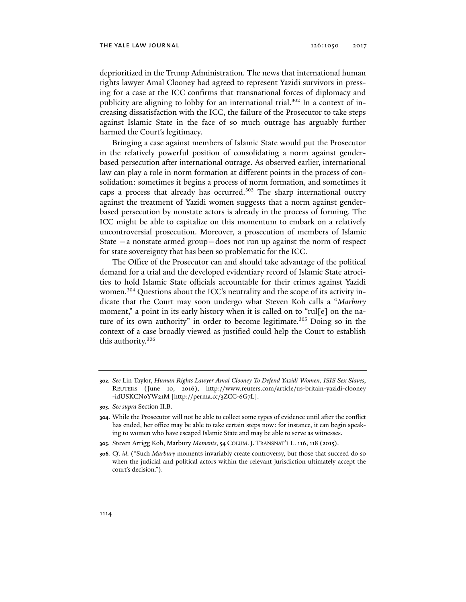deprioritized in the Trump Administration. The news that international human rights lawyer Amal Clooney had agreed to represent Yazidi survivors in pressing for a case at the ICC confirms that transnational forces of diplomacy and publicity are aligning to lobby for an international trial.<sup>302</sup> In a context of increasing dissatisfaction with the ICC, the failure of the Prosecutor to take steps against Islamic State in the face of so much outrage has arguably further harmed the Court's legitimacy.

Bringing a case against members of Islamic State would put the Prosecutor in the relatively powerful position of consolidating a norm against genderbased persecution after international outrage. As observed earlier, international law can play a role in norm formation at different points in the process of consolidation: sometimes it begins a process of norm formation, and sometimes it caps a process that already has occurred.<sup>303</sup> The sharp international outcry against the treatment of Yazidi women suggests that a norm against genderbased persecution by nonstate actors is already in the process of forming. The ICC might be able to capitalize on this momentum to embark on a relatively uncontroversial prosecution. Moreover, a prosecution of members of Islamic State —a nonstate armed group—does not run up against the norm of respect for state sovereignty that has been so problematic for the ICC.

The Office of the Prosecutor can and should take advantage of the political demand for a trial and the developed evidentiary record of Islamic State atrocities to hold Islamic State officials accountable for their crimes against Yazidi women.<sup>304</sup> Questions about the ICC's neutrality and the scope of its activity indicate that the Court may soon undergo what Steven Koh calls a "*Marbury* moment," a point in its early history when it is called on to "rul[e] on the nature of its own authority" in order to become legitimate.<sup>305</sup> Doing so in the context of a case broadly viewed as justified could help the Court to establish this authority.306

**<sup>302</sup>***. See* Lin Taylor, *Human Rights Lawyer Amal Clooney To Defend Yazidi Women, ISIS Sex Slaves*, REUTERS (June 10, 2016), http://www.reuters.com/article/us-britain-yazidi-clooney -idUSKCN0YW21M [http://perma.cc/3ZCC-6G7L].

**<sup>303</sup>***. See supra* Section II.B.

**<sup>304</sup>**. While the Prosecutor will not be able to collect some types of evidence until after the conflict has ended, her office may be able to take certain steps now: for instance, it can begin speaking to women who have escaped Islamic State and may be able to serve as witnesses.

**<sup>305</sup>**. Steven Arrigg Koh, Marbury *Moments*, 54 COLUM.J. TRANSNAT'L L. 116, 118 (2015).

**<sup>306</sup>***. Cf*. *id*. ("Such *Marbury* moments invariably create controversy, but those that succeed do so when the judicial and political actors within the relevant jurisdiction ultimately accept the court's decision.").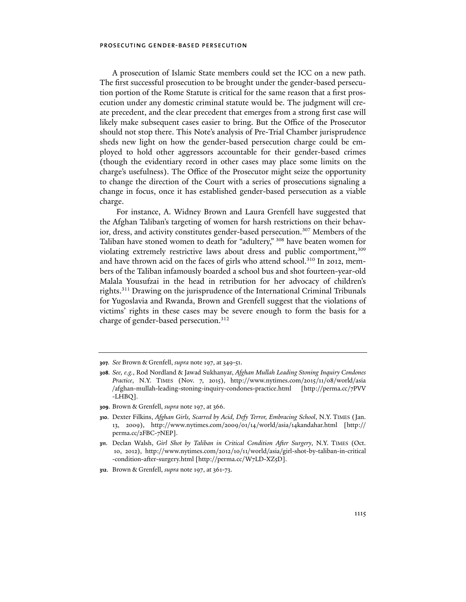A prosecution of Islamic State members could set the ICC on a new path. The first successful prosecution to be brought under the gender-based persecution portion of the Rome Statute is critical for the same reason that a first prosecution under any domestic criminal statute would be. The judgment will create precedent, and the clear precedent that emerges from a strong first case will likely make subsequent cases easier to bring. But the Office of the Prosecutor should not stop there. This Note's analysis of Pre-Trial Chamber jurisprudence sheds new light on how the gender-based persecution charge could be employed to hold other aggressors accountable for their gender-based crimes (though the evidentiary record in other cases may place some limits on the charge's usefulness). The Office of the Prosecutor might seize the opportunity to change the direction of the Court with a series of prosecutions signaling a change in focus, once it has established gender-based persecution as a viable charge.

 For instance, A. Widney Brown and Laura Grenfell have suggested that the Afghan Taliban's targeting of women for harsh restrictions on their behavior, dress, and activity constitutes gender-based persecution.<sup>307</sup> Members of the Taliban have stoned women to death for "adultery," 308 have beaten women for violating extremely restrictive laws about dress and public comportment,309 and have thrown acid on the faces of girls who attend school.<sup>310</sup> In 2012, members of the Taliban infamously boarded a school bus and shot fourteen-year-old Malala Yousufzai in the head in retribution for her advocacy of children's rights.311 Drawing on the jurisprudence of the International Criminal Tribunals for Yugoslavia and Rwanda, Brown and Grenfell suggest that the violations of victims' rights in these cases may be severe enough to form the basis for a charge of gender-based persecution.<sup>312</sup>

**309**. Brown & Grenfell, *supra* note 197, at 366.

**<sup>307</sup>***. See* Brown & Grenfell, *supra* note 197, at 349-51.

**<sup>308</sup>***. See, e.g.*, Rod Nordland & Jawad Sukhanyar, *Afghan Mullah Leading Stoning Inquiry Condones Practice*, N.Y. TIMES (Nov. 7, 2015), http://www.nytimes.com/2015/11/08/world/asia /afghan-mullah-leading-stoning-inquiry-condones-practice.html [http://perma.cc/7PVV -LHBQ].

**<sup>310</sup>**. Dexter Filkins, *Afghan Girls, Scarred by Acid, Defy Terror, Embracing School*, N.Y. TIMES (Jan. 13, 2009), http://www.nytimes.com/2009/01/14/world/asia/14kandahar.html [http:// perma.cc/2FBC-7NEP].

**<sup>311</sup>**. Declan Walsh, *Girl Shot by Taliban in Critical Condition After Surgery*, N.Y. TIMES (Oct. 10, 2012), http://www.nytimes.com/2012/10/11/world/asia/girl-shot-by-taliban-in-critical -condition-after-surgery.html [http://perma.cc/W7LD-XZ5D].

**<sup>312</sup>**. Brown & Grenfell, *supra* note 197, at 361-73.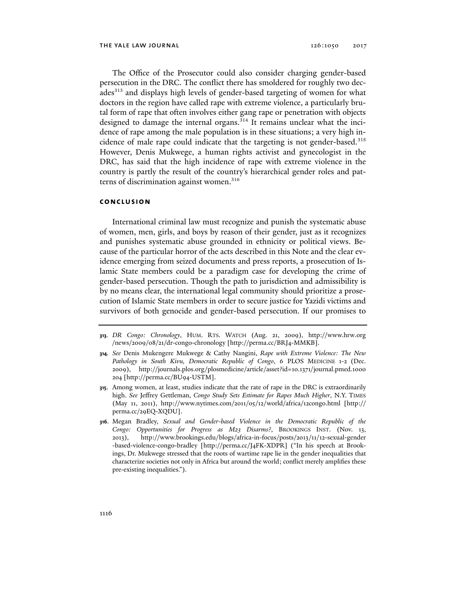The Office of the Prosecutor could also consider charging gender-based persecution in the DRC. The conflict there has smoldered for roughly two decades<sup>313</sup> and displays high levels of gender-based targeting of women for what doctors in the region have called rape with extreme violence, a particularly brutal form of rape that often involves either gang rape or penetration with objects designed to damage the internal organs.<sup>314</sup> It remains unclear what the incidence of rape among the male population is in these situations; a very high incidence of male rape could indicate that the targeting is not gender-based.<sup>315</sup> However, Denis Mukwege, a human rights activist and gynecologist in the DRC, has said that the high incidence of rape with extreme violence in the country is partly the result of the country's hierarchical gender roles and patterns of discrimination against women.<sup>316</sup>

## **conclusion**

International criminal law must recognize and punish the systematic abuse of women, men, girls, and boys by reason of their gender, just as it recognizes and punishes systematic abuse grounded in ethnicity or political views. Because of the particular horror of the acts described in this Note and the clear evidence emerging from seized documents and press reports, a prosecution of Islamic State members could be a paradigm case for developing the crime of gender-based persecution. Though the path to jurisdiction and admissibility is by no means clear, the international legal community should prioritize a prosecution of Islamic State members in order to secure justice for Yazidi victims and survivors of both genocide and gender-based persecution. If our promises to

- **313***. DR Congo: Chronology*, HUM. RTS. WATCH (Aug. 21, 2009), http://www.hrw.org /news/2009/08/21/dr-congo-chronology [http://perma.cc/BRJ4-MMKB].
- **314***. See* Denis Mukengere Mukwege & Cathy Nangini, *Rape with Extreme Violence: The New Pathology in South Kivu, Democratic Republic of Congo*, 6 PLOS MEDICINE 1-2 (Dec. 2009), http://journals.plos.org/plosmedicine/article/asset?id=10.1371/journal.pmed.1000 204 [http://perma.cc/BU94-USTM].
- **315**. Among women, at least, studies indicate that the rate of rape in the DRC is extraordinarily high. *See* Jeffrey Gettleman, *Congo Study Sets Estimate for Rapes Much Higher*, N.Y. TIMES (May 11, 2011), http://www.nytimes.com/2011/05/12/world/africa/12congo.html [http:// perma.cc/29EQ-XQDU].
- **316**. Megan Bradley, *Sexual and Gender-based Violence in the Democratic Republic of the Congo: Opportunities for Progress as M23 Disarms?*, BROOKINGS INST. (Nov. 13, 2013), http:// www.brookings.edu/blogs/africa-in-focus/posts/2013/11/12-sexual-gender -based-violence-congo-bradley [http://perma.cc/J4FK-XDPR] ("In his speech at Brookings, Dr. Mukwege stressed that the roots of wartime rape lie in the gender inequalities that characterize societies not only in Africa but around the world; conflict merely amplifies these pre-existing inequalities.").